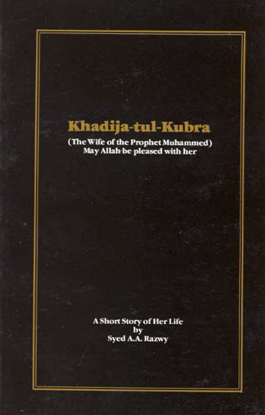# Khadija-tul-Kubra

(The Wife of the Prophet Muhammed)<br>May Allah be pleased with her

A Short Story of Her Life by Syed A.A. Razwy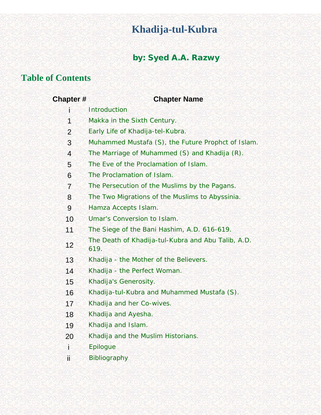# **Khadija-tul-Kubra**

# by: Syed A.A. Razwy

# **Table of Contents**

| <b>Chapter#</b> | <b>Chapter Name</b>                                        |
|-----------------|------------------------------------------------------------|
|                 | <b>Introduction</b>                                        |
| $\overline{1}$  | Makka in the Sixth Century.                                |
| $\overline{2}$  | Early Life of Khadija-tel-Kubra.                           |
| 3               | Muhammed Mustafa (S), the Future Prophct of Islam.         |
| $\overline{4}$  | The Marriage of Muhammed (S) and Khadija (R).              |
| 5               | The Eve of the Proclamation of Islam.                      |
| 6               | The Proclamation of Islam.                                 |
| $\overline{7}$  | The Persecution of the Muslims by the Pagans.              |
| 8               | The Two Migrations of the Muslims to Abyssinia.            |
| 9               | Hamza Accepts Islam.                                       |
| 10              | Umar's Conversion to Islam.                                |
| 11              | The Siege of the Bani Hashim, A.D. 616-619.                |
| 12              | The Death of Khadija-tul-Kubra and Abu Talib, A.D.<br>619. |
| 13              | Khadija - the Mother of the Believers.                     |
| 14              | Khadija - the Perfect Woman.                               |
| 15              | Khadija's Generosity.                                      |
| 16              | Khadija-tul-Kubra and Muhammed Mustafa (S).                |
| 17              | Khadija and her Co-wives.                                  |
| 18              | Khadija and Ayesha.                                        |
| 19              | Khadija and Islam.                                         |
| 20              | Khadija and the Muslim Historians.                         |
| ì               | <b>Epilogue</b>                                            |
| Ϊİ              | <b>Bibliography</b>                                        |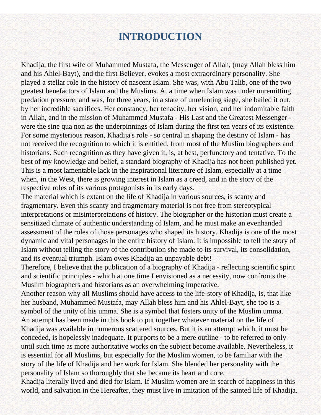# **INTRODUCTION**

<span id="page-2-0"></span>Khadija, the first wife of Muhammed Mustafa, the Messenger of Allah, (may Allah bless him and his Ahlel-Bayt), and the first Believer, evokes a most extraordinary personality. She played a stellar role in the history of nascent Islam. She was, with Abu Talib, one of the two greatest benefactors of Islam and the Muslims. At a time when Islam was under unremitting predation pressure; and was, for three years, in a state of unrelenting siege, she bailed it out, by her incredible sacrifices. Her constancy, her tenacity, her vision, and her indomitable faith in Allah, and in the mission of Muhammed Mustafa - His Last and the Greatest Messenger were the sine qua non as the underpinnings of Islam during the first ten years of its existence. For some mysterious reason, Khadija's role - so central in shaping the destiny of Islam - has not received the recognition to which it is entitled, from most of the Muslim biographers and historians. Such recognition as they have given it, is, at best, perfunctory and tentative. To the best of my knowledge and belief, a standard biography of Khadija has not been published yet. This is a most lamentable lack in the inspirational literature of Islam, especially at a time when, in the West, there is growing interest in Islam as a creed, and in the story of the respective roles of its various protagonists in its early days.

The material which is extant on the life of Khadija in various sources, is scanty and fragmentary. Even this scanty and fragmentary material is not free from stereotypical interpretations or misinterpretations of history. The biographer or the historian must create a sensitized climate of authentic understanding of Islam, and he must make an evenhanded assessment of the roles of those personages who shaped its history. Khadija is one of the most dynamic and vital personages in the entire history of Islam. It is impossible to tell the story of Islam without telling the story of the contribution she made to its survival, its consolidation, and its eventual triumph. Islam owes Khadija an unpayable debt!

Therefore, I believe that the publication of a biography of Khadija - reflecting scientific spirit and scientific principles - which at one time I envisioned as a necessity, now confronts the Muslim biographers and historians as an overwhelming imperative.

Another reason why all Muslims should have access to the life-story of Khadija, is, that like her husband, Muhammed Mustafa, may Allah bless him and his Ahlel-Bayt, she too is a symbol of the unity of his umma. She is a symbol that fosters unity of the Muslim umma. An attempt has been made in this book to put together whatever material on the life of Khadija was available in numerous scattered sources. But it is an attempt which, it must be conceded, is hopelessly inadequate. It purports to be a mere outline - to be referred to only until such time as more authoritative works on the subject become available. Nevertheless, it is essential for all Muslims, but especially for the Muslim women, to be familiar with the story of the life of Khadija and her work for Islam. She blended her personality with the personality of Islam so thoroughly that she became its heart and core.

Khadija literally lived and died for Islam. If Muslim women are in search of happiness in this world, and salvation in the Hereafter, they must live in imitation of the sainted life of Khadija.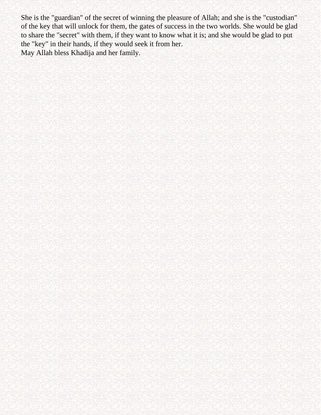She is the "guardian" of the secret of winning the pleasure of Allah; and she is the "custodian" of the key that will unlock for them, the gates of success in the two worlds. She would be glad to share the "secret" with them, if they want to know what it is; and she would be glad to put the "key" in their hands, if they would seek it from her. May Allah bless Khadija and her family.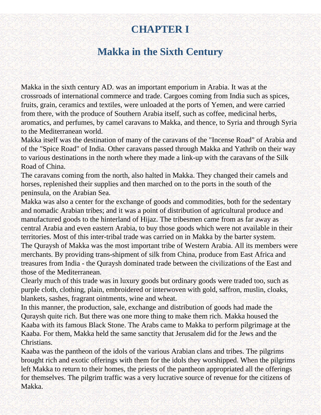# **CHAPTER I**

# **Makka in the Sixth Century**

<span id="page-4-0"></span>Makka in the sixth century AD. was an important emporium in Arabia. It was at the crossroads of international commerce and trade. Cargoes coming from India such as spices, fruits, grain, ceramics and textiles, were unloaded at the ports of Yemen, and were carried from there, with the produce of Southern Arabia itself, such as coffee, medicinal herbs, aromatics, and perfumes, by camel caravans to Makka, and thence, to Syria and through Syria to the Mediterranean world.

Makka itself was the destination of many of the caravans of the "Incense Road" of Arabia and of the "Spice Road" of India. Other caravans passed through Makka and Yathrib on their way to various destinations in the north where they made a link-up with the caravans of the Silk Road of China.

The caravans coming from the north, also halted in Makka. They changed their camels and horses, replenished their supplies and then marched on to the ports in the south of the peninsula, on the Arabian Sea.

Makka was also a center for the exchange of goods and commodities, both for the sedentary and nomadic Arabian tribes; and it was a point of distribution of agricultural produce and manufactured goods to the hinterland of Hijaz. The tribesmen came from as far away as central Arabia and even eastern Arabia, to buy those goods which were not available in their territories. Most of this inter-tribal trade was carried on in Makka by the barter system. The Quraysh of Makka was the most important tribe of Western Arabia. All its members were merchants. By providing trans-shipment of silk from China, produce from East Africa and treasures from India - the Quraysh dominated trade between the civilizations of the East and those of the Mediterranean.

Clearly much of this trade was in luxury goods but ordinary goods were traded too, such as purple cloth, clothing, plain, embroidered or interwoven with gold, saffron, muslin, cloaks, blankets, sashes, fragrant ointments, wine and wheat.

In this manner, the production, sale, exchange and distribution of goods had made the Quraysh quite rich. But there was one more thing to make them rich. Makka housed the Kaaba with its famous Black Stone. The Arabs came to Makka to perform pilgrimage at the Kaaba. For them, Makka held the same sanctity that Jerusalem did for the Jews and the Christians.

Kaaba was the pantheon of the idols of the various Arabian clans and tribes. The pilgrims brought rich and exotic offerings with them for the idols they worshipped. When the pilgrims left Makka to return to their homes, the priests of the pantheon appropriated all the offerings for themselves. The pilgrim traffic was a very lucrative source of revenue for the citizens of Makka.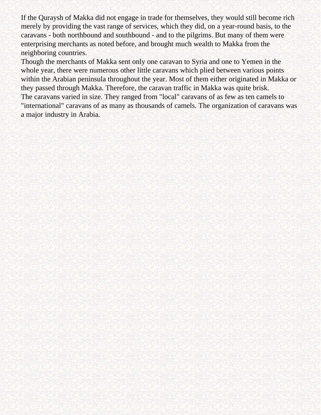If the Quraysh of Makka did not engage in trade for themselves, they would still become rich merely by providing the vast range of services, which they did, on a year-round basis, to the caravans - both northbound and southbound - and to the pilgrims. But many of them were enterprising merchants as noted before, and brought much wealth to Makka from the neighboring countries.

Though the merchants of Makka sent only one caravan to Syria and one to Yemen in the whole year, there were numerous other little caravans which plied between various points within the Arabian peninsula throughout the year. Most of them either originated in Makka or they passed through Makka. Therefore, the caravan traffic in Makka was quite brisk. The caravans varied in size. They ranged from "local" caravans of as few as ten camels to "international" caravans of as many as thousands of camels. The organization of caravans was a major industry in Arabia.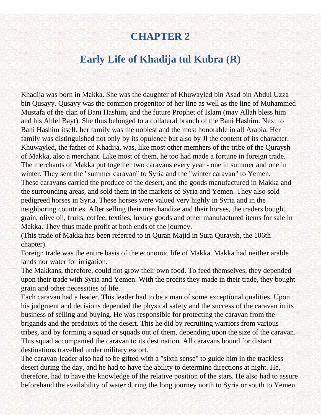# **CHAPTER 2**

# **Early Life of Khadija tul Kubra (R)**

<span id="page-6-0"></span>Khadija was born in Makka. She was the daughter of Khuwayled bin Asad bin Abdul Uzza bin Qusayy. Qusayy was the common progenitor of her line as well as the line of Muhammed Mustafa of the clan of Bani Hashim, and the future Prophet of Islam (may Allah bless him and his Ahlel Bayt). She thus belonged to a collateral branch of the Bani Hashim. Next to Bani Hashim itself, her family was the noblest and the most honorable in all Arabia. Her family was distinguished not only by its opulence but also by Jl the content of its character. Khuwayled, the father of Khadija, was, like most other memhers of the tribe of the Quraysh of Makka, also a merchant. Like most of them, he too had made a fortune in foreign trade. The merchants of Makka put together two caravans every year - one in summer and one in winter. They sent the "summer caravan" to Syria and the "winter caravan" to Yemen. These caravans carried the produce of the desert, and the goods manufactured in Makka and the surrounding areas, and sold them in the markets of Syria and Yemen. They also sold pedigreed horses in Syria. These horses were valued very highly in Syria and in the neighboring countries. After selling their merchandize and their horses, the traders bought grain, olive oil, fruits, coffee, textiles, luxury goods and other manufactured items for sale in Makka. They thus made profit at both ends of the journey.

(This trade of Makka has been referred to in Quran Majid in Sura Quraysh, the 106th chapter).

Foreign trade was the entire basis of the economic life of Makka. Makka had neither arable lands nor water for irrigation.

The Makkans, therefore, could not grow their own food. To feed themselves, they depended upon their trade with Syria and Yemen. With the profits they made in their trade, they bought grain and other necessities of life.

Each caravan had a leader. This leader had to be a man of some exceptional qualities. Upon his judgment and decisions depended the physical safety and the success of the caravan in its business of selling and buying. He was responsible for protecting the caravan from the brigands and the predators of the desert. This he did by recruiting warriors from various tribes, and by forming a squad or squads out of them, depending upon the size of the caravan. This squad accompanied the caravan to its destination. All caravans bound for distant destinations travelled under military escort.

The caravan-leader also had to be gifted with a "sixth sense" to guide him in the trackless desert during the day, and he had to have the ability to determine directions at night. He, therefore, had to have the knowledge of the relative position of the stars. He also had to assure beforehand the availability of water during the long journey north to Syria or south to Yemen.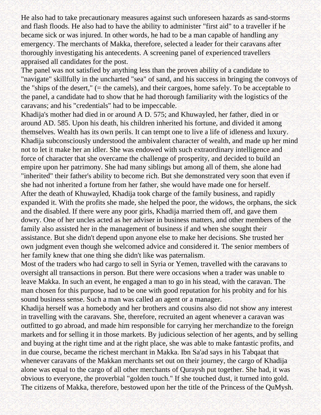He also had to take precautionary measures against such unforeseen hazards as sand-storms and flash floods. He also had to have the ability to administer "first aid" to a traveller if he became sick or was injured. In other words, he had to be a man capable of handling any emergency. The merchants of Makka, therefore, selected a leader for their caravans after thoroughly investigating his antecedents. A screening panel of experienced travellers appraised all candidates for the post.

The panel was not satisfied by anything less than the proven ability of a candidate to "navigate" skillfully in the uncharted "sea" of sand, and his success in bringing the convoys of the "ships of the desert," (= the camels), and their cargoes, home safely. To be acceptable to the panel, a candidate had to show that he had thorough familiarity with the logistics of the caravans; and his "credentials" had to be impeccable.

Khadija's mother had died in or around A D. 575; and Khuwayled, her father, died in or around AD. 585. Upon his death, his children inherited his fortune, and divided it among themselves. Wealth has its own perils. It can tempt one to live a life of idleness and luxury. Khadija subconsciously understood the ambivalent character of wealth, and made up her mind not to let it make her an idler. She was endowed with such extraordinary intelligence and force of character that she overcame the challenge of prosperity, and decided to build an empire upon her patrimony. She had many siblings but among all of them, she alone had "inherited" their father's ability to become rich. But she demonstrated very soon that even if she had not inherited a fortune from her father, she would have made one for herself. After the death of Khuwayled, Khadija took charge of the family business, and rapidly expanded it. With the profits she made, she helped the poor, the widows, the orphans, the sick and the disabled. If there were any poor girls, Khadija married them off, and gave them dowry. One of her uncles acted as her adviser in business matters, and other members of the family also assisted her in the management of business if and when she sought their assistance. But she didn't depend upon anyone else to make her decisions. She trusted her own judgment even though she welcomed advice and considered it. The senior members of her family knew that one thing she didn't like was paternalism.

Most of the traders who had cargo to sell in Syria or Yemen, travelled with the caravans to oversight all transactions in person. But there were occasions when a trader was unable to leave Makka. In such an event, he engaged a man to go in his stead, with the caravan. The man chosen for this purpose, had to be one with good reputation for his probity and for his sound business sense. Such a man was called an agent or a manager.

Khadija herself was a homebody and her brothers and cousins also did not show any interest in travelling with the caravans. She, therefore, recruited an agent whenever a caravan was outfitted to go abroad, and made him responsible for carrying her merchandize to the foreign markets and for selling it in those markets. By judicious selection of her agents, and by selling and buying at the right time and at the right place, she was able to make fantastic profits, and in due course, became the richest merchant in Makka. Ibn Sa'ad says in his Tabqaat that whenever caravans of the Makkan merchants set out on their journey, the cargo of Khadija alone was equal to the cargo of all other merchants of Quraysh put together. She had, it was obvious to everyone, the proverbial "golden touch." If she touched dust, it turned into gold. The citizens of Makka, therefore, bestowed upon her the title of the Princess of the QuMysh.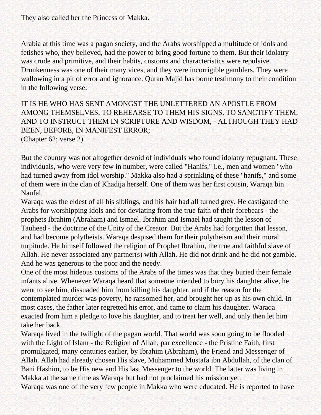They also called her the Princess of Makka.

Arabia at this time was a pagan society, and the Arabs worshipped a multitude of idols and fetishes who, they believed, had the power to bring good fortune to them. But their idolatry was crude and primitive, and their habits, customs and characteristics were repulsive. Drunkenness was one of their many vices, and they were incorrigible gamblers. They were wallowing in a pit of error and ignorance. Quran Majid has borne testimony to their condition in the following verse:

IT IS HE WHO HAS SENT AMONGST THE UNLETTERED AN APOSTLE FROM AMONG THEMSELVES, TO REHEARSE TO THEM HIS SIGNS, TO SANCTIFY THEM, AND TO INSTRUCT THEM IN SCRIPTURE AND WISDOM, - ALTHOUGH THEY HAD BEEN, BEFORE, IN MANIFEST ERROR; (Chapter 62; verse 2)

But the country was not altogether devoid of individuals who found idolatry repugnant. These individuals, who were very few in number, were called "Hanifs," i.e., men and women "who had turned away from idol worship." Makka also had a sprinkling of these "hanifs," and some of them were in the clan of Khadija herself. One of them was her first cousin, Waraqa bin Naufal.

Waraqa was the eldest of all his siblings, and his hair had all turned grey. He castigated the Arabs for worshipping idols and for deviating from the true faith of their forebears - the prophets Ibrahim (Abraham) and Ismael. Ibrahim and Ismael had taught the lesson of Tauheed - the doctrine of the Unity of the Creator. But the Arabs had forgotten that lesson, and had become polytheists. Waraqa despised them for their polytheism and their moral turpitude. He himself followed the religion of Prophet Ibrahim, the true and faithful slave of Allah. He never associated any partner(s) with Allah. He did not drink and he did not gamble. And he was generous to the poor and the needy.

One of the most hideous customs of the Arabs of the times was that they buried their female infants alive. Whenever Waraqa heard that someone intended to bury his daughter alive, he went to see him, dissuaded him from killing his daughter, and if the reason for the contemplated murder was poverty, he ransomed her, and brought her up as his own child. In most cases, the father later regretted his error, and came to claim his daughter. Waraqa exacted from him a pledge to love his daughter, and to treat her well, and only then let him take her back.

Waraqa lived in the twilight of the pagan world. That world was soon going to be flooded with the Light of Islam - the Religion of Allah, par excellence - the Pristine Faith, first promulgated, many centuries earlier, by Ibrahim (Abraham), the Friend and Messenger of Allah. Allah had already chosen His slave, Muhammed Mustafa ibn Abdullah, of the clan of Bani Hashim, to be His new and His last Messenger to the world. The latter was living in Makka at the same time as Waraqa but had not proclaimed his mission yet.

Waraqa was one of the very few people in Makka who were educated. He is reported to have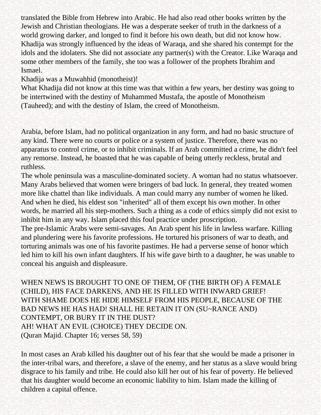translated the Bible from Hebrew into Arabic. He had also read other books written by the Jewish and Christian theologians. He was a desperate seeker of truth in the darkness of a world growing darker, and longed to find it before his own death, but did not know how. Khadija was strongly influenced by the ideas of Waraqa, and she shared his contempt for the idols and the idolaters. She did not associate any partner(s) with the Creator. Like Waraqa and some other members of the family, she too was a follower of the prophets Ibrahim and Ismael.

Khadija was a Muwahhid (monotheist)!

What Khadija did not know at this time was that within a few years, her destiny was going to be intertwined with the destiny of Muhammed Mustafa, the apostle of Monotheism (Tauheed); and with the destiny of Islam, the creed of Monotheism.

Arabia, before Islam, had no political organization in any form, and had no basic structure of any kind. There were no courts or police or a system of justice. Therefore, there was no apparatus to control crime, or to inhibit criminals. If an Arab committed a crime, he didn't feel any remorse. Instead, he boasted that he was capable of being utterly reckless, brutal and ruthless.

The whole peninsula was a masculine-dominated society. A woman had no status whatsoever. Many Arabs believed that women were bringers of bad luck. In general, they treated women more like chattel than like individuals. A man could marry any number of women he liked. And when he died, his eldest son "inherited" all of them except his own mother. In other words, he married all his step-mothers. Such a thing as a code of ethics simply did not exist to inhibit him in any way. Islam placed this foul practice under proscription.

The pre-Islamic Arabs were semi-savages. An Arab spent his life in lawless warfare. Killing and plundering were his favorite professions. He tortured his prisoners of war to death, and torturing animals was one of his favorite pastimes. He had a perverse sense of honor which led him to kill his own infant daughters. If his wife gave birth to a daughter, he was unable to conceal his anguish and displeasure.

WHEN NEWS IS BROUGHT TO ONE OF THEM, OF (THE BIRTH OF) A FEMALE (CHILD), HIS FACE DARKENS, AND HE IS FILLED WITH INWARD GRIEF! WITH SHAME DOES HE HIDE HIMSELF FROM HIS PEOPLE, BECAUSE OF THE BAD NEWS HE HAS HAD! SHALL HE RETAIN IT ON (SU~RANCE AND) CONTEMPT, OR BURY IT IN THE DUST? AH! WHAT AN EVIL (CHOICE) THEY DECIDE ON. (Quran Majid. Chapter 16; verses 58, 59)

In most cases an Arab killed his daughter out of his fear that she would be made a prisoner in the inter-tribal wars, and therefore, a slave of the enemy, and her status as a slave would bring disgrace to his family and tribe. He could also kill her out of his fear of poverty. He believed that his daughter would become an economic liability to him. Islam made the killing of children a capital offence.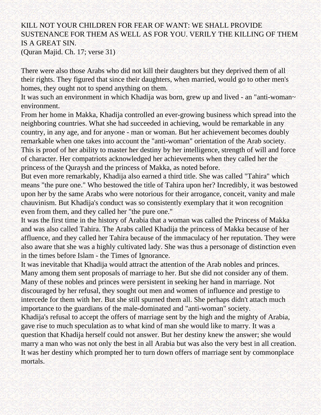### KILL NOT YOUR CHILDREN FOR FEAR OF WANT: WE SHALL PROVIDE SUSTENANCE FOR THEM AS WELL AS FOR YOU. VERILY THE KILLING OF THEM IS A GREAT SIN.

(Quran Majid. Ch. 17; verse 31)

There were also those Arabs who did not kill their daughters but they deprived them of all their rights. They figured that since their daughters, when married, would go to other men's homes, they ought not to spend anything on them.

It was such an environment in which Khadija was born, grew up and lived - an "anti-woman~ environment.

From her home in Makka, Khadija controlled an ever-growing business which spread into the neighboring countries. What she had succeeded in achieving, would be remarkable in any country, in any age, and for anyone - man or woman. But her achievement becomes doubly remarkable when one takes into account the "anti-woman" orientation of the Arab society. This is proof of her ability to master her destiny by her intelligence, strength of will and force of character. Her compatriots acknowledged her achievements when they called her the princess of the Quraysh and the princess of Makka, as noted before.

But even more remarkably, Khadija also earned a third title. She was called "Tahira" which means "the pure one." Who bestowed the title of Tahira upon her? Incredibly, it was bestowed upon her by the same Arabs who were notorious for their arrogance, conceit, vanity and male chauvinism. But Khadija's conduct was so consistently exemplary that it won recognition even from them, and they called her "the pure one."

It was the first time in the history of Arabia that a woman was called the Princess of Makka and was also called Tahira. The Arabs called Khadija the princess of Makka because of her affluence, and they called her Tahira because of the immaculacy of her reputation. They were also aware that she was a highly cultivated lady. She was thus a personage of distinction even in the times before Islam - the Times of Ignorance.

It was inevitable that Khadija would attract the attention of the Arab nobles and princes. Many among them sent proposals of marriage to her. But she did not consider any of them. Many of these nobles and princes were persistent in seeking her hand in marriage. Not discouraged by her refusal, they sought out men and women of influence and prestige to intercede for them with her. But she still spurned them all. She perhaps didn't attach much importance to the guardians of the male-dominated and "anti-woman" society.

Khadija's refusal to accept the offers of marriage sent by the high and the mighty of Arabia, gave rise to much speculation as to what kind of man she would like to marry. It was a question that Khadija herself could not answer. But her destiny knew the answer; she would marry a man who was not only the best in all Arabia but was also the very best in all creation. It was her destiny which prompted her to turn down offers of marriage sent by commonplace mortals.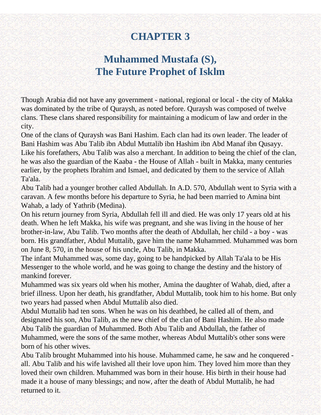# **CHAPTER 3**

# **Muhammed Mustafa (S), The Future Prophet of Isklm**

<span id="page-11-0"></span>Though Arabia did not have any government - national, regional or local - the city of Makka was dominated by the tribe of Quraysh, as noted before. Quraysh was composed of twelve clans. These clans shared responsibility for maintaining a modicum of law and order in the city.

One of the clans of Quraysh was Bani Hashim. Each clan had its own leader. The leader of Bani Hashim was Abu Talib ibn Abdul Muttalib ibn Hashim ibn Abd Manaf ibn Qusayy. Like his forefathers, Abu Talib was also a merchant. In addition to being the chief of the clan, he was also the guardian of the Kaaba - the House of Allah - built in Makka, many centuries earlier, by the prophets Ibrahim and Ismael, and dedicated by them to the service of Allah Ta'ala.

Abu Talib had a younger brother called Abdullah. In A.D. 570, Abdullah went to Syria with a caravan. A few months before his departure to Syria, he had been married to Amina bint Wahab, a lady of Yathrib (Medina).

On his return journey from Syria, Abdullah fell ill and died. He was only 17 years old at his death. When he left Makka, his wife was pregnant, and she was living in the house of her brother-in-law, Abu Talib. Two months after the death of Abdullah, her child - a boy - was born. His grandfather, Abdul Muttalib, gave him the name Muhammed. Muhammed was born on June 8, 570, in the house of his uncle, Abu Talib, in Makka.

The infant Muhammed was, some day, going to be handpicked by Allah Ta'ala to be His Messenger to the whole world, and he was going to change the destiny and the history of mankind forever.

Muhammed was six years old when his mother, Amina the daughter of Wahab, died, after a brief illness. Upon her death, his grandfather, Abdul Muttalib, took him to his home. But only two years had passed when Abdul Muttalib also died.

Abdul Muttalib had ten sons. When he was on his deathbed, he called all of them, and designated his son, Abu Talib, as the new chief of the clan of Bani Hashim. He also made Abu Talib the guardian of Muhammed. Both Abu Talib and Abdullah, the father of Muhammed, were the sons of the same mother, whereas Abdul Muttalib's other sons were born of his other wives.

Abu Talib brought Muhammed into his house. Muhammed came, he saw and he conquered all. Abu Talib and his wife lavished all their love upon him. They loved him more than they loved their own children. Muhammed was born in their house. His birth in their house had made it a house of many blessings; and now, after the death of Abdul Muttalib, he had returned to it.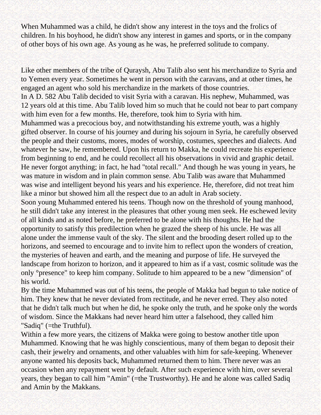When Muhammed was a child, he didn't show any interest in the toys and the frolics of children. In his boyhood, he didn't show any interest in games and sports, or in the company of other boys of his own age. As young as he was, he preferred solitude to company.

Like other members of the tribe of Quraysh, Abu Talib also sent his merchandize to Syria and to Yemen every year. Sometimes he went in person with the caravans, and at other times, he engaged an agent who sold his merchandize in the markets of those countries. In A D. 582 Abu Talib decided to visit Syria with a caravan. His nephew, Muhammed, was 12 years old at this time. Abu Talib loved him so much that he could not bear to part company with him even for a few months. He, therefore, took him to Syria with him. Muhammed was a precocious boy, and notwithstanding his extreme youth, was a highly gifted observer. In course of his journey and during his sojourn in Syria, he carefully observed the people and their customs, mores, modes of worship, costumes, speeches and dialects. And whatever he saw, he remembered. Upon his return to Makka, he could recreate his experience from beginning to end, and he could recollect all his observations in vivid and graphic detail. He never forgot anything; in fact, he had "total recall." And though he was young in years, he was mature in wisdom and in plain common sense. Abu Talib was aware that Muhammed was wise and intelligent beyond his years and his experience. He, therefore, did not treat him like a minor but showed him all the respect due to an adult in Arab society.

Soon young Muhammed entered his teens. Though now on the threshold of young manhood, he still didn't take any interest in the pleasures that other young men seek. He eschewed levity of all kinds and as noted before, he preferred to be alone with his thoughts. He had the opportunity to satisfy this predilection when he grazed the sheep of his uncle. He was all alone under the immense vault of the sky. The silent and the brooding desert rolled up to the horizons, and seemed to encourage and to invite him to reflect upon the wonders of creation, the mysteries of heaven and earth, and the meaning and purpose of life. He surveyed the landscape from horizon to horizon, and it appeared to him as if a vast, cosmic solitude was the only °presence" to keep him company. Solitude to him appeared to be a new "dimension" of his world.

By the time Muhammed was out of his teens, the people of Makka had begun to take notice of him. They knew that he never deviated from rectitude, and he never erred. They also noted that he didn't talk much but when he did, he spoke only the truth, and he spoke only the words of wisdom. Since the Makkans had never heard him utter a falsehood, they called him "Sadiq" (=the Truthful).

Within a few more years, the citizens of Makka were going to bestow another title upon Muhammed. Knowing that he was highly conscientious, many of them began to deposit their cash, their jewelry and ornaments, and other valuables with him for safe-keeping. Whenever anyone wanted his deposits back, Muhammed returned them to him. There never was an occasion when any repayment went by default. After such experience with him, over several years, they began to call him "Amin" (=the Trustworthy). He and he alone was called Sadiq and Amin by the Makkans.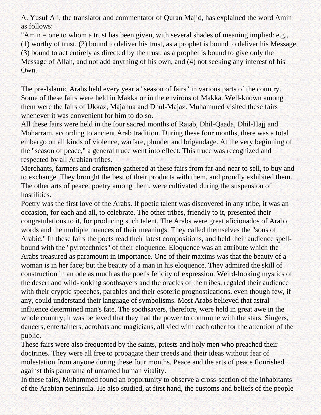A. Yusuf Ali, the translator and commentator of Quran Majid, has explained the word Amin as follows:

"Amin = one to whom a trust has been given, with several shades of meaning implied: e.g., (1) worthy of trust, (2) bound to deliver his trust, as a prophet is bound to deliver his Message, (3) bound to act entirely as directed by the trust, as a prophet is bound to give only the Message of Allah, and not add anything of his own, and (4) not seeking any interest of his Own.

The pre-Islamic Arabs held every year a "season of fairs" in various parts of the country. Some of these fairs were held in Makka or in the environs of Makka. Well-known among them were the fairs of Ukkaz, Majanna and Dhul-Majaz. Muhammed visited these fairs whenever it was convenient for him to do so.

All these fairs were held in the four sacred months of Rajab, Dhil-Qaada, Dhil-Hajj and Moharram, according to ancient Arab tradition. During these four months, there was a total embargo on all kinds of violence, warfare, plunder and brigandage. At the very beginning of the "season of peace," a general truce went into effect. This truce was recognized and respected by all Arabian tribes.

Merchants, farmers and craftsmen gathered at these fairs from far and near to sell, to buy and to exchange. They brought the best of their products with them, and proudly exhibited them. The other arts of peace, poetry among them, were cultivated during the suspension of hostilities.

Poetry was the first love of the Arabs. If poetic talent was discovered in any tribe, it was an occasion, for each and all, to celebrate. The other tribes, friendly to it, presented their congratulations to it, for producing such talent. The Arabs were great aficionados of Arabic words and the multiple nuances of their meanings. They called themselves the "sons of Arabic." In these fairs the poets read their latest compositions, and held their audience spellbound with the "pyrotechnics" of their eloquence. Eloquence was an attribute which the Arabs treasured as paramount in importance. One of their maxims was that the beauty of a woman is in her face; but the beauty of a man in his eloquence. They admired the skill of construction in an ode as much as the poet's felicity of expression. Weird-looking mystics of the desert and wild-looking soothsayers and the oracles of the tribes, regaled their audience with their cryptic speeches, parables and their esoteric prognostications, even though few, if any, could understand their language of symbolisms. Most Arabs believed that astral influence determined man's fate. The soothsayers, therefore, were held in great awe in the whole country; it was believed that they had the power to commune with the stars. Singers, dancers, entertainers, acrobats and magicians, all vied with each other for the attention of the public.

These fairs were also frequented by the saints, priests and holy men who preached their doctrines. They were all free to propagate their creeds and their ideas without fear of molestation from anyone during these four months. Peace and the arts of peace flourished against this panorama of untamed human vitality.

In these fairs, Muhammed found an opportunity to observe a cross-section of the inhabitants of the Arabian peninsula. He also studied, at first hand, the customs and beliefs of the people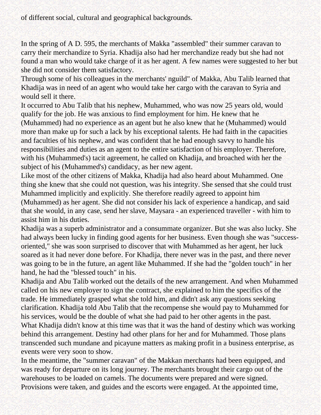of different social, cultural and geographical backgrounds.

In the spring of A D. 595, the merchants of Makka "assembled" their summer caravan to carry their merchandize to Syria. Khadija also had her merchandize ready but she had not found a man who would take charge of it as her agent. A few names were suggested to her but she did not consider them satisfactory.

Through some of his colleagues in the merchants' nguild" of Makka, Abu Talib learned that Khadija was in need of an agent who would take her cargo with the caravan to Syria and would sell it there.

It occurred to Abu Talib that his nephew, Muhammed, who was now 25 years old, would qualify for the job. He was anxious to find employment for him. He knew that he (Muhammed) had no experience as an agent but he also knew that he (Muhammed) would more than make up for such a lack by his exceptional talents. He had faith in the capacities and faculties of his nephew, and was confident that he had enough savvy to handle his responsibilities and duties as an agent to the entire satisfaction of his employer. Therefore, with his (Muhammed's) tacit agreement, he called on Khadija, and broached with her the subject of his (Muhammed's) candidacy, as her new agent.

Like most of the other citizens of Makka, Khadija had also heard about Muhammed. One thing she knew that she could not question, was his integrity. She sensed that she could trust Muhammed implicitly and explicitly. She therefore readily agreed to appoint him (Muhammed) as her agent. She did not consider his lack of experience a handicap, and said that she would, in any case, send her slave, Maysara - an experienced traveller - with him to assist him in his duties.

Khadija was a superb administrator and a consummate organizer. But she was also lucky. She had always been lucky in finding good agents for her business. Even though she was "successoriented," she was soon surprised to discover that with Muhammed as her agent, her luck soared as it had never done before. For Khadija, there never was in the past, and there never was going to be in the future, an agent like Muhammed. If she had the "golden touch" in her hand, he had the "blessed touch" in his.

Khadija and Abu Talib worked out the details of the new arrangement. And when Muhammed called on his new employer to sign the contract, she explained to him the specifics of the trade. He immediately grasped what she told him, and didn't ask any questions seeking clarification. Khadija told Abu Talib that the recompense she would pay to Muhammed for his services, would be the double of what she had paid to her other agents in the past.

What Khadija didn't know at this time was that it was the hand of destiny which was working behind this arrangement. Destiny had other plans for her and for Muhammed. Those plans transcended such mundane and picayune matters as making profit in a business enterprise, as events were very soon to show.

In the meantime, the "summer caravan" of the Makkan merchants had been equipped, and was ready for departure on its long journey. The merchants brought their cargo out of the warehouses to be loaded on camels. The documents were prepared and were signed. Provisions were taken, and guides and the escorts were engaged. At the appointed time,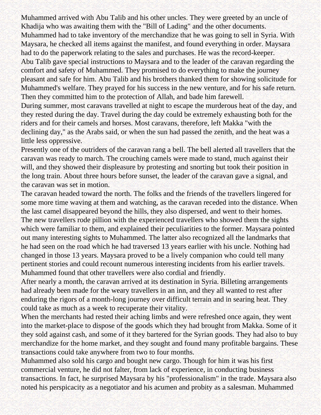Muhammed arrived with Abu Talib and his other uncles. They were greeted by an uncle of Khadija who was awaiting them with the "Bill of Lading" and the other documents. Muhammed had to take inventory of the merchandize that he was going to sell in Syria. With Maysara, he checked all items against the manifest, and found everything in order. Maysara had to do the paperwork relating to the sales and purchases. He was the record-keeper. Abu Talib gave special instructions to Maysara and to the leader of the caravan regarding the comfort and safety of Muhammed. They promised to do everything to make the journey pleasant and safe for him. Abu Talib and his brothers thanked them for showing solicitude for Muhammed's welfare. They prayed for his success in the new venture, and for his safe return. Then they committed him to the protection of Allah, and bade him farewell.

During summer, most caravans travelled at night to escape the murderous heat of the day, and they rested during the day. Travel during the day could be extremely exhausting both for the riders and for their camels and horses. Most caravans, therefore, left Makka "with the declining day," as the Arabs said, or when the sun had passed the zenith, and the heat was a little less oppressive.

Presently one of the outriders of the caravan rang a bell. The bell alerted all travellers that the caravan was ready to march. The crouching camels were made to stand, much against their will, and they showed their displeasure by protesting and snorting but took their position in the long train. About three hours before sunset, the leader of the caravan gave a signal, and the caravan was set in motion.

The caravan headed toward the north. The folks and the friends of the travellers lingered for some more time waving at them and watching, as the caravan receded into the distance. When the last camel disappeared beyond the hills, they also dispersed, and went to their homes. The new travellers rode pillion with the experienced travellers who showed them the sights which were familiar to them, and explained their peculiarities to the former. Maysara pointed out many interesting sights to Muhammed. The latter also recognized all the landmarks that he had seen on the road which he had traversed 13 years earlier with his uncle. Nothing had changed in those 13 years. Maysara proved to be a lively companion who could tell many pertinent stories and could recount numerous interesting incidents from his earlier travels. Muhammed found that other travellers were also cordial and friendly.

After nearly a month, the caravan arrived at its destination in Syria. Billeting arrangements had already been made for the weary travellers in an inn, and they all wanted to rest after enduring the rigors of a month-long journey over difficult terrain and in searing heat. They could take as much as a week to recuperate their vitality.

When the merchants had rested their aching limbs and were refreshed once again, they went into the market-place to dispose of the goods which they had brought from Makka. Some of it they sold against cash, and some of it they bartered for the Syrian goods. They had also to buy merchandize for the home market, and they sought and found many profitable bargains. These transactions could take anywhere from two to four months.

Muhammed also sold his cargo and bought new cargo. Though for him it was his first commercial venture, he did not falter, from lack of experience, in conducting business transactions. In fact, he surprised Maysara by his "professionalism" in the trade. Maysara also noted his perspicacity as a negotiator and his acumen and probity as a salesman. Muhammed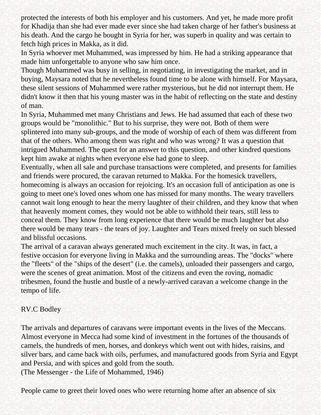protected the interests of both his employer and his customers. And yet, he made more profit for Khadija than she had ever made ever since she had taken charge of her father's business at his death. And the cargo he bought in Syria for her, was superb in quality and was certain to fetch high prices in Makka, as it did.

In Syria whoever met Muhammed, was impressed by him. He had a striking appearance that made him unforgettable to anyone who saw him once.

Though Muhammed was busy in selling, in negotiating, in investigating the market, and in buying, Maysara noted that he nevertheless found time to be alone with himself. For Maysara, these silent sessions of Muhammed were rather mysterious, but he did not interrupt them. He didn't know it then that his young master was in the habit of reflecting on the state and destiny of man.

In Syria, Muhammed met many Christians and Jews. He had assumed that each of these two groups would be "monolithic." But to his surprise, they were not. Both of them were splintered into many sub-groups, and the mode of worship of each of them was different from that of the others. Who among them was right and who was wrong? It was a question that intrigued Muhammed. The quest for an answer to this question, and other kindred questions kept him awake at nights when everyone else had gone to sleep.

Eventually, when all sale and purchase transactions were completed, and presents for families and friends were procured, the caravan returned to Makka. For the homesick travellers, homecoming is always an occasion for rejoicing. It's an occasion full of anticipation as one is going to meet one's loved ones whom one has missed for many months. The weary travellers cannot wait long enough to hear the merry laughter of their children, and they know that when that heavenly moment comes, they would not be able to withhold their tears, still less to conceal them. They know from long experience that there would be much laughter but also there would be many tears - the tears of joy. Laughter and Tears mixed freely on such blessed and blissful occasions.

The arrival of a caravan always generated much excitement in the city. It was, in fact, a festive occasion for everyone living in Makka and the surrounding areas. The "docks" where the "fleets" of the "ships of the desert" (i.e. the camels), unloaded their passengers and cargo, were the scenes of great animation. Most of the citizens and even the roving, nomadic tribesmen, found the hustle and bustle of a newly-arrived caravan a welcome change in the tempo of life.

#### RV.C Bodley

The arrivals and departures of caravans were important events in the lives of the Meccans. Almost everyone in Mecca had some kind of investment in the fortunes of the thousands of camels, the hundreds of men, horses, and donkeys which went out with hides, raisins, and silver bars, and came back with oils, perfumes, and manufactured goods from Syria and Egypt and Persia, and with spices and gold from the south.

(The Messenger - the Life of Mohammed, 1946)

People came to greet their loved ones who were returning home after an absence of six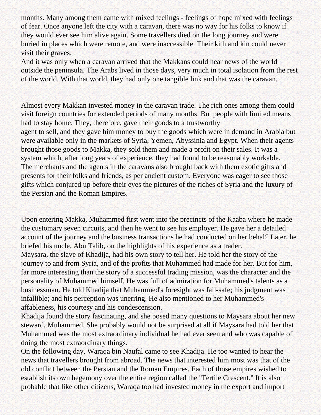months. Many among them came with mixed feelings - feelings of hope mixed with feelings of fear. Once anyone left the city with a caravan, there was no way for his folks to know if they would ever see him alive again. Some travellers died on the long journey and were buried in places which were remote, and were inaccessible. Their kith and kin could never visit their graves.

And it was only when a caravan arrived that the Makkans could hear news of the world outside the peninsula. The Arabs lived in those days, very much in total isolation from the rest of the world. With that world, they had only one tangible link and that was the caravan.

Almost every Makkan invested money in the caravan trade. The rich ones among them could visit foreign countries for extended periods of many months. But people with limited means had to stay home. They, therefore, gave their goods to a trustworthy agent to sell, and they gave him money to buy the goods which were in demand in Arabia but were available only in the markets of Syria, Yemen, Abyssinia and Egypt. When their agents brought those goods to Makka, they sold them and made a profit on their sales. It was a system which, after long years of experience, they had found to be reasonably workable. The merchants and the agents in the caravans also brought back with them exotic gifts and presents for their folks and friends, as per ancient custom. Everyone was eager to see those gifts which conjured up before their eyes the pictures of the riches of Syria and the luxury of the Persian and the Roman Empires.

Upon entering Makka, Muhammed first went into the precincts of the Kaaba where he made the customary seven circuits, and then he went to see his employer. He gave her a detailed account of the journey and the business transactions he had conducted on her behal£ Later, he briefed his uncle, Abu Talib, on the highlights of his experience as a trader.

Maysara, the slave of Khadija, had his own story to tell her. He told her the story of the journey to and from Syria, and of the profits that Muhammed had made for her. But for him, far more interesting than the story of a successful trading mission, was the character and the personality of Muhammed himself. He was full of admiration for Muhammed's talents as a businessman. He told Khadija that Muhammed's foresight was fail-safe; his judgment was infallible; and his perception was unerring. He also mentioned to her Muhammed's affableness, his courtesy and his condescension.

Khadija found the story fascinating, and she posed many questions to Maysara about her new steward, Muhammed. She probably would not be surprised at all if Maysara had told her that Muhammed was the most extraordinary individual he had ever seen and who was capable of doing the most extraordinary things.

On the following day, Waraqa bin Naufal came to see Khadija. He too wanted to hear the news that travellers brought from abroad. The news that interested him most was that of the old conflict between the Persian and the Roman Empires. Each of those empires wished to establish its own hegemony over the entire region called the "Fertile Crescent." It is also probable that like other citizens, Waraqa too had invested money in the export and import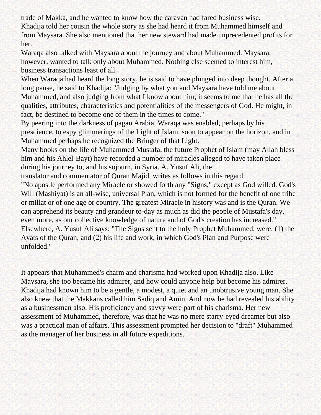trade of Makka, and he wanted to know how the caravan had fared business wise. Khadija told her cousin the whole story as she had heard it from Muhammed himself and from Maysara. She also mentioned that her new steward had made unprecedented profits for her.

Waraqa also talked with Maysara about the journey and about Muhammed. Maysara, however, wanted to talk only about Muhammed. Nothing else seemed to interest him, business transactions least of all.

When Waraqa had heard the long story, he is said to have plunged into deep thought. After a long pause, he said to Khadija: "Judging by what you and Maysara have told me about Muhammed, and also judging from what I know about him, it seems to me that he has all the qualities, attributes, characteristics and potentialities of the messengers of God. He might, in fact, be destined to become one of them in the times to come."

By peering into the darkness of pagan Arabia, Waraqa was enabled, perhaps by his prescience, to espy glimmerings of the Light of Islam, soon to appear on the horizon, and in Muhammed perhaps he recognized the Bringer of that Light.

Many books on the life of Muhammed Mustafa, the future Prophet of Islam (may Allah bless him and his Ahlel-Bayt) have recorded a number of miracles alleged to have taken place during his journey to, and his sojourn, in Syria. A. Yusuf Ali, the

translator and commentator of Quran Majid, writes as follows in this regard:

"No apostle performed any Miracle or showed forth any "Signs," except as God willed. God's Will (Mashiyat) is an all-wise, universal Plan, which is not formed for the benefit of one tribe or millat or of one age or country. The greatest Miracle in history was and is the Quran. We can apprehend its beauty and grandeur to-day as much as did the people of Mustafa's day, even more, as our collective knowledge of nature and of God's creation has increased." Elsewhere, A. Yusuf Ali says: "The Signs sent to the holy Prophet Muhammed, were: (1) the Ayats of the Quran, and (2) his life and work, in which God's Plan and Purpose were unfolded."

It appears that Muhammed's charm and charisma had worked upon Khadija also. Like Maysara, she too became his admirer, and how could anyone help but become his admirer. Khadija had known him to be a gentle, a modest, a quiet and an unobtrusive young man. She also knew that the Makkans called him Sadiq and Amin. And now he had revealed his ability as a businessman also. His proficiency and savvy were part of his charisma. Her new assessment of Muhammed, therefore, was that he was no mere starry-eyed dreamer but also was a practical man of affairs. This assessment prompted her decision to "draft" Muhammed as the manager of her business in all future expeditions.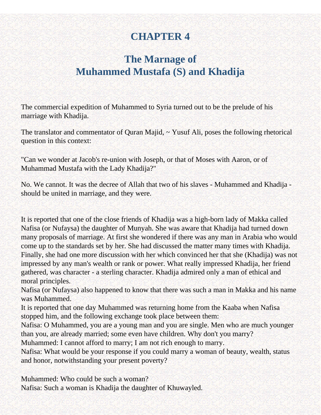# **CHAPTER 4**

# <span id="page-19-0"></span>**The Marnage of Muhammed Mustafa (S) and Khadija**

The commercial expedition of Muhammed to Syria turned out to be the prelude of his marriage with Khadija.

The translator and commentator of Quran Majid, ~ Yusuf Ali, poses the following rhetorical question in this context:

"Can we wonder at Jacob's re-union with Joseph, or that of Moses with Aaron, or of Muhammad Mustafa with the Lady Khadija?"

No. We cannot. It was the decree of Allah that two of his slaves - Muhammed and Khadija should be united in marriage, and they were.

It is reported that one of the close friends of Khadija was a high-born lady of Makka called Nafisa (or Nufaysa) the daughter of Munyah. She was aware that Khadija had turned down many proposals of marriage. At first she wondered if there was any man in Arabia who would come up to the standards set by her. She had discussed the matter many times with Khadija. Finally, she had one more discussion with her which convinced her that she (Khadija) was not impressed by any man's wealth or rank or power. What really impressed Khadija, her friend gathered, was character - a sterling character. Khadija admired only a man of ethical and moral principles.

Nafisa (or Nufaysa) also happened to know that there was such a man in Makka and his name was Muhammed.

It is reported that one day Muhammed was returning home from the Kaaba when Nafisa stopped him, and the following exchange took place between them:

Nafisa: O Muhammed, you are a young man and you are single. Men who are much younger than you, are already married; some even have children. Why don't you marry?

Muhammed: I cannot afford to marry; I am not rich enough to marry.

Nafisa: What would be your response if you could marry a woman of beauty, wealth, status and honor, notwithstanding your present poverty?

Muhammed: Who could be such a woman? Nafisa: Such a woman is Khadija the daughter of Khuwayled.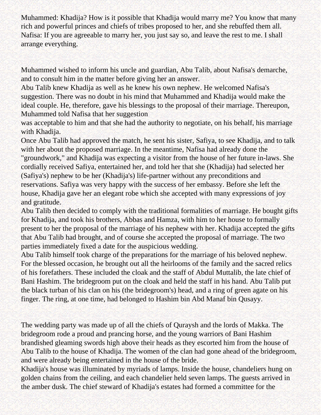Muhammed: Khadija? How is it possible that Khadija would marry me? You know that many rich and powerful princes and chiefs of tribes proposed to her, and she rebuffed them all. Nafisa: If you are agreeable to marry her, you just say so, and leave the rest to me. I shall arrange everything.

Muhammed wished to inform his uncle and guardian, Abu Talib, about Nafisa's demarche, and to consult him in the matter before giving her an answer.

Abu Talib knew Khadija as well as he knew his own nephew. He welcomed Nafisa's suggestion. There was no doubt in his mind that Muhammed and Khadija would make the ideal couple. He, therefore, gave his blessings to the proposal of their marriage. Thereupon, Muhammed told Nafisa that her suggestion

was acceptable to him and that she had the authority to negotiate, on his behalf, his marriage with Khadija.

Once Abu Talib had approved the match, he sent his sister, Safiya, to see Khadija, and to talk with her about the proposed marriage. In the meantime, Nafisa had already done the "groundwork," and Khadija was expecting a visitor from the house of her future in-laws. She cordially received Safiya, entertained her, and told her that she (Khadija) had selected her (Safiya's) nephew to be her (Khadija's) life-partner without any preconditions and reservations. Safiya was very happy with the success of her embassy. Before she left the house, Khadija gave her an elegant robe which she accepted with many expressions of joy and gratitude.

Abu Talib then decided to comply with the traditional formalities of marriage. He bought gifts for Khadija, and took his brothers, Abbas and Hamza, with him to her house to formally present to her the proposal of the marriage of his nephew with her. Khadija accepted the gifts that Abu Talib had brought, and of course she accepted the proposal of marriage. The two parties immediately fixed a date for the auspicious wedding.

Abu Talib himself took charge of the preparations for the marriage of his beloved nephew. For the blessed occasion, he brought out all the heirlooms of the family and the sacred relics of his forefathers. These included the cloak and the staff of Abdul Muttalib, the late chief of Bani Hashim. The bridegroom put on the cloak and held the staff in his hand. Abu Talib put the black turban of his clan on his (the bridegroom's) head, and a ring of green agate on his finger. The ring, at one time, had belonged to Hashim bin Abd Manaf bin Qusayy.

The wedding party was made up of all the chiefs of Quraysh and the lords of Makka. The bridegroom rode a proud and prancing horse, and the young warriors of Bani Hashim brandished gleaming swords high above their heads as they escorted him from the house of Abu Talib to the house of Khadija. The women of the clan had gone ahead of the bridegroom, and were already being entertained in the house of the bride.

Khadija's house was illuminated by myriads of lamps. Inside the house, chandeliers hung on golden chains from the ceiling, and each chandelier held seven lamps. The guests arrived in the amber dusk. The chief steward of Khadija's estates had formed a committee for the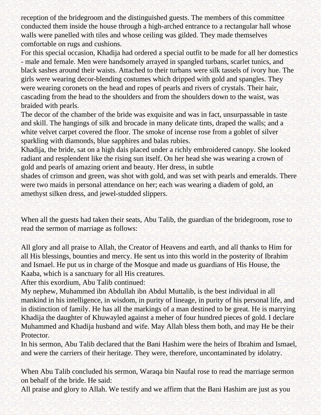reception of the bridegroom and the distinguished guests. The members of this committee conducted them inside the house through a high-arched entrance to a rectangular hall whose walls were panelled with tiles and whose ceiling was gilded. They made themselves comfortable on rugs and cushions.

For this special occasion, Khadija had ordered a special outfit to be made for all her domestics - male and female. Men were handsomely arrayed in spangled turbans, scarlet tunics, and black sashes around their waists. Attached to their turbans were silk tassels of ivory hue. The girls were wearing decor-blending costumes which dripped with gold and spangles. They were wearing coronets on the head and ropes of pearls and rivers of crystals. Their hair, cascading from the head to the shoulders and from the shoulders down to the waist, was braided with pearls.

The decor of the chamber of the bride was exquisite and was in fact, unsurpassable in taste and skill. The hangings of silk and brocade in many delicate tints, draped the walls; and a white velvet carpet covered the floor. The smoke of incense rose from a goblet of silver sparkling with diamonds, blue sapphires and balas rubies.

Khadija, the bride, sat on a high dais placed under a richly embroidered canopy. She looked radiant and resplendent like the rising sun itself. On her head she was wearing a crown of gold and pearls of amazing orient and beauty. Her dress, in subtle

shades of crimson and green, was shot with gold, and was set with pearls and emeralds. There were two maids in personal attendance on her; each was wearing a diadem of gold, an amethyst silken dress, and jewel-studded slippers.

When all the guests had taken their seats, Abu Talib, the guardian of the bridegroom, rose to read the sermon of marriage as follows:

All glory and all praise to Allah, the Creator of Heavens and earth, and all thanks to Him for all His blessings, bounties and mercy. He sent us into this world in the posterity of Ibrahim and Ismael. He put us in charge of the Mosque and made us guardians of His House, the Kaaba, which is a sanctuary for all His creatures.

After this exordium, Abu Talib continued:

My nephew, Muhammed ibn Abdullah ibn Abdul Muttalib, is the best individual in all mankind in his intelligence, in wisdom, in purity of lineage, in purity of his personal life, and in distinction of family. He has all the markings of a man destined to be great. He is marrying Khadija the daughter of Khuwayled against a meher of four hundred pieces of gold. I declare Muhammed and Khadija husband and wife. May Allah bless them both, and may He be their Protector.

In his sermon, Abu Talib declared that the Bani Hashim were the heirs of Ibrahim and Ismael, and were the carriers of their heritage. They were, therefore, uncontaminated by idolatry.

When Abu Talib concluded his sermon, Waraqa bin Naufal rose to read the marriage sermon on behalf of the bride. He said:

All praise and glory to Allah. We testify and we affirm that the Bani Hashim are just as you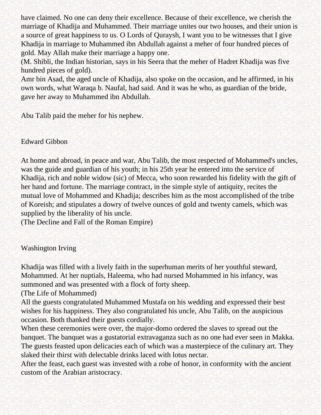have claimed. No one can deny their excellence. Because of their excellence, we cherish the marriage of Khadija and Muhammed. Their marriage unites our two houses, and their union is a source of great happiness to us. O Lords of Quraysh, I want you to be witnesses that I give Khadija in marriage to Muhammed ibn Abdullah against a meher of four hundred pieces of gold. May Allah make their marriage a happy one.

(M. Shibli, the Indian historian, says in his Seera that the meher of Hadret Khadija was five hundred pieces of gold).

Amr bin Asad, the aged uncle of Khadija, also spoke on the occasion, and he affirmed, in his own words, what Waraqa b. Naufal, had said. And it was he who, as guardian of the bride, gave her away to Muhammed ibn Abdullah.

Abu Talib paid the meher for his nephew.

Edward Gibbon

At home and abroad, in peace and war, Abu Talib, the most respected of Mohammed's uncles, was the guide and guardian of his youth; in his 25th year he entered into the service of Khadija, rich and noble widow (sic) of Mecca, who soon rewarded his fidelity with the gift of her hand and fortune. The marriage contract, in the simple style of antiquity, recites the mutual love of Mohammed and Khadija; describes him as the most accomplished of the tribe of Koreish; and stipulates a dowry of twelve ounces of gold and twenty camels, which was supplied by the liberality of his uncle.

(The Decline and Fall of the Roman Empire)

Washington Irving

Khadija was filled with a lively faith in the superhuman merits of her youthful steward, Mohammed. At her nuptials, Haleema, who had nursed Mohammed in his infancy, was summoned and was presented with a flock of forty sheep.

(The Life of Mohammed)

All the guests congratulated Muhammed Mustafa on his wedding and expressed their best wishes for his happiness. They also congratulated his uncle, Abu Talib, on the auspicious occasion. Both thanked their guests cordially.

When these ceremonies were over, the major-domo ordered the slaves to spread out the banquet. The banquet was a gustatorial extravaganza such as no one had ever seen in Makka. The guests feasted upon delicacies each of which was a masterpiece of the culinary art. They slaked their thirst with delectable drinks laced with lotus nectar.

After the feast, each guest was invested with a robe of honor, in conformity with the ancient custom of the Arabian aristocracy.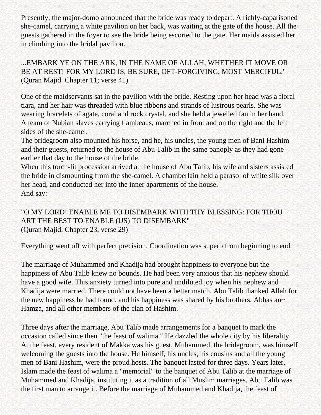Presently, the major-domo announced that the bride was ready to depart. A richly-caparisoned she-camel, carrying a white pavilion on her back, was waiting at the gate of the house. All the guests gathered in the foyer to see the bride being escorted to the gate. Her maids assisted her in climbing into the bridal pavilion.

...EMBARK YE ON THE ARK, IN THE NAME OF ALLAH, WHETHER IT MOVE OR BE AT REST! FOR MY LORD IS, BE SURE, OFT-FORGIVING, MOST MERCIFUL." (Quran Majid. Chapter 11; verse 41)

One of the maidservants sat in the pavilion with the bride. Resting upon her head was a floral tiara, and her hair was threaded with blue ribbons and strands of lustrous pearls. She was wearing bracelets of agate, coral and rock crystal, and she held a jewelled fan in her hand. A team of Nubian slaves carrying flambeaus, marched in front and on the right and the left sides of the she-camel.

The bridegroom also mounted his horse, and he, his uncles, the young men of Bani Hashim and their guests, returned to the house of Abu Talib in the same panoply as they had gone earlier that day to the house of the bride.

When this torch-lit procession arrived at the house of Abu Talib, his wife and sisters assisted the bride in dismounting from the she-camel. A chamberlain held a parasol of white silk over her head, and conducted her into the inner apartments of the house. And say:

"O MY LORD! ENABLE ME TO DISEMBARK WITH THY BLESSING: FOR THOU ART THE BEST TO ENABLE (US) TO DISEMBARK" (Quran Majid. Chapter 23, verse 29)

Everything went off with perfect precision. Coordination was superb from beginning to end.

The marriage of Muhammed and Khadija had brought happiness to everyone but the happiness of Abu Talib knew no bounds. He had been very anxious that his nephew should have a good wife. This anxiety turned into pure and undiluted joy when his nephew and Khadija were married. There could not have been a better match. Abu Talib thanked Allah for the new happiness he had found, and his happiness was shared by his brothers, Abbas an $\sim$ Hamza, and all other members of the clan of Hashim.

Three days after the marriage, Abu Talib made arrangements for a banquet to mark the occasion called since then "the feast of walima." He dazzled the whole city by his liberality. At the feast, every resident of Makka was his guest. Muhammed, the bridegroom, was himself welcoming the guests into the house. He himself, his uncles, his cousins and all the young men of Bani Hashim, were the proud hosts. The banquet lasted for three days. Years later, Islam made the feast of walima a "memorial" to the banquet of Abu Talib at the marriage of Muhammed and Khadija, instituting it as a tradition of all Muslim marriages. Abu Talib was the first man to arrange it. Before the marriage of Muhammed and Khadija, the feast of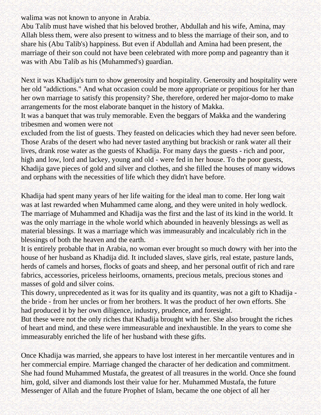walima was not known to anyone in Arabia.

Abu Talib must have wished that his beloved brother, Abdullah and his wife, Amina, may Allah bless them, were also present to witness and to bless the marriage of their son, and to share his (Abu Talib's) happiness. But even if Abdullah and Amina had been present, the marriage of their son could not have been celebrated with more pomp and pageantry than it was with Abu Talib as his (Muhammed's) guardian.

Next it was Khadija's turn to show generosity and hospitality. Generosity and hospitality were her old "addictions." And what occasion could be more appropriate or propitious for her than her own marriage to satisfy this propensity? She, therefore, ordered her major-domo to make arrangements for the most elaborate banquet in the history of Makka.

It was a banquet that was truly memorable. Even the beggars of Makka and the wandering tribesmen and women were not

excluded from the list of guests. They feasted on delicacies which they had never seen before. Those Arabs of the desert who had never tasted anything but brackish or rank water all their lives, drank rose water as the guests of Khadija. For many days the guests - rich and poor, high and low, lord and lackey, young and old - were fed in her house. To the poor guests, Khadija gave pieces of gold and silver and clothes, and she filled the houses of many widows and orphans with the necessities of life which they didn't have before.

Khadija had spent many years of her life waiting for the ideal man to come. Her long wait was at last rewarded when Muhammed came along, and they were united in holy wedlock. The marriage of Muhammed and Khadija was the first and the last of its kind in the world. It was the only marriage in the whole world which abounded in heavenly blessings as well as material blessings. It was a marriage which was immeasurably and incalculably rich in the blessings of both the heaven and the earth.

It is entirely probable that in Arabia, no woman ever brought so much dowry with her into the house of her husband as Khadija did. It included slaves, slave girls, real estate, pasture lands, herds of camels and horses, flocks of goats and sheep, and her personal outfit of rich and rare fabrics, accessories, priceless heirlooms, ornaments, precious metals, precious stones and masses of gold and silver coins.

This dowry, unprecedented as it was for its quality and its quantity, was not a gift to Khadija the bride - from her uncles or from her brothers. It was the product of her own efforts. She had produced it by her own diligence, industry, prudence, and foresight.

But these were not the only riches that Khadija brought with her. She also brought the riches of heart and mind, and these were immeasurable and inexhaustible. In the years to come she immeasurably enriched the life of her husband with these gifts.

Once Khadija was married, she appears to have lost interest in her mercantile ventures and in her commercial empire. Marriage changed the character of her dedication and commitment. She had found Muhammed Mustafa, the greatest of all treasures in the world. Once she found him, gold, silver and diamonds lost their value for her. Muhammed Mustafa, the future Messenger of Allah and the future Prophet of Islam, became the one object of all her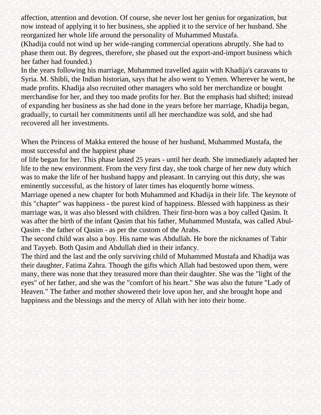affection, attention and devotion. Of course, she never lost her genius for organization, but now instead of applying it to her business, she applied it to the service of her husband. She reorganized her whole life around the personality of Muhammed Mustafa.

(Khadija could not wind up her wide-ranging commercial operations abruptly. She had to phase them out. By degrees, therefore, she phased out the export-and-import business which her father had founded.)

In the years following his marriage, Muhammed travelled again with Khadija's caravans to Syria. M. Shibli, the Indian historian, says that he also went to Yemen. Wherever he went, he made profits. Khadija also recruited other managers who sold her merchandize or bought merchandise for her, and they too made profits for her. But the emphasis had shifted; instead of expanding her business as she had done in the years before her marriage, Khadija began, gradually, to curtail her commitments until all her merchandize was sold, and she had recovered all her investments.

When the Princess of Makka entered the house of her husband, Muhammed Mustafa, the most successful and the happiest phase

of life began for her. This phase lasted 25 years - until her death. She immediately adapted her life to the new environment. From the very first day, she took charge of her new duty which was to make the life of her husband happy and pleasant. In carrying out this duty, she was eminently successful, as the history of later times has eloquently borne witness.

Marriage opened a new chapter for both Muhammed and Khadija in their life. The keynote of this "chapter" was happiness - the purest kind of happiness. Blessed with happiness as their marriage was, it was also blessed with children. Their first-born was a boy called Qasim. It was after the birth of the infant Qasim that his father, Muhammed Mustafa, was called Abul-Qasim - the father of Qasim - as per the custom of the Arabs.

The second child was also a boy. His name was Abdullah. He bore the nicknames of Tahir and Tayyeb. Both Qasim and Abdullah died in their infancy.

The third and the last and the only surviving child of Muhammed Mustafa and Khadija was their daughter, Fatima Zahra. Though the gifts which Allah had bestowed upon them, were many, there was none that they treasured more than their daughter. She was the "light of the eyes" of her father, and she was the "comfort of his heart." She was also the future "Lady of Heaven." The father and mother showered their love upon her, and she brought hope and happiness and the blessings and the mercy of Allah with her into their home.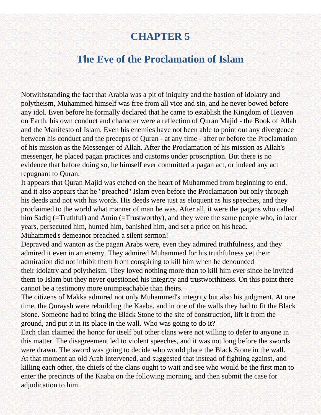# **CHAPTER 5**

### **The Eve of the Proclamation of Islam**

<span id="page-26-0"></span>Notwithstanding the fact that Arabia was a pit of iniquity and the bastion of idolatry and polytheism, Muhammed himself was free from all vice and sin, and he never bowed before any idol. Even before he formally declared that he came to establish the Kingdom of Heaven on Earth, his own conduct and character were a reflection of Quran Majid - the Book of Allah and the Manifesto of Islam. Even his enemies have not been able to point out any divergence between his conduct and the precepts of Quran - at any time - after or before the Proclamation of his mission as the Messenger of Allah. After the Proclamation of his mission as Allah's messenger, he placed pagan practices and customs under proscription. But there is no evidence that before doing so, he himself ever committed a pagan act, or indeed any act repugnant to Quran.

It appears that Quran Majid was etched on the heart of Muhammed from beginning to end, and it also appears that he "preached" Islam even before the Proclamation but only through his deeds and not with his words. His deeds were just as eloquent as his speeches, and they proclaimed to the world what manner of man he was. After all, it were the pagans who called him Sadiq (=Truthful) and Amin (=Trustworthy), and they were the same people who, in later years, persecuted him, hunted him, banished him, and set a price on his head. Muhammed's demeanor preached a silent sermon!

Depraved and wanton as the pagan Arabs were, even they admired truthfulness, and they admired it even in an enemy. They admired Muhammed for his truthfulness yet their admiration did not inhibit them from conspiring to kill him when he denounced their idolatry and polytheism. They loved nothing more than to kill him ever since he invited them to Islam but they never questioned his integrity and trustworthiness. On this point there cannot be a testimony more unimpeachable than theirs.

The citizens of Makka admired not only Muhammed's integrity but also his judgment. At one time, the Quraysh were rebuilding the Kaaba, and in one of the walls they had to fit the Black Stone. Someone had to bring the Black Stone to the site of construction, lift it from the ground, and put it in its place in the wall. Who was going to do it?

Each clan claimed the honor for itself but other clans were not willing to defer to anyone in this matter. The disagreement led to violent speeches, and it was not long before the swords were drawn. The sword was going to decide who would place the Black Stone in the wall. At that moment an old Arab intervened, and suggested that instead of fighting against, and killing each other, the chiefs of the clans ought to wait and see who would be the first man to enter the precincts of the Kaaba on the following morning, and then submit the case for adjudication to him.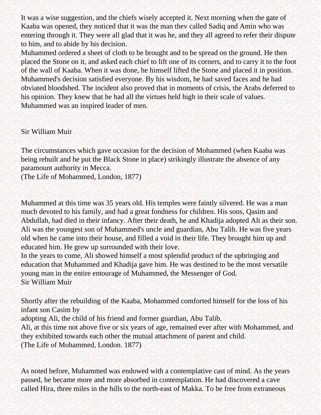It was a wise suggestion, and the chiefs wisely accepted it. Next morning when the gate of Kaaba was opened, they noticed that it was the man thev called Sadiq and Amin who was entering through it. They were all glad that it was he, and they all agreed to refer their dispute to him, and to abide by his decision.

Muhammed ordered a sheet of cloth to be brought and to be spread on the ground. He then placed the Stone on it, and asked each chief to lift one of its corners, and to carry it to the foot of the wall of Kaaba. When it was done, he himself lifted the Stone and placed it in position. Muhammed's decision satisfied everyone. By his wisdom, he had saved faces and he had obviated bloodshed. The incident also proved that in moments of crisis, the Arabs deferred to his opinion. They knew that he had all the virtues held high in their scale of values. Muhammed was an inspired leader of men.

#### Sir William Muir

The circumstances which gave occasion for the decision of Mohammed (when Kaaba was being rebuilt and he put the Black Stone in place) strikingly illustrate the absence of any paramount authority in Mecca.

(The Life of Mohammed, London, 1877)

Muhammed at this time was 35 years old. His temples were faintly silvered. He was a man much devoted to his family, and had a great fondness for children. His sons, Qasim and Abdullah, had died in their infancy. After their death, he and Khadija adopted Ali as their son. Ali was the youngest son of Muhammed's uncle and guardian, Abu Talib. He was five years old when he came into their house, and filled a void in their life. They brought him up and educated him. He grew up surrounded with their love.

In the years to come, Ali showed himself a most splendid product of the upbringing and education that Muhammed and Khadija gave him. He was destined to be the most versatile young man in the entire entourage of Muhammed, the Messenger of God. Sir William Muir

Shortly after the rebuilding of the Kaaba, Mohammed comforted himself for the loss of his infant son Casim by

adopting Ali, the child of his friend and former guardian, Abu Talib.

Ali, at this time not above five or six years of age, remained ever after with Mohammed, and they exhibited towards each other the mutual attachment of parent and child. (The Life of Mohammed, London. 1877)

As noted before, Muhammed was endowed with a contemplative cast of mind. As the years passed, he became more and more absorbed in contemplation. He had discovered a cave called Hira, three miles in the hills to the north-east of Makka. To be free from extraneous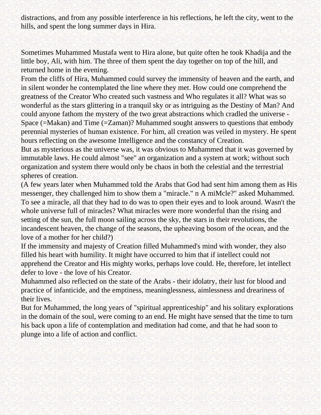distractions, and from any possible interference in his reflections, he left the city, went to the hills, and spent the long summer days in Hira.

Sometimes Muhammed Mustafa went to Hira alone, but quite often he took Khadija and the little boy, Ali, with him. The three of them spent the day together on top of the hill, and returned home in the evening.

From the cliffs of Hira, Muhammed could survey the immensity of heaven and the earth, and in silent wonder he contemplated the line where they met. How could one comprehend the greatness of the Creator Who created such vastness and Who regulates it all? What was so wonderful as the stars glittering in a tranquil sky or as intriguing as the Destiny of Man? And could anyone fathom the mystery of the two great abstractions which cradled the universe - Space (=Makan) and Time (=Zaman)? Muhammed sought answers to questions that embody perennial mysteries of human existence. For him, all creation was veiled in mystery. He spent hours reflecting on the awesome Intelligence and the constancy of Creation.

But as mysterious as the universe was, it was obvious to Muhammed that it was governed by immutable laws. He could almost "see" an organization and a system at work; without such organization and system there would only be chaos in both the celestial and the terrestrial spheres of creation.

(A few years later when Muhammed told the Arabs that God had sent him among them as His messenger, they challenged him to show them a "miracle." n A miMcle?" asked Muhammed. To see a miracle, all that they had to do was to open their eyes and to look around. Wasn't the whole universe full of miracles? What miracles were more wonderful than the rising and setting of the sun, the full moon sailing across the sky, the stars in their revolutions, the incandescent heaven, the change of the seasons, the upheaving bosom of the ocean, and the love of a mother for her child?)

If the immensity and majesty of Creation filled Muhammed's mind with wonder, they also filled his heart with humility. It might have occurred to him that if intellect could not apprehend the Creator and His mighty works, perhaps love could. He, therefore, let intellect defer to love - the love of his Creator.

Muhammed also reflected on the state of the Arabs - their idolatry, their lust for blood and practice of infanticide, and the emptiness, meaninglessness, aimlessness and dreariness of their lives.

But for Muhammed, the long years of "spiritual apprenticeship" and his solitary explorations in the domain of the soul, were coming to an end. He might have sensed that the time to turn his back upon a life of contemplation and meditation had come, and that he had soon to plunge into a life of action and conflict.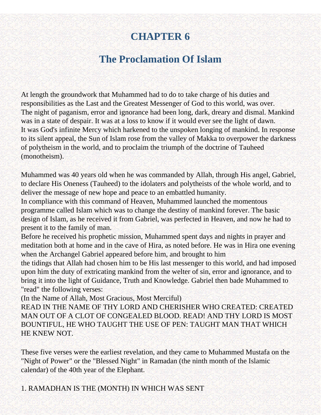# **CHAPTER 6**

# **The Proclamation Of Islam**

<span id="page-29-0"></span>At length the groundwork that Muhammed had to do to take charge of his duties and responsibilities as the Last and the Greatest Messenger of God to this world, was over. The night of paganism, error and ignorance had been long, dark, dreary and dismal. Mankind was in a state of despair. It was at a loss to know if it would ever see the light of dawn. It was God's infinite Mercy which harkened to the unspoken longing of mankind. In response to its silent appeal, the Sun of Islam rose from the valley of Makka to overpower the darkness of polytheism in the world, and to proclaim the triumph of the doctrine of Tauheed (monotheism).

Muhammed was 40 years old when he was commanded by Allah, through His angel, Gabriel, to declare His Oneness (Tauheed) to the idolaters and polytheists of the whole world, and to deliver the message of new hope and peace to an embattled humanity.

In compliance with this command of Heaven, Muhammed launched the momentous programme called Islam which was to change the destiny of mankind forever. The basic design of Islam, as he received it from Gabriel, was perfected in Heaven, and now he had to present it to the family of man.

Before he received his prophetic mission, Muhammed spent days and nights in prayer and meditation both at home and in the cave of Hira, as noted before. He was in Hira one evening when the Archangel Gabriel appeared before him, and brought to him

the tidings that Allah had chosen him to be His last messenger to this world, and had imposed upon him the duty of extricating mankind from the welter of sin, error and ignorance, and to bring it into the light of Guidance, Truth and Knowledge. Gabriel then bade Muhammed to "read" the following verses:

(In the Name of Allah, Most Gracious, Most Merciful)

READ IN THE NAME OF THY LORD AND CHERISHER WHO CREATED: CREATED MAN OUT OF A CLOT OF CONGEALED BLOOD. READ! AND THY LORD IS MOST BOUNTIFUL, HE WHO TAUGHT THE USE OF PEN: TAUGHT MAN THAT WHICH HE KNEW NOT.

These five verses were the earliest revelation, and they came to Muhammed Mustafa on the "Night of Power" or the "Blessed Night" in Ramadan (the ninth month of the Islamic calendar) of the 40th year of the Elephant.

1. RAMADHAN IS THE (MONTH) IN WHICH WAS SENT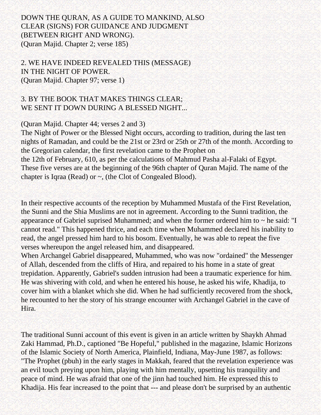#### DOWN THE QURAN, AS A GUIDE TO MANKIND, ALSO CLEAR (SIGNS) FOR GUIDANCE AND JUDGMENT (BETWEEN RIGHT AND WRONG). (Quran Majid. Chapter 2; verse 185)

2. WE HAVE INDEED REVEALED THIS (MESSAGE) IN THE NIGHT OF POWER. (Quran Majid. Chapter 97; verse 1)

#### 3. BY THE BOOK THAT MAKES THINGS CLEAR; WE SENT IT DOWN DURING A BLESSED NIGHT...

#### (Quran Majid. Chapter 44; verses 2 and 3)

The Night of Power or the Blessed Night occurs, according to tradition, during the last ten nights of Ramadan, and could be the 21st or 23rd or 25th or 27th of the month. According to the Gregorian calendar, the first revelation came to the Prophet on the 12th of February, 610, as per the calculations of Mahmud Pasha al-Falaki of Egypt. These five verses are at the beginning of the 96th chapter of Quran Majid. The name of the chapter is Iqraa (Read) or ~, (the Clot of Congealed Blood).

In their respective accounts of the reception by Muhammed Mustafa of the First Revelation, the Sunni and the Shia Muslims are not in agreement. According to the Sunni tradition, the appearance of Gabriel suprised Muhammed; and when the former ordered him to ~ he said: "I cannot read." This happened thrice, and each time when Muhammed declared his inability to read, the angel pressed him hard to his bosom. Eventually, he was able to repeat the five verses whereupon the angel released him, and disappeared.

When Archangel Gabriel disappeared, Muhammed, who was now "ordained" the Messenger of Allah, descended from the cliffs of Hira, and repaired to his home in a state of great trepidation. Apparently, Gabriel's sudden intrusion had been a traumatic experience for him. He was shivering with cold, and when he entered his house, he asked his wife, Khadija, to cover him with a blanket which she did. When he had sufficiently recovered from the shock, he recounted to her the story of his strange encounter with Archangel Gabriel in the cave of Hira.

The traditional Sunni account of this event is given in an article written by Shaykh Ahmad Zaki Hammad, Ph.D., captioned "Be Hopeful," published in the magazine, Islamic Horizons of the Islamic Society of North America, Plainfield, Indiana, May-June 1987, as follows: "The Prophet (pbuh) in the early stages in Makkah, feared that the revelation experience was an evil touch preying upon him, playing with him mentally, upsetting his tranquility and peace of mind. He was afraid that one of the jinn had touched him. He expressed this to Khadija. His fear increased to the point that --- and please don't be surprised by an authentic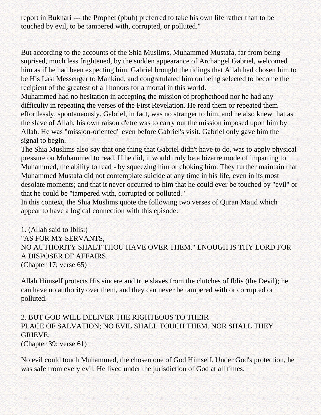report in Bukhari --- the Prophet (pbuh) preferred to take his own life rather than to be touched by evil, to be tampered with, corrupted, or polluted."

But according to the accounts of the Shia Muslims, Muhammed Mustafa, far from being suprised, much less frightened, by the sudden appearance of Archangel Gabriel, welcomed him as if he had been expecting him. Gabriel brought the tidings that Allah had chosen him to be His Last Messenger to Mankind, and congratulated him on being selected to become the recipient of the greatest of all honors for a mortal in this world.

Muhammed had no hesitation in accepting the mission of prophethood nor he had any difficulty in repeating the verses of the First Revelation. He read them or repeated them effortlessly, spontaneously. Gabriel, in fact, was no stranger to him, and he also knew that as the slave of Allah, his own raison d'etre was to carry out the mission imposed upon him by Allah. He was "mission-oriented" even before Gabriel's visit. Gabriel only gave him the signal to begin.

The Shia Muslims also say that one thing that Gabriel didn't have to do, was to apply physical pressure on Muhammed to read. If he did, it would truly be a bizarre mode of imparting to Muhammed, the ability to read - by squeezing him or choking him. They further maintain that Muhammed Mustafa did not contemplate suicide at any time in his life, even in its most desolate moments; and that it never occurred to him that he could ever be touched by "evil" or that he could be "tampered with, corrupted or polluted."

In this context, the Shia Muslims quote the following two verses of Quran Majid which appear to have a logical connection with this episode:

1. (Allah said to Iblis:) "AS FOR MY SERVANTS, NO AUTHORITY SHALT THOU HAVE OVER THEM." ENOUGH IS THY LORD FOR A DISPOSER OF AFFAIRS. (Chapter 17; verse 65)

Allah Himself protects His sincere and true slaves from the clutches of Iblis (the Devil); he can have no authority over them, and they can never be tampered with or corrupted or polluted.

### 2. BUT GOD WILL DELIVER THE RIGHTEOUS TO THEIR PLACE OF SALVATION; NO EVIL SHALL TOUCH THEM. NOR SHALL THEY GRIEVE.

(Chapter 39; verse 61)

No evil could touch Muhammed, the chosen one of God Himself. Under God's protection, he was safe from every evil. He lived under the jurisdiction of God at all times.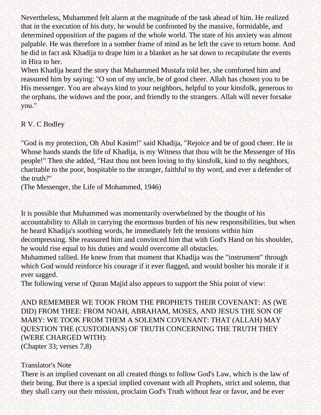Nevertheless, Muhammed felt alarm at the magnitude of the task ahead of him. He realized that in the execution of his duty, he would be confronted by the massive, formidable, and determined opposition of the pagans of the whole world. The state of his anxiety was almost palpable. He was therefore in a somber frame of mind as he left the cave to return home. And he did in fact ask Khadija to drape him in a blanket as he sat down to recapitulate the events in Hira to her.

When Khadija heard the story that Muhammed Mustafa told her, she comforted him and reassured him by saying: "O son of my uncle, be of good cheer. Allah has chosen you to be His messenger. You are always kind to your neighbors, helpful to your kinsfolk, generous to the orphans, the widows and the poor, and friendly to the strangers. Allah will never forsake you."

R V. C Bodley

"God is my protection, Oh Abul Kasim!" said Khadija, "Rejoice and be of good cheer. He in Whose hands stands the life of Khadija, is my Witness that thou wilt be the Messenger of His people!" Then she added, "Hast thou not been loving to thy kinsfolk, kind to thy neighbors, charitable to the poor, hospitable to the stranger, faithful to thy word, and ever a defender of the truth?"

(The Messenger, the Life of Mohammed, 1946)

It is possible that Muhammed was momentarily overwhelmed by the thought of his accountability to Allah in carrying the enormous burden of his new responsibilities, but when he heard Khadija's soothing words, he immediately felt the tensions within him decompressing. She reassured him and convinced him that with God's Hand on his shoulder, he would rise equal to his duties and would overcome all obstacles.

Muhammed rallied. He knew from that moment that Khadija was the "instrument" through which God would reinforce his courage if it ever flagged, and would boslter his morale if it ever sagged.

The following verse of Quran Majid also appears to support the Shia point of view:

AND REMEMBER WE TOOK FROM THE PROPHETS THEIR COVENANT: AS (WE DID) FROM THEE: FROM NOAH, ABRAHAM, MOSES, AND JESUS THE SON OF MARY: WE TOOK FROM THEM A SOLEMN COVENANT: THAT (ALLAH) MAY QUESTION THE (CUSTODIANS) OF TRUTH CONCERNING THE TRUTH THEY (WERE CHARGED WITH): (Chapter 33; verses 7,8)

#### Translator's Note

There is an implied covenant on all created things to follow God's Law, which is the law of their being. But there is a special implied covenant with all Prophets, strict and solemn, that they shall carry out their mission, proclaim God's Truth without fear or favor, and be ever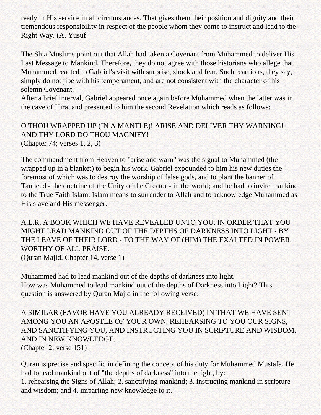ready in His service in all circumstances. That gives them their position and dignity and their tremendous responsibility in respect of the people whom they come to instruct and lead to the Right Way. (A. Yusuf

The Shia Muslims point out that Allah had taken a Covenant from Muhammed to deliver His Last Message to Mankind. Therefore, they do not agree with those historians who allege that Muhammed reacted to Gabriel's visit with surprise, shock and fear. Such reactions, they say, simply do not jibe with his temperament, and are not consistent with the character of his solemn Covenant.

After a brief interval, Gabriel appeared once again before Muhammed when the latter was in the cave of Hira, and presented to him the second Revelation which reads as follows:

O THOU WRAPPED UP (IN A MANTLE)! ARISE AND DELIVER THY WARNING! AND THY LORD DO THOU MAGNIFY! (Chapter 74; verses 1, 2, 3)

The commandment from Heaven to "arise and warn" was the signal to Muhammed (the wrapped up in a blanket) to begin his work. Gabriel expounded to him his new duties the foremost of which was to destroy the worship of false gods, and to plant the banner of Tauheed - the doctrine of the Unity of the Creator - in the world; and he had to invite mankind to the True Faith Islam. Islam means to surrender to Allah and to acknowledge Muhammed as His slave and His messenger.

A.L.R. A BOOK WHICH WE HAVE REVEALED UNTO YOU, IN ORDER THAT YOU MIGHT LEAD MANKIND OUT OF THE DEPTHS OF DARKNESS INTO LIGHT - BY THE LEAVE OF THEIR LORD - TO THE WAY OF (HIM) THE EXALTED IN POWER, WORTHY OF ALL PRAISE. (Quran Majid. Chapter 14, verse 1)

Muhammed had to lead mankind out of the depths of darkness into light. How was Muhammed to lead mankind out of the depths of Darkness into Light? This question is answered by Quran Majid in the following verse:

A SIMILAR (FAVOR HAVE YOU ALREADY RECEIVED) IN THAT WE HAVE SENT AMONG YOU AN APOSTLE OF YOUR OWN, REHEARSING TO YOU OUR SIGNS, AND SANCTIFYING YOU, AND INSTRUCTING YOU IN SCRIPTURE AND WISDOM, AND IN NEW KNOWLEDGE. (Chapter 2; verse 151)

Quran is precise and specific in defining the concept of his duty for Muhammed Mustafa. He had to lead mankind out of "the depths of darkness" into the light, by: 1. rehearsing the Signs of Allah; 2. sanctifying mankind; 3. instructing mankind in scripture and wisdom; and 4. imparting new knowledge to it.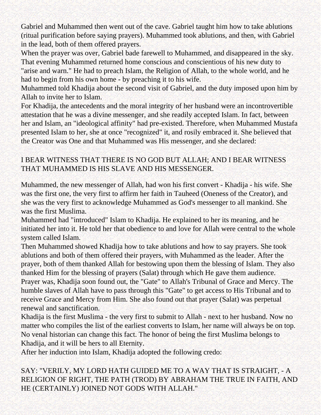Gabriel and Muhammed then went out of the cave. Gabriel taught him how to take ablutions (ritual purification before saying prayers). Muhammed took ablutions, and then, with Gabriel in the lead, both of them offered prayers.

When the prayer was over, Gabriel bade farewell to Muhammed, and disappeared in the sky. That evening Muhammed returned home conscious and conscientious of his new duty to "arise and warn." He had to preach Islam, the Religion of Allah, to the whole world, and he had to begin from his own home - by preaching it to his wife.

Muhammed told Khadija about the second visit of Gabriel, and the duty imposed upon him by Allah to invite her to Islam.

For Khadija, the antecedents and the moral integrity of her husband were an incontrovertible attestation that he was a divine messenger, and she readily accepted Islam. In fact, between her and Islam, an "ideological affinity" had pre-existed. Therefore, when Muhammed Mustafa presented Islam to her, she at once "recognized" it, and rosily embraced it. She believed that the Creator was One and that Muhammed was His messenger, and she declared:

#### I BEAR WITNESS THAT THERE IS NO GOD BUT ALLAH; AND I BEAR WITNESS THAT MUHAMMED IS HIS SLAVE AND HIS MESSENGER.

Muhammed, the new messenger of Allah, had won his first convert - Khadija - his wife. She was the first one, the very first to affirm her faith in Tauheed (Oneness of the Creator), and she was the very first to acknowledge Muhammed as God's messenger to all mankind. She was the first Muslima.

Muhammed had "introduced" Islam to Khadija. He explained to her its meaning, and he initiated her into it. He told her that obedience to and love for Allah were central to the whole system called Islam.

Then Muhammed showed Khadija how to take ablutions and how to say prayers. She took ablutions and both of them offered their prayers, with Muhammed as the leader. After the prayer, both of them thanked Allah for bestowing upon them the blessing of Islam. They also thanked Him for the blessing of prayers (Salat) through which He gave them audience. Prayer was, Khadija soon found out, the "Gate" to Allah's Tribunal of Grace and Mercy. The humble slaves of Allah have to pass through this "Gate" to get access to His Tribunal and to receive Grace and Mercy from Him. She also found out that prayer (Salat) was perpetual renewal and sanctification.

Khadija is the first Muslima - the very first to submit to Allah - next to her husband. Now no matter who compiles the list of the earliest converts to Islam, her name will always be on top. No venal historian can change this fact. The honor of being the first Muslima belongs to Khadija, and it will be hers to all Eternity.

After her induction into Islam, Khadija adopted the following credo:

#### SAY: "VERILY, MY LORD HATH GUIDED ME TO A WAY THAT IS STRAIGHT, - A RELIGION OF RIGHT, THE PATH (TROD) BY ABRAHAM THE TRUE IN FAITH, AND HE (CERTAINLY) JOINED NOT GODS WITH ALLAH."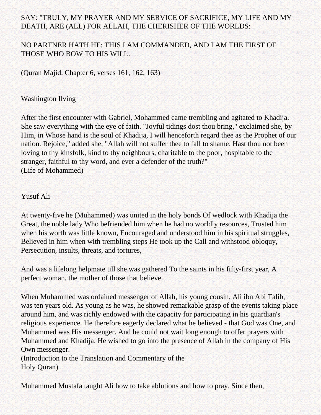#### SAY: "TRULY, MY PRAYER AND MY SERVICE OF SACRIFICE, MY LIFE AND MY DEATH, ARE (ALL) FOR ALLAH, THE CHERISHER OF THE WORLDS:

#### NO PARTNER HATH HE: THIS I AM COMMANDED, AND I AM THE FIRST OF THOSE WHO BOW TO HIS WILL.

(Quran Majid. Chapter 6, verses 161, 162, 163)

#### Washington Ilving

After the first encounter with Gabriel, Mohammed came trembling and agitated to Khadija. She saw everything with the eye of faith. "Joyful tidings dost thou bring," exclaimed she, by Him, in Whose hand is the soul of Khadija, I will henceforth regard thee as the Prophet of our nation. Rejoice," added she, "Allah will not suffer thee to fall to shame. Hast thou not been loving to thy kinsfolk, kind to thy neighbours, charitable to the poor, hospitable to the stranger, faithful to thy word, and ever a defender of the truth?" (Life of Mohammed)

#### Yusuf Ali

At twenty-five he (Muhammed) was united in the holy bonds Of wedlock with Khadija the Great, the noble lady Who befriended him when he had no worldly resources, Trusted him when his worth was little known, Encouraged and understood him in his spiritual struggles, Believed in him when with trembling steps He took up the Call and withstood obloquy, Persecution, insults, threats, and tortures,

And was a lifelong helpmate till she was gathered To the saints in his fifty-first year, A perfect woman, the mother of those that believe.

When Muhammed was ordained messenger of Allah, his young cousin, Ali ibn Abi Talib, was ten years old. As young as he was, he showed remarkable grasp of the events taking place around him, and was richly endowed with the capacity for participating in his guardian's religious experience. He therefore eagerly declared what he believed - that God was One, and Muhammed was His messenger. And he could not wait long enough to offer prayers with Muhammed and Khadija. He wished to go into the presence of Allah in the company of His Own messenger.

(Introduction to the Translation and Commentary of the Holy Quran)

Muhammed Mustafa taught Ali how to take ablutions and how to pray. Since then,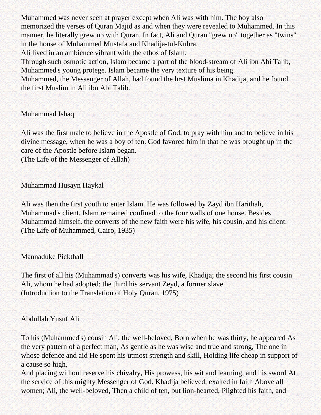Muhammed was never seen at prayer except when Ali was with him. The boy also memorized the verses of Quran Majid as and when they were revealed to Muhammed. In this manner, he literally grew up with Quran. In fact, Ali and Quran "grew up" together as "twins" in the house of Muhammed Mustafa and Khadija-tul-Kubra.

Ali lived in an ambience vibrant with the ethos of Islam.

Through such osmotic action, Islam became a part of the blood-stream of Ali ibn Abi Talib, Muhammed's young protege. Islam became the very texture of his being.

Muhammed, the Messenger of Allah, had found the hrst Muslima in Khadija, and he found the first Muslim in Ali ibn Abi Talib.

### Muhammad Ishaq

Ali was the first male to believe in the Apostle of God, to pray with him and to believe in his divine message, when he was a boy of ten. God favored him in that he was brought up in the care of the Apostle before Islam began.

(The Life of the Messenger of Allah)

Muhammad Husayn Haykal

Ali was then the first youth to enter Islam. He was followed by Zayd ibn Harithah, Muhammad's client. Islam remained confined to the four walls of one house. Besides Muhammad himself, the converts of the new faith were his wife, his cousin, and his client. (The Life of Muhammed, Cairo, 1935)

### Mannaduke Pickthall

The first of all his (Muhammad's) converts was his wife, Khadija; the second his first cousin Ali, whom he had adopted; the third his servant Zeyd, a former slave. (Introduction to the Translation of Holy Quran, 1975)

### Abdullah Yusuf Ali

To his (Muhammed's) cousin Ali, the well-beloved, Born when he was thirty, he appeared As the very pattern of a perfect man, As gentle as he was wise and true and strong, The one in whose defence and aid He spent his utmost strength and skill, Holding life cheap in support of a cause so high,

And placing without reserve his chivalry, His prowess, his wit and learning, and his sword At the service of this mighty Messenger of God. Khadija believed, exalted in faith Above all women; Ali, the well-beloved, Then a child of ten, but lion-hearted, Plighted his faith, and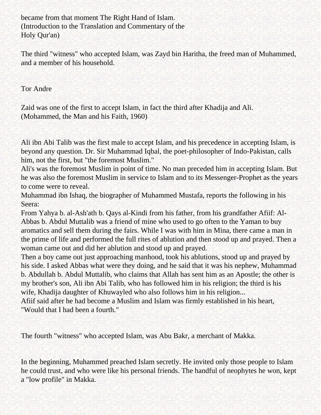became from that moment The Right Hand of Islam. (Introduction to the Translation and Commentary of the Holy Qur'an)

The third "witness" who accepted Islam, was Zayd bin Haritha, the freed man of Muhammed, and a member of his household.

Tor Andre

Zaid was one of the first to accept Islam, in fact the third after Khadija and Ali. (Mohammed, the Man and his Faith, 1960)

Ali ibn Abi Talib was the first male to accept Islam, and his precedence in accepting Islam, is beyond any question. Dr. Sir Muhammad Iqbal, the poet-philosopher of Indo-Pakistan, calls him, not the first, but "the foremost Muslim."

Ali's was the foremost Muslim in point of time. No man preceded him in accepting Islam. But he was also the foremost Muslim in service to Islam and to its Messenger-Prophet as the years to come were to reveal.

Muhammad ibn Ishaq, the biographer of Muhammed Mustafa, reports the following in his Seera:

From Yahya b. al-Ash'ath b. Qays al-Kindi from his father, from his grandfather Afiif: Al-Abbas b. Abdul Muttalib was a friend of mine who used to go often to the Yaman to buy aromatics and sell them during the fairs. While I was with him in Mina, there came a man in the prime of life and performed the full rites of ablution and then stood up and prayed. Then a woman came out and did her ablution and stood up and prayed.

Then a boy came out just approaching manhood, took his ablutions, stood up and prayed by his side. I asked Abbas what were they doing, and he said that it was his nephew, Muhammad b. Abdullah b. Abdul Muttalib, who claims that Allah has sent him as an Apostle; the other is my brother's son, Ali ibn Abi Talib, who has followed him in his religion; the third is his wife, Khadija daughter of Khuwayled who also follows him in his religion...

Afiif said after he had become a Muslim and Islam was firmly established in his heart, "Would that I had been a fourth."

The fourth "witness" who accepted Islam, was Abu Bakr, a merchant of Makka.

In the beginning, Muhammed preached Islam secretly. He invited only those people to Islam he could trust, and who were like his personal friends. The handful of neophytes he won, kept a "low profile" in Makka.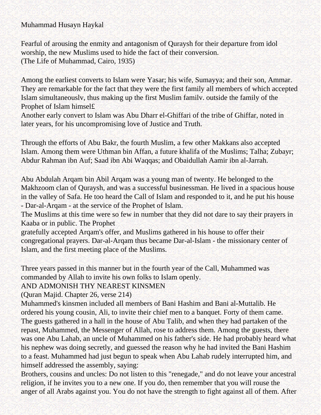### Muhammad Husayn Haykal

Fearful of arousing the enmity and antagonism of Quraysh for their departure from idol worship, the new Muslims used to hide the fact of their conversion. (The Life of Muhammad, Cairo, 1935)

Among the earliest converts to Islam were Yasar; his wife, Sumayya; and their son, Ammar. They are remarkable for the fact that they were the first family all members of which accepted Islam simultaneouslv, thus making up the first Muslim familv. outside the family of the Prophet of Islam himsel£

Another early convert to Islam was Abu Dharr el-Ghiffari of the tribe of Ghiffar, noted in later years, for his uncompromising love of Justice and Truth.

Through the efforts of Abu Bakr, the fourth Muslim, a few other Makkans also accepted Islam. Among them were Uthman bin Affan, a future khalifa of the Muslims; Talha; Zubayr; Abdur Rahman ibn Auf; Saad ibn Abi Waqqas; and Obaidullah Aamir ibn al-Jarrah.

Abu Abdulah Arqam bin Abil Arqam was a young man of twenty. He belonged to the Makhzoom clan of Quraysh, and was a successful businessman. He lived in a spacious house in the valley of Safa. He too heard the Call of Islam and responded to it, and he put his house - Dar-al-Arqam - at the service of the Prophet of Islam.

The Muslims at this time were so few in number that they did not dare to say their prayers in Kaaba or in public. The Prophet

gratefully accepted Arqam's offer, and Muslims gathered in his house to offer their congregational prayers. Dar-al-Arqam thus became Dar-al-Islam - the missionary center of Islam, and the first meeting place of the Muslims.

Three years passed in this manner but in the fourth year of the Call, Muhammed was commanded by Allah to invite his own folks to Islam openly.

### AND ADMONISH THY NEAREST KINSMEN

(Quran Majid. Chapter 26, verse 214)

Muhammed's kinsmen included all members of Bani Hashim and Bani al-Muttalib. He ordered his young cousin, Ali, to invite their chief men to a banquet. Forty of them came. The guests gathered in a hall in the house of Abu Talib, and when they had partaken of the repast, Muhammed, the Messenger of Allah, rose to address them. Among the guests, there was one Abu Lahab, an uncle of Muhammed on his father's side. He had probably heard what his nephew was doing secretly, and guessed the reason why he had invited the Bani Hashim to a feast. Muhammed had just begun to speak when Abu Lahab rudely interrupted him, and himself addressed the assembly, saying:

Brothers, cousins and uncles: Do not listen to this "renegade," and do not leave your ancestral religion, if he invites you to a new one. If you do, then remember that you will rouse the anger of all Arabs against you. You do not have the strength to fight against all of them. After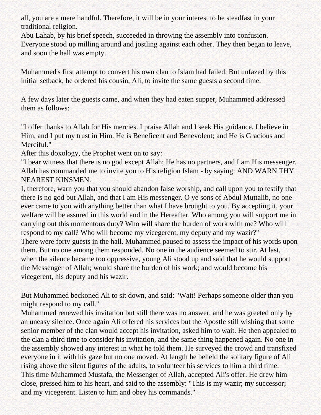all, you are a mere handful. Therefore, it will be in your interest to be steadfast in your traditional religion.

Abu Lahab, by his brief speech, succeeded in throwing the assembly into confusion. Everyone stood up milling around and jostling against each other. They then began to leave, and soon the hall was empty.

Muhammed's first attempt to convert his own clan to Islam had failed. But unfazed by this initial setback, he ordered his cousin, Ali, to invite the same guests a second time.

A few days later the guests came, and when they had eaten supper, Muhammed addressed them as follows:

"I offer thanks to Allah for His mercies. I praise Allah and I seek His guidance. I believe in Him, and I put my trust in Him. He is Beneficent and Benevolent; and He is Gracious and Merciful."

After this doxology, the Prophet went on to say:

"I bear witness that there is no god except Allah; He has no partners, and I am His messenger. Allah has commanded me to invite you to His religion Islam - by saying: AND WARN THY NEAREST KINSMEN.

I, therefore, warn you that you should abandon false worship, and call upon you to testify that there is no god but Allah, and that I am His messenger. O ye sons of Abdul Muttalib, no one ever came to you with anything better than what I have brought to you. By accepting it, your welfare will be assured in this world and in the Hereafter. Who among you will support me in carrying out this momentous duty? Who will share the burden of work with me? Who will respond to my call? Who will become my vicegerent, my deputy and my wazir?" There were forty guests in the hall. Muhammed paused to assess the impact of his words upon them. But no one among them responded. No one in the audience seemed to stir. At last, when the silence became too oppressive, young Ali stood up and said that he would support the Messenger of Allah; would share the burden of his work; and would become his vicegerent, his deputy and his wazir.

But Muhammed beckoned Ali to sit down, and said: "Wait! Perhaps someone older than you might respond to my call."

Muhammed renewed his invitation but still there was no answer, and he was greeted only by an uneasy silence. Once again Ali offered his services but the Apostle still wishing that some senior member of the clan would accept his invitation, asked him to wait. He then appealed to the clan a third time to consider his invitation, and the same thing happened again. No one in the assembly showed any interest in what he told them. He surveyed the crowd and transfixed everyone in it with his gaze but no one moved. At length he beheld the solitary figure of Ali rising above the silent figures of the adults, to volunteer his services to him a third time. This time Muhammed Mustafa, the Messenger of Allah, accepted Ali's offer. He drew him close, pressed him to his heart, and said to the assembly: "This is my wazir; my successor; and my vicegerent. Listen to him and obey his commands."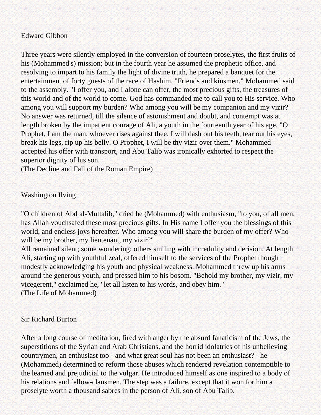### Edward Gibbon

Three years were silently employed in the conversion of fourteen proselytes, the first fruits of his (Mohammed's) mission; but in the fourth year he assumed the prophetic office, and resolving to impart to his family the light of divine truth, he prepared a banquet for the entertainment of forty guests of the race of Hashim. "Friends and kinsmen," Mohammed said to the assembly. "I offer you, and I alone can offer, the most precious gifts, the treasures of this world and of the world to come. God has commanded me to call you to His service. Who among you will support my burden? Who among you will be my companion and my vizir? No answer was returned, till the silence of astonishment and doubt, and contempt was at length broken by the impatient courage of Ali, a youth in the fourteenth year of his age. "O Prophet, I am the man, whoever rises against thee, I will dash out his teeth, tear out his eyes, break his legs, rip up his belly. O Prophet, I will be thy vizir over them." Mohammed accepted his offer with transport, and Abu Talib was ironically exhorted to respect the superior dignity of his son.

(The Decline and Fall of the Roman Empire)

### Washington Ilving

"O children of Abd al-Muttalib," cried he (Mohammed) with enthusiasm, "to you, of all men, has Allah vouchsafed these most precious gifts. In His name I offer you the blessings of this world, and endless joys hereafter. Who among you will share the burden of my offer? Who will be my brother, my lieutenant, my vizir?"

All remained silent; some wondering; others smiling with incredulity and derision. At length Ali, starting up with youthful zeal, offered himself to the services of the Prophet though modestly acknowledging his youth and physical weakness. Mohammed threw up his arms around the generous youth, and pressed him to his bosom. "Behold my brother, my vizir, my vicegerent," exclaimed he, "let all listen to his words, and obey him." (The Life of Mohammed)

### Sir Richard Burton

After a long course of meditation, fired with anger by the absurd fanaticism of the Jews, the superstitions of the Syrian and Arab Christians, and the horrid idolatries of his unbelieving countrymen, an enthusiast too - and what great soul has not been an enthusiast? - he (Mohammed) determined to reform those abuses which rendered revelation contemptible to the learned and prejudicial to the vulgar. He introduced himself as one inspired to a body of his relations and fellow-clansmen. The step was a failure, except that it won for him a proselyte worth a thousand sabres in the person of Ali, son of Abu Talib.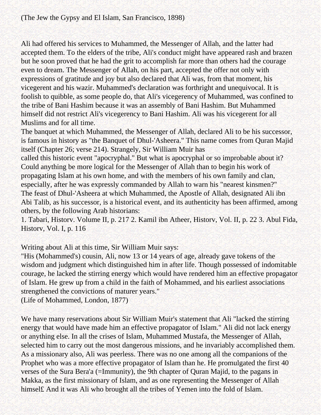Ali had offered his services to Muhammed, the Messenger of Allah, and the latter had accepted them. To the elders of the tribe, Ali's conduct might have appeared rash and brazen but he soon proved that he had the grit to accomplish far more than others had the courage even to dream. The Messenger of Allah, on his part, accepted the offer not only with expressions of gratitude and joy but also declared that Ali was, from that moment, his vicegerent and his wazir. Muhammed's declaration was forthright and unequivocal. It is foolish to quibble, as some people do, that Ali's vicegerency of Muhammed, was confined to the tribe of Bani Hashim because it was an assembly of Bani Hashim. But Muhammed himself did not restrict Ali's vicegerency to Bani Hashim. Ali was his vicegerent for all Muslims and for all time.

The banquet at which Muhammed, the Messenger of Allah, declared Ali to be his successor, is famous in history as "the Banquet of Dhul-'Asheera." This name comes from Quran Majid itself (Chapter 26; verse 214). Strangely, Sir William Muir has

called this historic event "apocryphal." But what is apocryphal or so improbable about it? Could anything be more logical for the Messenger of Allah than to begin his work of propagating Islam at his own home, and with the members of his own family and clan, especially, after he was expressly commanded by Allah to warn his "nearest kinsmen?" The feast of Dhul-'Asheera at which Muhammed, the Apostle of Allah, designated Ali ibn Abi Talib, as his successor, is a historical event, and its authenticity has been affirmed, among others, by the following Arab historians:

1. Tabari, Historv. Volume II, p. 217 2. Kamil ibn Atheer, Historv, Vol. II, p. 22 3. Abul Fida, Historv, Vol. I, p. 116

Writing about Ali at this time, Sir William Muir says:

"His (Mohammed's) cousin, Ali, now 13 or 14 years of age, already gave tokens of the wisdom and judgment which distinguished him in after life. Though possessed of indomitable courage, he lacked the stirring energy which would have rendered him an effective propagator of Islam. He grew up from a child in the faith of Mohammed, and his earliest associations strengthened the convictions of maturer years."

(Life of Mohammed, London, 1877)

We have many reservations about Sir William Muir's statement that Ali "lacked the stirring energy that would have made him an effective propagator of Islam." Ali did not lack energy or anything else. In all the crises of Islam, Muhammed Mustafa, the Messenger of Allah, selected him to carry out the most dangerous missions, and he invariably accomplished them. As a missionary also, Ali was peerless. There was no one among all the companions of the Prophet who was a more effective propagator of Islam than he. He promulgated the first 40 verses of the Sura Bera'a (=Immunity), the 9th chapter of Quran Majid, to the pagans in Makka, as the first missionary of Islam, and as one representing the Messenger of Allah himsel£ And it was Ali who brought all the tribes of Yemen into the fold of Islam.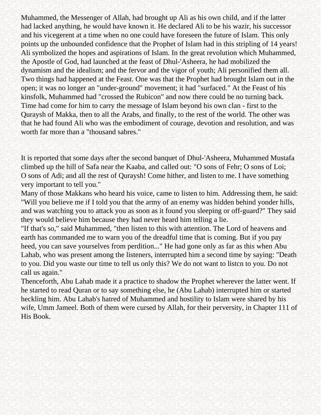Muhammed, the Messenger of Allah, had brought up Ali as his own child, and if the latter had lacked anything, he would have known it. He declared Ali to be his wazir, his successor and his vicegerent at a time when no one could have foreseen the future of Islam. This only points up the unbounded confidence that the Prophet of Islam had in this stripling of 14 years! Ali symbolized the hopes and aspirations of Islam. In the great revolution which Muhammed, the Apostle of God, had launched at the feast of Dhul-'Asheera, he had mobilized the dynamism and the idealism; and the fervor and the vigor of youth; Ali personified them all. Two things had happened at the Feast. One was that the Prophet had brought Islam out in the open; it was no longer an "under-ground" movement; it had "surfaced." At the Feast of his kinsfolk, Muhammed had "crossed the Rubicon" and now there could be no turning back. Time had come for him to carry the message of Islam beyond his own clan - first to the Quraysh of Makka, then to all the Arabs, and finally, to the rest of the world. The other was that he had found Ali who was the embodiment of courage, devotion and resolution, and was worth far more than a "thousand sabres."

It is reported that some days after the second banquet of Dhul-'Asheera, Muhammed Mustafa climbed up the hill of Safa near the Kaaba, and called out: "O sons of Fehr; O sons of Loi; O sons of Adi; and all the rest of Quraysh! Come hither, and listen to me. I have something very important to tell you."

Many of those Makkans who heard his voice, came to listen to him. Addressing them, he said: "Will you believe me if I told you that the army of an enemy was hidden behind yonder hills, and was watching you to attack you as soon as it found you sleeping or off-guard?" They said they would believe him because they had never heard him telling a lie.

"If that's so," said Muhammed, "then listen to this with attention. The Lord of heavens and earth has commanded me to warn you of the dreadful time that is coming. But if you pay heed, you can save yourselves from perdition..." He had gone only as far as this when Abu Lahab, who was present among the listeners, interrupted him a second time by saying: "Death to you. Did you waste our time to tell us only this? We do not want to listcn to you. Do not call us again."

Thenceforth, Abu Lahab made it a practice to shadow the Prophet wherever the latter went. If he started to read Quran or to say something else, he (Abu Lahab) interrupted him or started heckling him. Abu Lahab's hatred of Muhammed and hostility to Islam were shared by his wife, Umm Jameel. Both of them were cursed by Allah, for their perversity, in Chapter 111 of His Book.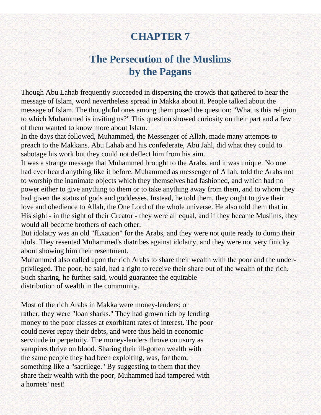# **CHAPTER 7**

# **The Persecution of the Muslims by the Pagans**

Though Abu Lahab frequently succeeded in dispersing the crowds that gathered to hear the message of Islam, word nevertheless spread in Makka about it. People talked about the message of Islam. The thoughtful ones among them posed the question: "What is this religion to which Muhammed is inviting us?" This question showed curiosity on their part and a few of them wanted to know more about Islam.

In the days that followed, Muhammed, the Messenger of Allah, made many attempts to preach to the Makkans. Abu Lahab and his confederate, Abu Jahl, did what they could to sabotage his work but they could not deflect him from his aim.

It was a strange message that Muhammed brought to the Arabs, and it was unique. No one had ever heard anything like it before. Muhammed as messenger of Allah, told the Arabs not to worship the inanimate objects which they themselves had fashioned, and which had no power either to give anything to them or to take anything away from them, and to whom they had given the status of gods and goddesses. Instead, he told them, they ought to give their love and obedience to Allah, the One Lord of the whole universe. He also told them that in His sight - in the sight of their Creator - they were all equal, and if they became Muslims, they would all become brothers of each other.

But idolatry was an old "fLxation" for the Arabs, and they were not quite ready to dump their idols. They resented Muhammed's diatribes against idolatry, and they were not very finicky about showing him their resentment.

Muhammed also called upon the rich Arabs to share their wealth with the poor and the underprivileged. The poor, he said, had a right to receive their share out of the wealth of the rich. Such sharing, he further said, would guarantee the equitable distribution of wealth in the community.

Most of the rich Arabs in Makka were money-lenders; or rather, they were "loan sharks." They had grown rich by lending money to the poor classes at exorbitant rates of interest. The poor could never repay their debts, and were thus held in economic servitude in perpetuity. The money-lenders throve on usury as vampires thrive on blood. Sharing their ill-gotten wealth with the same people they had been exploiting, was, for them, something like a "sacrilege." By suggesting to them that they share their wealth with the poor, Muhammed had tampered with a hornets' nest!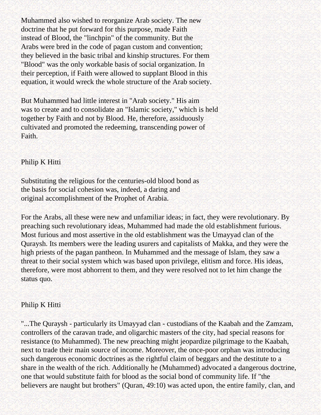Muhammed also wished to reorganize Arab society. The new doctrine that he put forward for this purpose, made Faith instead of Blood, the "linchpin" of the community. But the Arabs were bred in the code of pagan custom and convention; they believed in the basic tribal and kinship structures. For them "Blood" was the only workable basis of social organization. In their perception, if Faith were allowed to supplant Blood in this equation, it would wreck the whole structure of the Arab society.

But Muhammed had little interest in "Arab society." His aim was to create and to consolidate an "Islamic society," which is held together by Faith and not by Blood. He, therefore, assiduously cultivated and promoted the redeeming, transcending power of Faith.

### Philip K Hitti

Substituting the religious for the centuries-old blood bond as the basis for social cohesion was, indeed, a daring and original accomplishment of the Prophet of Arabia.

For the Arabs, all these were new and unfamiliar ideas; in fact, they were revolutionary. By preaching such revolutionary ideas, Muhammed had made the old establishment furious. Most furious and most assertive in the old establishment was the Umayyad clan of the Quraysh. Its members were the leading usurers and capitalists of Makka, and they were the high priests of the pagan pantheon. In Muhammed and the message of Islam, they saw a threat to their social system which was based upon privilege, elitism and force. His ideas, therefore, were most abhorrent to them, and they were resolved not to let him change the status quo.

### Philip K Hitti

"...The Quraysh - particularly its Umayyad clan - custodians of the Kaabah and the Zamzam, controllers of the caravan trade, and oligarchic masters of the city, had special reasons for resistance (to Muhammed). The new preaching might jeopardize pilgrimage to the Kaabah, next to trade their main source of income. Moreover, the once-poor orphan was introducing such dangerous economic doctrines as the rightful claim of beggars and the destitute to a share in the wealth of the rich. Additionally he (Muhammed) advocated a dangerous doctrine, one that would substitute faith for blood as the social bond of community life. If "the believers are naught but brothers" (Quran, 49:10) was acted upon, the entire family, clan, and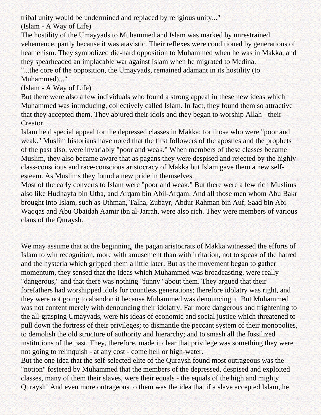tribal unity would be undermined and replaced by religious unity..."

(Islam - A Way of Life)

The hostility of the Umayyads to Muhammed and Islam was marked by unrestrained vehemence, partly because it was atavistic. Their reflexes were conditioned by generations of heathenism. They symbolized die-hard opposition to Muhammed when he was in Makka, and they spearheaded an implacable war against Islam when he migrated to Medina.

"...the core of the opposition, the Umayyads, remained adamant in its hostility (to Muhammed)..."

(Islam - A Way of Life)

But there were also a few individuals who found a strong appeal in these new ideas which Muhammed was introducing, collectively called Islam. In fact, they found them so attractive that they accepted them. They abjured their idols and they began to worship Allah - their Creator.

Islam held special appeal for the depressed classes in Makka; for those who were "poor and weak." Muslim historians have noted that the first followers of the apostles and the prophets of the past also, were invariably "poor and weak." When members of these classes became Muslim, they also became aware that as pagans they were despised and rejected by the highly class-conscious and race-conscious aristocracy of Makka but Islam gave them a new selfesteem. As Muslims they found a new pride in themselves.

Most of the early converts to Islam were "poor and weak." But there were a few rich Muslims also like Hudhayfa bin Utba, and Arqam bin Abil-Arqam. And all those men whom Abu Bakr brought into Islam, such as Uthman, Talha, Zubayr, Abdur Rahman bin Auf, Saad bin Abi Waqqas and Abu Obaidah Aamir ibn al-Jarrah, were also rich. They were members of various clans of the Quraysh.

We may assume that at the beginning, the pagan aristocrats of Makka witnessed the efforts of Islam to win recognition, more with amusement than with irritation, not to speak of the hatred and the hysteria which gripped them a little later. But as the movement began to gather momentum, they sensed that the ideas which Muhammed was broadcasting, were really "dangerous," and that there was nothing "funny" about them. They argued that their forefathers had worshipped idols for countless generations; therefore idolatry was right, and they were not going to abandon it because Muhammed was denouncing it. But Muhammed was not content merely with denouncing their idolatry. Far more dangerous and frightening to the all-grasping Umayyads, were his ideas of economic and social justice which threatened to pull down the fortress of their privileges; to dismantle the peccant system of their monopolies, to demolish the old structure of authority and hierarchy; and to smash all the fossilized institutions of the past. They, therefore, made it clear that privilege was something they were not going to relinquish - at any cost - come hell or high-water.

But the one idea that the self-selected elite of the Quraysh found most outrageous was the "notion" fostered by Muhammed that the members of the depressed, despised and exploited classes, many of them their slaves, were their equals - the equals of the high and mighty Quraysh! And even more outrageous to them was the idea that if a slave accepted Islam, he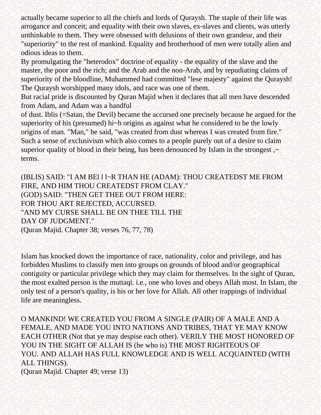actually became superior to all the chiefs and lords of Quraysh. The staple of their life was arrogance and conceit; and equality with their own slaves, ex-slaves and clients, was utterly unthinkable to them. They were obsessed with delusions of their own grandeur, and their "superiority" to the rest of mankind. Equality and brotherhood of men were totally alien and odious ideas to them.

By promulgating the "heterodox" doctrine of equality - the equality of the slave and the master, the poor and the rich; and the Arab and the non-Arab, and by repudiating claims of superiority of the bloodline, Muhammed had committed "lese majesty" against the Quraysh! The Quraysh worshipped many idols, and race was one of them.

But racial pride is discounted by Quran Majid when it declares that all men have descended from Adam, and Adam was a handful

of dust. Iblis (=Satan, the Devil) became the accursed one precisely because he argued for the superiority of his (presumed) hi~h origins as against what he considered to be the lowly origins of man. "Man," he said, "was created from dust whereas I was created from fire." Such a sense of exclusivism which also comes to a people purely out of a desire to claim superior quality of blood in their being, has been denounced by Islam in the strongest, $\sim$ terms.

(IBLIS) SAID: "I AM BEl l l~R THAN HE (ADAM): THOU CREATEDST ME FROM FIRE, AND HIM THOU CREATEDST FROM CLAY." (GOD) SAID: "THEN GET THEE OUT FROM HERE: FOR THOU ART REJECTED, ACCURSED. "AND MY CURSE SHALL BE ON THEE TILL THE DAY OF JUDGMENT." (Quran Majid. Chapter 38; verses 76, 77, 78)

Islam has knocked down the importance of race, nationality, color and privilege, and has forbidden Muslims to classify men into groups on grounds of blood and/or geographical contiguity or particular privilege which they may claim for themselves. In the sight of Quran, the most exalted person is the muttaqi. i.e., one who loves and obeys Allah most. In Islam, the only test of a person's quality, is his or her love for Allah. All other trappings of individual life are meaningless.

O MANKIND! WE CREATED YOU FROM A SINGLE (PAIR) OF A MALE AND A FEMALE, AND MADE YOU INTO NATIONS AND TRIBES, THAT YE MAY KNOW EACH OTHER (Not that ye may despise each other). VERILY THE MOST HONORED OF YOU IN THE SIGHT OF ALLAH IS (he who is) THE MOST RIGHTEOUS OF YOU. AND ALLAH HAS FULL KNOWLEDGE AND IS WELL ACQUAINTED (WITH ALL THINGS). (Quran Majid. Chapter 49; verse 13)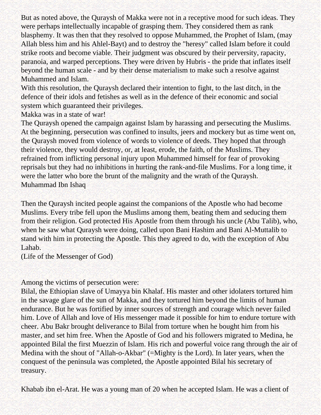But as noted above, the Quraysh of Makka were not in a receptive mood for such ideas. They were perhaps intellectually incapable of grasping them. They considered them as rank blasphemy. It was then that they resolved to oppose Muhammed, the Prophet of Islam, (may Allah bless him and his Ahlel-Bayt) and to destroy the "heresy" called Islam before it could strike roots and become viable. Their judgment was obscured by their perversity, rapacity, paranoia, and warped perceptions. They were driven by Hubris - the pride that inflates itself beyond the human scale - and by their dense materialism to make such a resolve against Muhammed and Islam.

With this resolution, the Quraysh declared their intention to fight, to the last ditch, in the defence of their idols and fetishes as well as in the defence of their economic and social system which guaranteed their privileges.

Makka was in a state of war!

The Quraysh opened the campaign against Islam by harassing and persecuting the Muslims. At the beginning, persecution was confined to insults, jeers and mockery but as time went on, the Quraysh moved from violence of words to violence of deeds. They hoped that through their violence, they would destroy, or, at least, erode, the faith, of the Muslims. They refrained from inflicting personal injury upon Muhammed himself for fear of provoking reprisals but they had no inhibitions in hurting the rank-and-file Muslims. For a long time, it were the latter who bore the brunt of the malignity and the wrath of the Quraysh. Muhammad Ibn Ishaq

Then the Quraysh incited people against the companions of the Apostle who had become Muslims. Every tribe fell upon the Muslims among them, beating them and seducing them from their religion. God protected His Apostle from them through his uncle (Abu Talib), who, when he saw what Quraysh were doing, called upon Bani Hashim and Bani Al-Muttalib to stand with him in protecting the Apostle. This they agreed to do, with the exception of Abu Lahab.

(Life of the Messenger of God)

Among the victims of persecution were:

Bilal, the Ethiopian slave of Umayya bin Khalaf. His master and other idolaters tortured him in the savage glare of the sun of Makka, and they tortured him beyond the limits of human endurance. But he was fortified by inner sources of strength and courage which never failed him. Love of Allah and love of His messenger made it possible for him to endure torture with cheer. Abu Bakr brought deliverance to Bilal from torture when he bought him from his master, and set him free. When the Apostle of God and his followers migrated to Medina, he appointed Bilal the first Muezzin of Islam. His rich and powerful voice rang through the air of Medina with the shout of "Allah-o-Akbar" (=Mighty is the Lord). In later years, when the conquest of the peninsula was completed, the Apostle appointed Bilal his secretary of treasury.

Khabab ibn el-Arat. He was a young man of 20 when he accepted Islam. He was a client of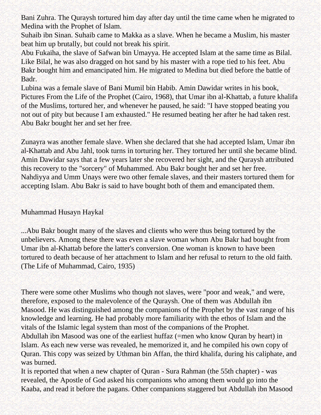Bani Zuhra. The Quraysh tortured him day after day until the time came when he migrated to Medina with the Prophet of Islam.

Suhaib ibn Sinan. Suhaib came to Makka as a slave. When he became a Muslim, his master beat him up brutally, but could not break his spirit.

Abu Fukaiha, the slave of Safwan bin Umayya. He accepted Islam at the same time as Bilal. Like Bilal, he was also dragged on hot sand by his master with a rope tied to his feet. Abu Bakr bought him and emancipated him. He migrated to Medina but died before the battle of Badr.

Lubina was a female slave of Bani Mumil bin Habib. Amin Dawidar writes in his book, Pictures From the Life of the Prophet (Cairo, 1968), that Umar ibn al-Khattab, a future khalifa of the Muslims, tortured her, and whenever he paused, he said: "I have stopped beating you not out of pity but because I am exhausted." He resumed beating her after he had taken rest. Abu Bakr bought her and set her free.

Zunayra was another female slave. When she declared that she had accepted Islam, Umar ibn al-Khattab and Abu Jahl, took turns in torturing her. They tortured her until she became blind. Amin Dawidar says that a few years later she recovered her sight, and the Quraysh attributed this recovery to the "sorcery" of Muhammed. Abu Bakr bought her and set her free. Nahdiyya and Umm Unays were two other female slaves, and their masters tortured them for accepting Islam. Abu Bakr is said to have bought both of them and emancipated them.

### Muhammad Husayn Haykal

...Abu Bakr bought many of the slaves and clients who were thus being tortured by the unbelievers. Among these there was even a slave woman whom Abu Bakr had bought from Umar ibn al-Khattab before the latter's conversion. One woman is known to have been tortured to death because of her attachment to Islam and her refusal to return to the old faith. (The Life of Muhammad, Cairo, 1935)

There were some other Muslims who though not slaves, were "poor and weak," and were, therefore, exposed to the malevolence of the Quraysh. One of them was Abdullah ibn Masood. He was distinguished among the companions of the Prophet by the vast range of his knowledge and learning. He had probably more familiarity with the ethos of Islam and the vitals of the Islamic legal system than most of the companions of the Prophet.

Abdullah ibn Masood was one of the earliest huffaz (=men who know Quran by heart) in Islam. As each new verse was revealed, he memorized it, and he compiled his own copy of Quran. This copy was seized by Uthman bin Affan, the third khalifa, during his caliphate, and was burned.

It is reported that when a new chapter of Quran - Sura Rahman (the 55th chapter) - was revealed, the Apostle of God asked his companions who among them would go into the Kaaba, and read it before the pagans. Other companions staggered but Abdullah ibn Masood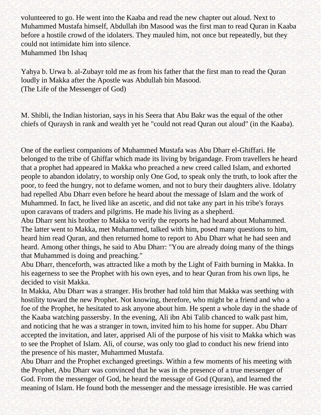volunteered to go. He went into the Kaaba and read the new chapter out aloud. Next to Muhammed Mustafa himself, Abdullah ibn Masood was the first man to read Quran in Kaaba before a hostile crowd of the idolaters. They mauled him, not once but repeatedly, but they could not intimidate him into silence. Muhammed 1bn Ishaq

Yahya b. Urwa b. al-Zubayr told me as from his father that the first man to read the Quran loudly in Makka after the Apostle was Abdullah bin Masood. (The Life of the Messenger of God)

M. Shibli, the Indian historian, says in his Seera that Abu Bakr was the equal of the other chiefs of Quraysh in rank and wealth yet he "could not read Quran out aloud" (in the Kaaba).

One of the earliest companions of Muhammed Mustafa was Abu Dharr el-Ghiffari. He belonged to the tribe of Ghiffar which made its living by brigandage. From travellers he heard that a prophet had appeared in Makka who preached a new creed called Islam, and exhorted people to abandon idolatry, to worship only One God, to speak only the truth, to look after the poor, to feed the hungry, not to defame women, and not to bury their daughters alive. Idolatry had repelled Abu Dharr even before he heard about the message of Islam and the work of Muhammed. In fact, he lived like an ascetic, and did not take any part in his tribe's forays upon caravans of traders and pilgrims. He made his living as a shepherd.

Abu Dharr sent his brother to Makka to verify the reports he had heard about Muhammed. The latter went to Makka, met Muhammed, talked with him, posed many questions to him, heard him read Quran, and then returned home to report to Abu Dharr what he had seen and heard. Among other things, he said to Abu Dharr: "You are already doing many of the things that Muhammed is doing and preaching."

Abu Dharr, thenceforth, was attracted like a moth by the Light of Faith burning in Makka. In his eagerness to see the Prophet with his own eyes, and to hear Quran from his own lips, he decided to visit Makka.

In Makka, Abu Dharr was a stranger. His brother had told him that Makka was seething with hostility toward the new Prophet. Not knowing, therefore, who might be a friend and who a foe of the Prophet, he hesitated to ask anyone about him. He spent a whole day in the shade of the Kaaba watching passersby. In the evening, Ali ibn Abi Talib chanced to walk past him, and noticing that he was a stranger in town, invited him to his home for supper. Abu Dharr accepted the invitation, and later, apprised Ali of the purpose of his visit to Makka which was to see the Prophet of Islam. Ali, of course, was only too glad to conduct his new friend into the presence of his master, Muhammed Mustafa.

Abu Dharr and the Prophet exchanged greetings. Within a few moments of his meeting with the Prophet, Abu Dharr was convinced that he was in the presence of a true messenger of God. From the messenger of God, he heard the message of God (Quran), and learned the meaning of Islam. He found both the messenger and the message irresistible. He was carried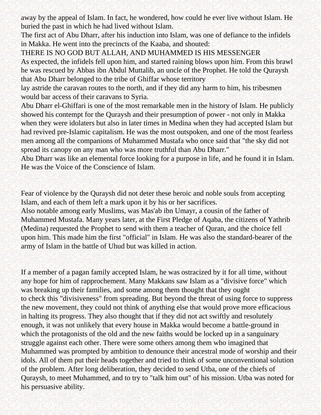away by the appeal of Islam. In fact, he wondered, how could he ever live without Islam. He buried the past in which he had lived without Islam.

The first act of Abu Dharr, after his induction into Islam, was one of defiance to the infidels in Makka. He went into the precincts of the Kaaba, and shouted:

THERE IS NO GOD BUT ALLAH, AND MUHAMMED IS HIS MESSENGER

As expected, the infidels fell upon him, and started raining blows upon him. From this brawl he was rescued by Abbas ibn Abdul Muttalib, an uncle of the Prophet. He told the Quraysh that Abu Dharr belonged to the tribe of Ghiffar whose territory

lay astride the caravan routes to the north, and if they did any harm to him, his tribesmen would bar access of their caravans to Syria.

Abu Dharr el-Ghiffari is one of the most remarkable men in the history of Islam. He publicly showed his contempt for the Quraysh and their presumption of power - not only in Makka when they were idolaters but also in later times in Medina when they had accepted Islam but had revived pre-Islamic capitalism. He was the most outspoken, and one of the most fearless men among all the companions of Muhammed Mustafa who once said that "the sky did not spread its canopy on any man who was more truthful than Abu Dharr."

Abu Dharr was like an elemental force looking for a purpose in life, and he found it in Islam. He was the Voice of the Conscience of Islam.

Fear of violence by the Quraysh did not deter these heroic and noble souls from accepting Islam, and each of them left a mark upon it by his or her sacrifices.

Also notable among early Muslims, was Mas'ab ibn Umayr, a cousin of the father of Muhammed Mustafa. Many years later, at the First Pledge of Aqaba, the citizens of Yathrib (Medina) requested the Prophet to send with them a teacher of Quran, and the choice fell upon him. This made him the first "official" in Islam. He was also the standard-bearer of the army of Islam in the battle of Uhud but was killed in action.

If a member of a pagan family accepted Islam, he was ostracized by it for all time, without any hope for him of rapprochement. Many Makkans saw Islam as a "divisive force" which was breaking up their families, and some among them thought that they ought to check this "divisiveness" from spreading. But beyond the threat of using force to suppress the new movement, they could not think of anything else that would prove more efficacious in halting its progress. They also thought that if they did not act swiftly and resolutely enough, it was not unlikely that every house in Makka would become a battle-ground in which the protagonists of the old and the new faiths would be locked up in a sanguinary struggle against each other. There were some others among them who imagined that Muhammed was prompted by ambition to denounce their ancestral mode of worship and their idols. All of them put their heads together and tried to think of some unconventional solution of the problem. After long deliberation, they decided to send Utba, one of the chiefs of Quraysh, to meet Muhammed, and to try to "talk him out" of his mission. Utba was noted for his persuasive ability.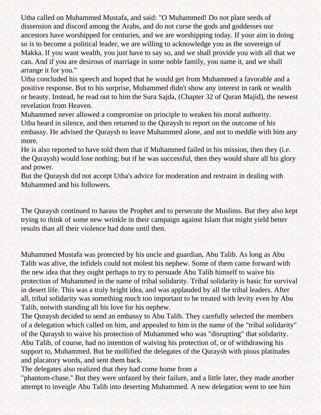Utba called on Muhammed Mustafa, and said: "O Muhammed! Do not plant seeds of dissension and discord among the Arabs, and do not curse the gods and goddesses our ancestors have worshipped for centuries, and we are worshipping today. If your aim in doing so is to become a political leader, we are willing to acknowledge you as the sovereign of Makka. If you want wealth, you just have to say so, and we shall provide you with all that we can. And if you are desirous of marriage in some noble family, you name it, and we shall arrange it for you."

Utba concluded his speech and hoped that he would get from Muhammed a favorable and a positive response. But to his surprise, Muhammed didn't show any interest in rank or wealth or beauty. Instead, he read out to him the Sura Sajda, (Chapter 32 of Quran Majid), the newest revelation from Heaven.

Muhammed never allowed a compromise on principle to weaken his moral authority. Utba heard in silence, and then returned to the Quraysh to report on the outcome of his embassy. He advised the Quraysh to leave Muhammed alone, and not to meddle with him any more.

He is also reported to have told them that if Muhammed failed in his mission, then they (i.e. the Quraysh) would lose nothing; but if he was successful, then they would share all his glory and power.

But the Quraysh did not accept Utba's advice for moderation and restraint in dealing with Muhammed and his followers.

The Quraysh continued to harass the Prophet and to persecute the Muslims. But they also kept trying to think of some new wrinkle in their campaign against Islam that might yield better results than all their violence had done until then.

Muhammed Mustafa was protected by his uncle and guardian, Abu Talib. As long as Abu Talib was alive, the infidels could not molest his nephew. Some of them came forward with the new idea that they ought perhaps to try to persuade Abu Talib himself to waive his protection of Muhammed in the name of tribal solidarity. Tribal solidarity is basic for survival in desert life. This was a truly bright idea, and was applauded by all the tribal leaders. After all, tribal solidarity was something much too important to be treated with levity even by Abu Talib, notwith standing all his love for his nephew.

The Quraysh decided to send an embassy to Abu Talib. They carefully selected the members of a delegation which called on him, and appealed to him in the name of the "tribal solidarity" of the Quraysh to waive his protection of Muhammed who was "disrupting" that solidarity. Abu Talib, of course, had no intention of waiving his protection of, or of withdrawing his support to, Muhammed. But he mollified the delegates of the Quraysh with pious platitudes and placatory words, and sent them back.

The delegates also realized that they had come home from a

"phantom-chase." But they were unfazed by their failure, and a little later, they made another attempt to inveigle Abu Talib into deserting Muhammed. A new delegation went to see him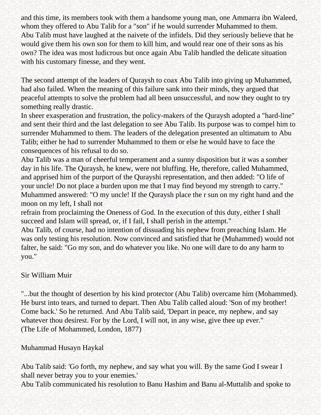and this time, its members took with them a handsome young man, one Ammarra ibn Waleed, whom they offered to Abu Talib for a "son" if he would surrender Muhammed to them. Abu Talib must have laughed at the naivete of the infidels. Did they seriously believe that he would give them his own son for them to kill him, and would rear one of their sons as his own? The idea was most ludicrous but once again Abu Talib handled the delicate situation with his customary finesse, and they went.

The second attempt of the leaders of Quraysh to coax Abu Talib into giving up Muhammed, had also failed. When the meaning of this failure sank into their minds, they argued that peaceful attempts to solve the problem had all been unsuccessful, and now they ought to try something really drastic.

In sheer exasperation and frustration, the policy-makers of the Quraysh adopted a "hard-line" and sent their third and the last delegation to see Abu Talib. Its purpose was to compel him to surrender Muhammed to them. The leaders of the delegation presented an ultimatum to Abu Talib; either he had to surrender Muhammed to them or else he would have to face the consequences of his refusal to do so.

Abu Talib was a man of cheerful temperament and a sunny disposition but it was a somber day in his life. The Quraysh, he knew, were not bluffing. He, therefore, called Muhammed, and apprised him of the purport of the Qurayshi representation, and then added: "O life of your uncle! Do not place a burden upon me that I may find beyond my strength to carry." Muhammed answered: "O my uncle! If the Quraysh place the r sun on my right hand and the moon on my left, I shall not

refrain from proclaiming the Oneness of God. In the execution of this duty, either I shall succeed and Islam will spread, or, if I fail, I shall perish in the attempt."

Abu Talib, of course, had no intention of dissuading his nephew from preaching Islam. He was only testing his resolution. Now convinced and satisfied that he (Muhammed) would not falter, he said: "Go my son, and do whatever you like. No one will dare to do any harm to you."

### Sir William Muir

"...but the thought of desertion by his kind protector (Abu Talib) overcame him (Mohammed). He burst into tears, and turned to depart. Then Abu Talib called aloud: 'Son of my brother! Come back.' So he returned. And Abu Talib said, 'Depart in peace, my nephew, and say whatever thou desirest. For by the Lord, I will not, in any wise, give thee up ever." (The Life of Mohammed, London, 1877)

### Muhammad Husayn Haykal

Abu Talib said: 'Go forth, my nephew, and say what you will. By the same God I swear I shall never betray you to your enemies.'

Abu Talib communicated his resolution to Banu Hashim and Banu al-Muttalib and spoke to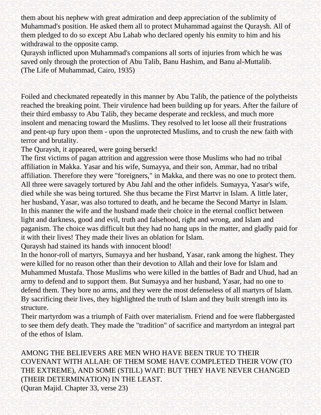them about his nephew with great admiration and deep appreciation of the sublimity of Muhammad's position. He asked them all to protect Muhammad against the Quraysh. All of them pledged to do so except Abu Lahab who declared openly his enmity to him and his withdrawal to the opposite camp.

Quraysh inflicted upon Muhammad's companions all sorts of injuries from which he was saved only through the protection of Abu Talib, Banu Hashim, and Banu al-Muttalib. (The Life of Muhammad, Cairo, 1935)

Foiled and checkmated repeatedly in this manner by Abu Talib, the patience of the polytheists reached the breaking point. Their virulence had been building up for years. After the failure of their third embassy to Abu Talib, they became desperate and reckless, and much more insolent and menacing toward the Muslims. They resolved to let loose all their frustrations and pent-up fury upon them - upon the unprotected Muslims, and to crush the new faith with terror and brutality.

The Quraysh, it appeared, were going berserk!

The first victims of pagan attrition and aggression were those Muslims who had no tribal affiliation in Makka. Yasar and his wife, Sumayya, and their son, Ammar, had no tribal affiliation. Therefore they were "foreigners," in Makka, and there was no one to protect them. All three were savagely tortured by Abu Jahl and the other infidels. Sumayya, Yasar's wife, died while she was being tortured. She thus became the First Martvr in Islam. A little later, her husband, Yasar, was also tortured to death, and he became the Second Martyr in Islam. In this manner the wife and the husband made their choice in the eternal conflict between light and darkness, good and evil, truth and falsehood, right and wrong, and Islam and paganism. The choice was difficult but they had no hang ups in the matter, and gladly paid for it with their lives! They made their lives an oblation for Islam.

Quraysh had stained its hands with innocent blood!

In the honor-roll of martyrs, Sumayya and her husband, Yasar, rank among the highest. They were killed for no reason other than their devotion to Allah and their love for Islam and Muhammed Mustafa. Those Muslims who were killed in the battles of Badr and Uhud, had an army to defend and to support them. But Sumayya and her husband, Yasar, had no one to defend them. They bore no arms, and they were the most defenseless of all martyrs of Islam. By sacrificing their lives, they highlighted the truth of Islam and they built strength into its structure.

Their martyrdom was a triumph of Faith over materialism. Friend and foe were flabbergasted to see them defy death. They made the "tradition" of sacrifice and martyrdom an integral part of the ethos of Islam.

AMONG THE BELIEVERS ARE MEN WHO HAVE BEEN TRUE TO THEIR COVENANT WITH ALLAH: OF THEM SOME HAVE COMPLETED THEIR VOW (TO THE EXTREME), AND SOME (STILL) WAIT: BUT THEY HAVE NEVER CHANGED (THEIR DETERMINATION) IN THE LEAST.

(Quran Majid. Chapter 33, verse 23)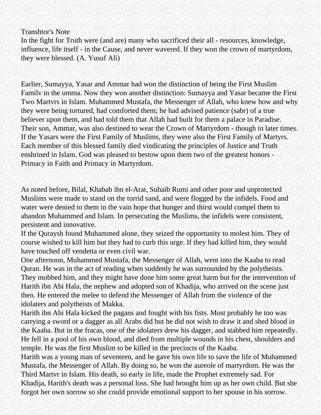Transhtor's Note

In the fight for Truth were (and are) many who sacrificed their all - resources, knowledge, influence, life itself - in the Cause, and never wavered. If they won the crown of martyrdom, they were blessed. (A. Yusuf Ali)

Earlier, Sumayya, Yasar and Ammar had won the distinction of being the First Muslim Familv in the umma. Now they won another distinction: Sumayya and Yasar became the First Two Martvrs in Islam. Muhammed Mustafa, the Messenger of Allah, who knew how and why they were being tortured, had comforted them; he had advised patience (sabr) of a true believer upon them, and had told them that Allah had built for them a palace in Paradise. Their son, Ammar, was also destined to wear the Crown of Martyrdom - though in later times. If the Yasars were the First Family of Muslims, they were also the First Family of Martyrs. Each member of this blessed family died vindicating the principles of Justice and Truth enshrined in Islam. God was pleased to bestow upon them two of the greatest honors - Primacy in Faith and Primacy in Martyrdom.

As noted before, Bilal, Khabab ibn el-Arat, Suhaib Rumi and other poor and unprotected Muslims were made to stand on the torrid sand, and were flogged by the infidels. Food and water were denied to them in the vain hope that hunger and thirst would compel them to abandon Muhammed and Islam. In persecuting the Muslims, the infidels were consistent, persistent and innovative.

If the Quraysh found Muhammed alone, they seized the opportunity to molest him. They of course wished to kill him but they had to curb this urge. If they had killed him, they would have touched off vendetta or even civil war.

One afternoon, Muhammed Mustafa, the Messenger of Allah, went into the Kaaba to read Quran. He was in the act of reading when suddenly he was surrounded by the polytheists. They mobbed him, and they might have done him some great harm but for the intervention of Harith ibn Abi Hala, the nephew and adopted son of Khadija, who arrived on the scene just then. He entered the melee to defend the Messenger of Allah from the violence of the idolaters and polytheists of Makka.

Harith ibn Abi Hala kicked the pagans and fought with his fists. Most probably he too was carrying a sword or a dagger as all Arabs did but he did not wish to draw it and shed blood in the Kaaba. But in the fracas, one of the idolaters drew his dagger, and stabbed him repeatedly. He fell in a pool of his own blood, and died from multiple wounds in his chest, shoulders and temple. He was the first Muslim to be killed in the precincts of the Kaaba.

Harith was a young man of seventeen, and he gave his own life to save the life of Muhammed Mustafa, the Messenger of Allah. By doing so, he won the aureole of martyrdom. He was the Third Martvr in Islam. His death, so early in life, made the Prophet extremely sad. For Khadija, Harith's death was a personal loss. She had brought him up as her own child. But she forgot her own sorrow so she could provide emotional support to her spouse in his sorrow.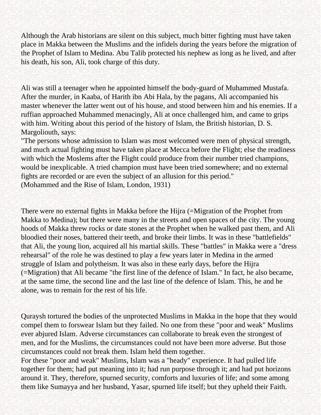Although the Arab historians are silent on this subject, much bitter fighting must have taken place in Makka between the Muslims and the infidels during the years before the migration of the Prophet of Islam to Medina. Abu Talib protected his nephew as long as he lived, and after his death, his son, Ali, took charge of this duty.

Ali was still a teenager when he appointed himself the body-guard of Muhammed Mustafa. After the murder, in Kaaba, of Harith ibn Abi Hala, by the pagans, Ali accompanied his master whenever the latter went out of his house, and stood between him and his enemies. If a ruffian approached Muhammed menacingly, Ali at once challenged him, and came to grips with him. Writing about this period of the history of Islam, the British historian, D. S. Margoliouth, says:

"The persons whose admission to Islam was most welcomed were men of physical strength, and much actual fighting must have taken place at Mecca before the Flight; else the readiness with which the Moslems after the Flight could produce from their number tried champions, would be inexplicable. A tried champion must have been tried somewhere; and no external fights are recorded or are even the subject of an allusion for this period."

(Mohammed and the Rise of Islam, London, 1931)

There were no external fights in Makka before the Hijra (=Migration of the Prophet from Makka to Medina); but there were many in the streets and open spaces of the city. The young hoods of Makka threw rocks or date stones at the Prophet when he walked past them, and Ali bloodied their noses, battered their teeth, and broke their limbs. It was in these "battlefields" that Ali, the young lion, acquired all his martial skills. These "battles" in Makka were a "dress rehearsal" of the role he was destined to play a few years later in Medina in the armed struggle of Islam and polytheism. It was also in these early days, before the Hijra (=Migration) that Ali became "the first line of the defence of Islam." In fact, he also became, at the same time, the second line and the last line of the defence of Islam. This, he and he alone, was to remain for the rest of his life.

Quraysh tortured the bodies of the unprotected Muslims in Makka in the hope that they would compel them to forswear Islam but they failed. No one from these "poor and weak" Muslims ever abjured Islam. Adverse circumstances can collaborate to break even the strongest of men, and for the Muslims, the circumstances could not have been more adverse. But those circumstances could not break them. Islam held them together.

For these "poor and weak" Muslims, Islam was a "heady" experience. It had pulled life together for them; had put meaning into it; had run purpose through it; and had put horizons around it. They, therefore, spurned security, comforts and luxuries of life; and some among them like Sumayya and her husband, Yasar, spurned life itself; but they upheld their Faith.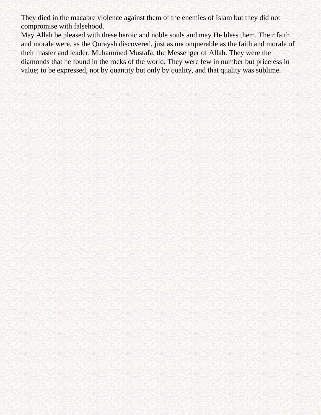They died in the macabre violence against them of the enemies of Islam but they did not compromise with falsehood.

May Allah be pleased with these heroic and noble souls and may He bless them. Their faith and morale were, as the Quraysh discovered, just as unconquerable as the faith and morale of their master and leader, Muhammed Mustafa, the Messenger of Allah. They were the diamonds that he found in the rocks of the world. They were few in number but priceless in value; to be expressed, not by quantity but only by quality, and that quality was sublime.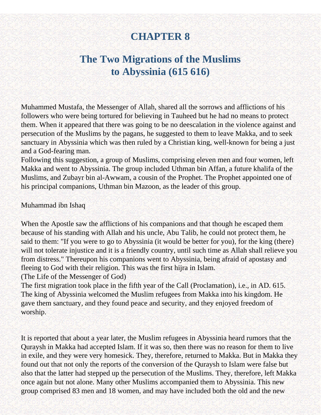# **CHAPTER 8**

# **The Two Migrations of the Muslims to Abyssinia (615 616)**

Muhammed Mustafa, the Messenger of Allah, shared all the sorrows and afflictions of his followers who were being tortured for believing in Tauheed but he had no means to protect them. When it appeared that there was going to be no deescalation in the violence against and persecution of the Muslims by the pagans, he suggested to them to leave Makka, and to seek sanctuary in Abyssinia which was then ruled by a Christian king, well-known for being a just and a God-fearing man.

Following this suggestion, a group of Muslims, comprising eleven men and four women, left Makka and went to Abyssinia. The group included Uthman bin Affan, a future khalifa of the Muslims, and Zubayr bin al-Awwam, a cousin of the Prophet. The Prophet appointed one of his principal companions, Uthman bin Mazoon, as the leader of this group.

### Muhammad ibn Ishaq

When the Apostle saw the afflictions of his companions and that though he escaped them because of his standing with Allah and his uncle, Abu Talib, he could not protect them, he said to them: "If you were to go to Abyssinia (it would be better for you), for the king (there) will not tolerate injustice and it is a friendly country, until such time as Allah shall relieve you from distress." Thereupon his companions went to Abyssinia, being afraid of apostasy and fleeing to God with their religion. This was the first hijra in Islam.

(The Life of the Messenger of God)

The first migration took place in the fifth year of the Call (Proclamation), i.e., in AD. 615. The king of Abyssinia welcomed the Muslim refugees from Makka into his kingdom. He gave them sanctuary, and they found peace and security, and they enjoyed freedom of worship.

It is reported that about a year later, the Muslim refugees in Abyssinia heard rumors that the Quraysh in Makka had accepted Islam. If it was so, then there was no reason for them to live in exile, and they were very homesick. They, therefore, returned to Makka. But in Makka they found out that not only the reports of the conversion of the Quraysh to Islam were false but also that the latter had stepped up the persecution of the Muslims. They, therefore, left Makka once again but not alone. Many other Muslims accompanied them to Abyssinia. This new group comprised 83 men and 18 women, and may have included both the old and the new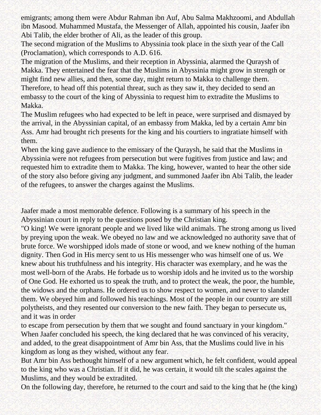emigrants; among them were Abdur Rahman ibn Auf, Abu Salma Makhzoomi, and Abdullah ibn Masood. Muhammed Mustafa, the Messenger of Allah, appointed his cousin, Jaafer ibn Abi Talib, the elder brother of Ali, as the leader of this group.

The second migration of the Muslims to Abyssinia took place in the sixth year of the Call (Proclamation), which corresponds to A.D. 616.

The migration of the Muslims, and their reception in Abyssinia, alarmed the Quraysh of Makka. They entertained the fear that the Muslims in Abyssinia might grow in strength or might find new allies, and then, some day, might return to Makka to challenge them. Therefore, to head off this potential threat, such as they saw it, they decided to send an embassy to the court of the king of Abyssinia to request him to extradite the Muslims to Makka.

The Muslim refugees who had expected to be left in peace, were surprised and dismayed by the arrival, in the Abyssinian capital, of an embassy from Makka, led by a certain Amr bin Ass. Amr had brought rich presents for the king and his courtiers to ingratiate himself with them.

When the king gave audience to the emissary of the Quraysh, he said that the Muslims in Abyssinia were not refugees from persecution but were fugitives from justice and law; and requested him to extradite them to Makka. The king, however, wanted to hear the other side of the story also before giving any judgment, and summoned Jaafer ibn Abi Talib, the leader of the refugees, to answer the charges against the Muslims.

Jaafer made a most memorable defence. Following is a summary of his speech in the Abyssinian court in reply to the questions posed by the Christian king.

"O king! We were ignorant people and we lived like wild animals. The strong among us lived by preying upon the weak. We obeyed no law and we acknowledged no authority save that of brute force. We worshipped idols made of stone or wood, and we knew nothing of the human dignity. Then God in His mercy sent to us His messenger who was himself one of us. We knew about his truthfulness and his integrity. His character was exemplary, and he was the most well-born of the Arabs. He forbade us to worship idols and he invited us to the worship of One God. He exhorted us to speak the truth, and to protect the weak, the poor, the humble, the widows and the orphans. He ordered us to show respect to women, and never to slander them. We obeyed him and followed his teachings. Most of the people in our country are still polytheists, and they resented our conversion to the new faith. They began to persecute us, and it was in order

to escape from persecution by them that we sought and found sanctuary in your kingdom." When Jaafer concluded his speech, the king declared that he was convinced of his veracity, and added, to the great disappointment of Amr bin Ass, that the Muslims could live in his kingdom as long as they wished, without any fear.

But Amr bin Ass bethought himself of a new argument which, he felt confident, would appeal to the king who was a Christian. If it did, he was certain, it would tilt the scales against the Muslims, and they would be extradited.

On the following day, therefore, he returned to the court and said to the king that he (the king)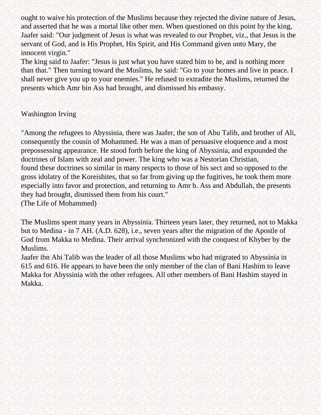ought to waive his protection of the Muslims because they rejected the divine nature of Jesus, and asserted that he was a mortal like other men. When questioned on this point by the king, Jaafer said: "Our judgment of Jesus is what was revealed to our Prophet, viz., that Jesus is the servant of God, and is His Prophet, His Spirit, and His Command given unto Mary, the innocent virgin."

The king said to Jaafer: "Jesus is just what you have stated him to be, and is nothing more than that." Then turning toward the Muslims, he said: "Go to your homes and live in peace. I shall never give you up to your enemies." He refused to extradite the Muslims, returned the presents which Amr bin Ass had brought, and dismissed his embassy.

### Washington Irving

"Among the refugees to Abyssinia, there was Jaafer, the son of Abu Talib, and brother of Ali, consequently the cousin of Mohammed. He was a man of persuasive eloquence and a most prepossessing appearance. He stood forth before the king of Abyssinia, and expounded the doctrines of Islam with zeal and power. The king who was a Nestorian Christian, found these doctrines so similar in many respects to those of his sect and so opposed to the gross idolatry of the Koreishites, that so far from giving up the fugitives, he took them more especially into favor and protection, and returning to Amr b. Ass and Abdullah, the presents they had brought, dismissed them from his court." (The Life of Mohammed)

The Muslims spent many years in Abyssinia. Thirteen years later, they returned, not to Makka but to Medina - in 7 AH. (A.D. 628), i.e., seven years after the migration of the Apostle of God from Makka to Medina. Their arrival synchronized with the conquest of Khyber by the Muslims.

Jaafer ibn Abi Talib was the leader of all those Muslims who had migrated to Abyssinia in 615 and 616. He appears to have been the only member of the clan of Bani Hashim to leave Makka for Abyssinia with the other refugees. All other members of Bani Hashim stayed in Makka.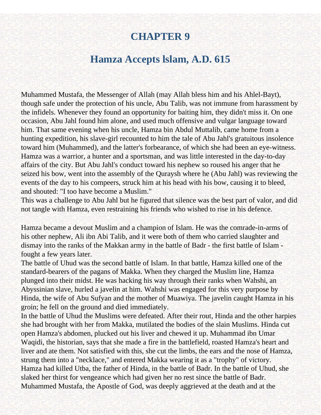# **CHAPTER 9**

## **Hamza Accepts lslam, A.D. 615**

Muhammed Mustafa, the Messenger of Allah (may Allah bless him and his Ahlel-Bayt), though safe under the protection of his uncle, Abu Talib, was not immune from harassment by the infidels. Whenever they found an opportunity for baiting him, they didn't miss it. On one occasion, Abu Jahl found him alone, and used much offensive and vulgar language toward him. That same evening when his uncle, Hamza bin Abdul Muttalib, came home from a hunting expedition, his slave-girl recounted to him the tale of Abu Jahl's gratuitous insolence toward him (Muhammed), and the latter's forbearance, of which she had been an eye-witness. Hamza was a warrior, a hunter and a sportsman, and was little interested in the day-to-day affairs of the city. But Abu Jahl's conduct toward his nephew so roused his anger that he seized his bow, went into the assembly of the Quraysh where he (Abu Jahl) was reviewing the events of the day to his compeers, struck him at his head with his bow, causing it to bleed, and shouted: "I too have become a Muslim."

This was a challenge to Abu Jahl but he figured that silence was the best part of valor, and did not tangle with Hamza, even restraining his friends who wished to rise in his defence.

Hamza became a devout Muslim and a champion of Islam. He was the comrade-in-arms of his other nephew, Ali ibn Abi Talib, and it were both of them who carried slaughter and dismay into the ranks of the Makkan army in the battle of Badr - the first battle of Islam fought a few years later.

The battle of Uhud was the second battle of Islam. In that battle, Hamza killed one of the standard-bearers of the pagans of Makka. When they charged the Muslim line, Hamza plunged into their midst. He was hacking his way through their ranks when Wahshi, an Abyssinian slave, hurled a javelin at him. Wahshi was engaged for this very purpose by Hinda, the wife of Abu Sufyan and the mother of Muawiya. The javelin caught Hamza in his groin; he fell on the ground and died immediately.

In the battle of Uhud the Muslims were defeated. After their rout, Hinda and the other harpies she had brought with her from Makka, mutilated the bodies of the slain Muslims. Hinda cut open Hamza's abdomen, plucked out his liver and chewed it up. Muhammad ibn Umar Waqidi, the historian, says that she made a fire in the battlefield, roasted Hamza's heart and liver and ate them. Not satisfied with this, she cut the limbs, the ears and the nose of Hamza, strung them into a "necklace," and entered Makka wearing it as a "trophy" of victory. Hamza had killed Utba, the father of Hinda, in the battle of Badr. In the battle of Uhud, she slaked her thirst for vengeance which had given her no rest since the battle of Badr. Muhammed Mustafa, the Apostle of God, was deeply aggrieved at the death and at the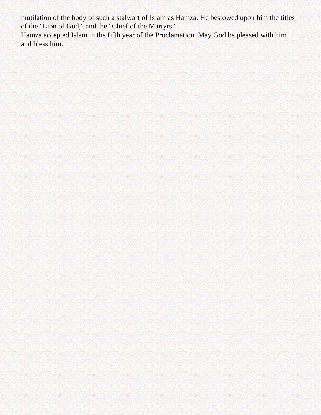mutilation of the body of such a stalwart of Islam as Hamza. He bestowed upon him the titles of the "Lion of God," and the "Chief of the Martyrs."

Hamza accepted Islam in the fifth year of the Proclamation. May God be pleased with him, and bless him.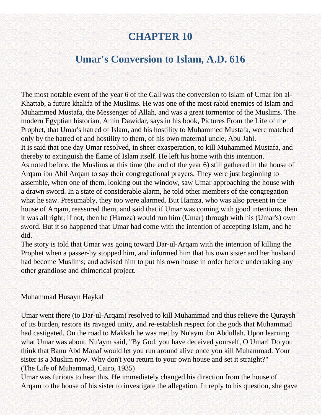# **CHAPTER 10**

## **Umar's Conversion to Islam, A.D. 616**

The most notable event of the year 6 of the Call was the conversion to Islam of Umar ibn al-Khattab, a future khalifa of the Muslims. He was one of the most rabid enemies of Islam and Muhammed Mustafa, the Messenger of Allah, and was a great tormentor of the Muslims. The modern Egyptian historian, Amin Dawidar, says in his book, Pictures From the Life of the Prophet, that Umar's hatred of Islam, and his hostility to Muhammed Mustafa, were matched only by the hatred of and hostility to them, of his own maternal uncle, Abu Jahl. It is said that one day Umar resolved, in sheer exasperation, to kill Muhammed Mustafa, and thereby to extinguish the flame of Islam itself. He left his home with this intention. As noted before, the Muslims at this time (the end of the year 6) still gathered in the house of Arqam ibn Abil Arqam to say their congregational prayers. They were just beginning to assemble, when one of them, looking out the window, saw Umar approaching the house with a drawn sword. In a state of considerable alarm, he told other members of the congregation what he saw. Presumably, they too were alarmed. But Hamza, who was also present in the house of Arqam, reassured them, and said that if Umar was coming with good intentions, then it was all right; if not, then he (Hamza) would run him (Umar) through with his (Umar's) own sword. But it so happened that Umar had come with the intention of accepting Islam, and he did.

The story is told that Umar was going toward Dar-ul-Arqam with the intention of killing the Prophet when a passer-by stopped him, and informed him that his own sister and her husband had become Muslims; and advised him to put his own house in order before undertaking any other grandiose and chimerical project.

### Muhammad Husayn Haykal

Umar went there (to Dar-ul-Arqam) resolved to kill Muhammad and thus relieve the Quraysh of its burden, restore its ravaged unity, and re-establish respect for the gods that Muhammad had castigated. On the road to Makkah he was met by Nu'aym ibn Abdullah. Upon learning what Umar was about, Nu'aym said, "By God, you have deceived yourself, O Umar! Do you think that Banu Abd Manaf would let you run around alive once you kill Muhammad. Your sister is a Muslim now. Why don't you return to your own house and set it straight?" (The Life of Muhammad, Cairo, 1935)

Umar was furious to hear this. He immediately changed his direction from the house of Arqam to the house of his sister to investigate the allegation. In reply to his question, she gave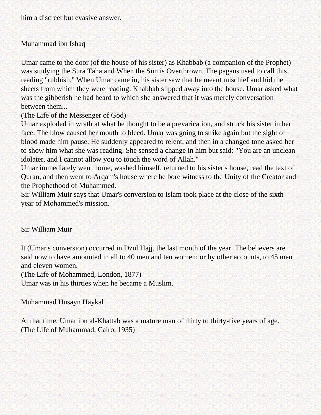him a discreet but evasive answer.

### Muhammad ibn Ishaq

Umar came to the door (of the house of his sister) as Khabbab (a companion of the Prophet) was studying the Sura Taha and When the Sun is Overthrown. The pagans used to call this reading "rubbish." When Umar came in, his sister saw that he meant mischief and hid the sheets from which they were reading. Khabbab slipped away into the house. Umar asked what was the gibberish he had heard to which she answered that it was merely conversation between them...

(The Life of the Messenger of God)

Umar exploded in wrath at what he thought to be a prevarication, and struck his sister in her face. The blow caused her mouth to bleed. Umar was going to strike again but the sight of blood made him pause. He suddenly appeared to relent, and then in a changed tone asked her to show him what she was reading. She sensed a change in him but said: "You are an unclean idolater, and I cannot allow you to touch the word of Allah."

Umar immediately went home, washed himself, returned to his sister's house, read the text of Quran, and then went to Arqam's house where he bore witness to the Unity of the Creator and the Prophethood of Muhammed.

Sir William Muir says that Umar's conversion to Islam took place at the close of the sixth year of Mohammed's mission.

### Sir William Muir

It (Umar's conversion) occurred in Dzul Hajj, the last month of the year. The believers are said now to have amounted in all to 40 men and ten women; or by other accounts, to 45 men and eleven women.

(The Life of Mohammed, London, 1877)

Umar was in his thirties when he became a Muslim.

Muhammad Husayn Haykal

At that time, Umar ibn al-Khattab was a mature man of thirty to thirty-five years of age. (The Life of Muhammad, Cairo, 1935)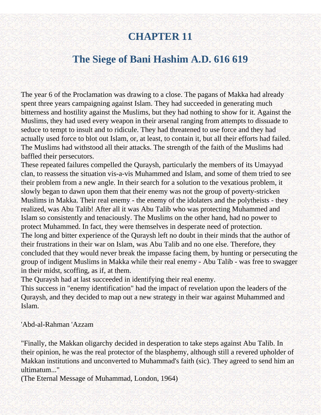# **CHAPTER 11**

## **The Siege of Bani Hashim A.D. 616 619**

The year 6 of the Proclamation was drawing to a close. The pagans of Makka had already spent three years campaigning against Islam. They had succeeded in generating much bitterness and hostility against the Muslims, but they had nothing to show for it. Against the Muslims, they had used every weapon in their arsenal ranging from attempts to dissuade to seduce to tempt to insult and to ridicule. They had threatened to use force and they had actually used force to blot out Islam, or, at least, to contain it, but all their efforts had failed. The Muslims had withstood all their attacks. The strength of the faith of the Muslims had baffled their persecutors.

These repeated failures compelled the Quraysh, particularly the members of its Umayyad clan, to reassess the situation vis-a-vis Muhammed and Islam, and some of them tried to see their problem from a new angle. In their search for a solution to the vexatious problem, it slowly began to dawn upon them that their enemy was not the group of poverty-stricken Muslims in Makka. Their real enemy - the enemy of the idolaters and the polytheists - they realized, was Abu Talib! After all it was Abu Talib who was protecting Muhammed and Islam so consistently and tenaciously. The Muslims on the other hand, had no power to protect Muhammed. In fact, they were themselves in desperate need of protection. The long and bitter experience of the Quraysh left no doubt in their minds that the author of their frustrations in their war on Islam, was Abu Talib and no one else. Therefore, they concluded that they would never break the impasse facing them, by hunting or persecuting the group of indigent Muslims in Makka while their real enemy - Abu Talib - was free to swagger in their midst, scoffing, as if, at them.

The Quraysh had at last succeeded in identifying their real enemy.

This success in "enemy identification" had the impact of revelation upon the leaders of the Quraysh, and they decided to map out a new strategy in their war against Muhammed and Islam.

'Abd-al-Rahman 'Azzam

"Finally, the Makkan oligarchy decided in desperation to take steps against Abu Talib. In their opinion, he was the real protector of the blasphemy, although still a revered upholder of Makkan institutions and unconverted to Muhammad's faith (sic). They agreed to send him an ultimatum..."

(The Eternal Message of Muhammad, London, 1964)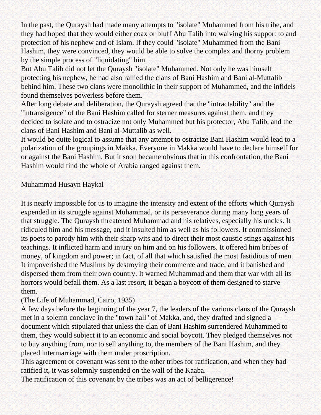In the past, the Quraysh had made many attempts to "isolate" Muhammed from his tribe, and they had hoped that they would either coax or bluff Abu Talib into waiving his support to and protection of his nephew and of Islam. If they could "isolate" Muhammed from the Bani Hashim, they were convinced, they would be able to solve the complex and thorny problem by the simple process of "liquidating" him.

But Abu Talib did not let the Quraysh "isolate" Muhammed. Not only he was himself protecting his nephew, he had also rallied the clans of Bani Hashim and Bani al-Muttalib behind him. These two clans were monolithic in their support of Muhammed, and the infidels found themselves powerless before them.

After long debate and deliberation, the Quraysh agreed that the "intractability" and the "intransigence" of the Bani Hashim called for sterner measures against them, and they decided to isolate and to ostracize not only Muhammed but his protector, Abu Talib, and the clans of Bani Hashim and Bani al-Muttalib as well.

It would be quite logical to assume that any attempt to ostracize Bani Hashim would lead to a polarization of the groupings in Makka. Everyone in Makka would have to declare himself for or against the Bani Hashim. But it soon became obvious that in this confrontation, the Bani Hashim would find the whole of Arabia ranged against them.

### Muhammad Husayn Haykal

It is nearly impossible for us to imagine the intensity and extent of the efforts which Quraysh expended in its struggle against Muhammad, or its perseverance during many long years of that struggle. The Quraysh threatened Muhammad and his relatives, especially his uncles. It ridiculed him and his message, and it insulted him as well as his followers. It commissioned its poets to parody him with their sharp wits and to direct their most caustic stings against his teachings. It inflicted harm and injury on him and on his followers. It offered him bribes of money, of kingdom and power; in fact, of all that which satisfied the most fastidious of men. It impoverished the Muslims by destroying their commerce and trade, and it banished and dispersed them from their own country. It warned Muhammad and them that war with all its horrors would befall them. As a last resort, it began a boycott of them designed to starve them.

#### (The Life of Muhammad, Cairo, 1935)

A few days before the beginning of the year 7, the leaders of the various clans of the Quraysh met in a solemn conclave in the "town hall" of Makka, and, they drafted and signed a document which stipulated that unless the clan of Bani Hashim surrendered Muhammed to them, they would subject it to an economic and social boycott. They pledged themselves not to buy anything from, nor to sell anything to, the members of the Bani Hashim, and they placed intermarriage with them under proscription.

This agreement or covenant was sent to the other tribes for ratification, and when they had ratified it, it was solemnly suspended on the wall of the Kaaba.

The ratification of this covenant by the tribes was an act of belligerence!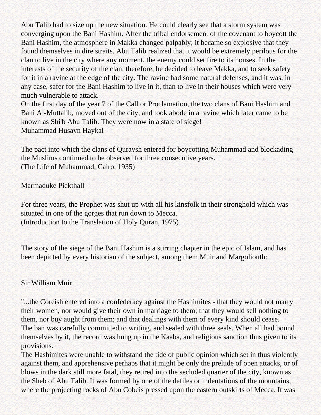Abu Talib had to size up the new situation. He could clearly see that a storm system was converging upon the Bani Hashim. After the tribal endorsement of the covenant to boycott the Bani Hashim, the atmosphere in Makka changed palpably; it became so explosive that they found themselves in dire straits. Abu Talib realized that it would be extremely perilous for the clan to live in the city where any moment, the enemy could set fire to its houses. In the interests of the security of the clan, therefore, he decided to leave Makka, and to seek safety for it in a ravine at the edge of the city. The ravine had some natural defenses, and it was, in any case, safer for the Bani Hashim to live in it, than to live in their houses which were very much vulnerable to attack.

On the first day of the year 7 of the Call or Proclamation, the two clans of Bani Hashim and Bani Al-Muttalib, moved out of the city, and took abode in a ravine which later came to be known as Shi'b Abu Talib. They were now in a state of siege! Muhammad Husayn Haykal

The pact into which the clans of Quraysh entered for boycotting Muhammad and blockading the Muslims continued to be observed for three consecutive years. (The Life of Muhammad, Cairo, 1935)

Marmaduke Pickthall

For three years, the Prophet was shut up with all his kinsfolk in their stronghold which was situated in one of the gorges that run down to Mecca. (Introduction to the Translation of Holy Quran, 1975)

The story of the siege of the Bani Hashim is a stirring chapter in the epic of Islam, and has been depicted by every historian of the subject, among them Muir and Margoliouth:

Sir William Muir

"...the Coreish entered into a confederacy against the Hashimites - that they would not marry their women, nor would give their own in marriage to them; that they would sell nothing to them, nor buy aught from them; and that dealings with them of every kind should cease. The ban was carefully committed to writing, and sealed with three seals. When all had bound themselves by it, the record was hung up in the Kaaba, and religious sanction thus given to its provisions.

The Hashimites were unable to withstand the tide of public opinion which set in thus violently against them, and apprehensive perhaps that it might be only the prelude of open attacks, or of blows in the dark still more fatal, they retired into the secluded quarter of the city, known as the Sheb of Abu Talib. It was formed by one of the defiles or indentations of the mountains, where the projecting rocks of Abu Cobeis pressed upon the eastern outskirts of Mecca. It was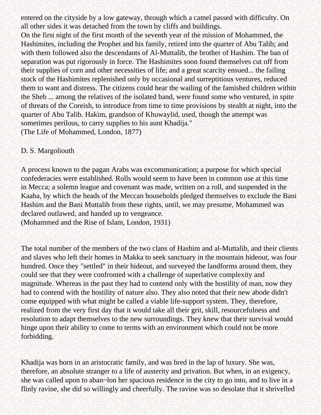entered on the cityside by a low gateway, through which a camel passed with difficulty. On all other sides it was detached from the town by cliffs and buildings.

On the first night of the first month of the seventh year of the mission of Mohammed, the Hashimites, including the Prophet and his family, retired into the quarter of Abu Talib; and with them followed also the descendants of Al-Muttalib, the brother of Hashim. The ban of separation was put rigorously in force. The Hashimites soon found themselves cut off from their supplies of corn and other necessities of life; and a great scarcity ensued... the failing stock of the Hashimites replenished only by occasional and surreptitious ventures, reduced them to want and distress. The citizens could hear the wailing of the famished children within the Sheb ... among the relatives of the isolated band, were found some who ventured, in spite of threats of the Coreish, to introduce from time to time provisions by stealth at night, into the quarter of Abu Talib. Hakim, grandson of Khuwaylid, used, though the attempt was sometimes perilous, to carry supplies to his aunt Khadija." (The Life of Mohammed, London, 1877)

### D. S. Margoliouth

A process known to the pagan Arabs was excommunication; a purpose for which special confederacies were established. Rolls would seem to have been in common use at this time in Mecca; a solemn league and covenant was made, written on a roll, and suspended in the Kaaba, by which the heads of the Meccan households pledged themselves to exclude the Bani Hashim and the Bani Muttalib from these rights, until, we may presume, Mohammed was declared outlawed, and handed up to vengeance.

(Mohammed and the Rise of Islam, London, 1931)

The total number of the members of the two clans of Hashim and al-Muttalib, and their clients and slaves who left their homes in Makka to seek sanctuary in the mountain hideout, was four hundred. Once they "settled" in their hideout, and surveyed the landforms around them, they could see that they were confronted with a challenge of superlative complexity and magnitude. Whereas in the past they had to contend only with the hostility of man, now they had to contend with the hostility of nature also. They also noted that their new abode didn't come equipped with what might be called a viable life-support system. They, therefore, realized from the very first day that it would take all their grit, skill, resourcefulness and resolution to adapt themselves to the new surroundings. They knew that their survival would hinge upon their ability to come to terms with an environment which could not be more forbidding.

Khadija was born in an aristocratic family, and was bred in the lap of luxury. She was, therefore, an absolute stranger to a life of austerity and privation. But when, in an exigency, she was called upon to aban~lon her spacious residence in the city to go into, and to live in a flinly ravine, she did so willingly and cheerfully. The ravine was so desolate that it shrivelled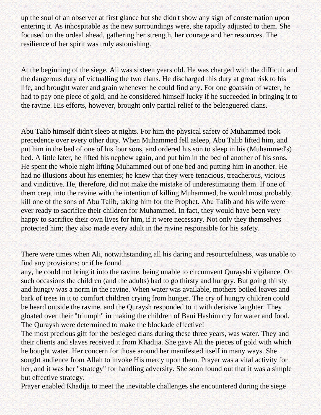up the soul of an observer at first glance but she didn't show any sign of consternation upon entering it. As inhospitable as the new surroundings were, she rapidly adjusted to them. She focused on the ordeal ahead, gathering her strength, her courage and her resources. The resilience of her spirit was truly astonishing.

At the beginning of the siege, Ali was sixteen years old. He was charged with the difficult and the dangerous duty of victualling the two clans. He discharged this duty at great risk to his life, and brought water and grain whenever he could find any. For one goatskin of water, he had to pay one piece of gold, and he considered himself lucky if he succeeded in bringing it to the ravine. His efforts, however, brought only partial relief to the beleaguered clans.

Abu Talib himself didn't sleep at nights. For him the physical safety of Muhammed took precedence over every other duty. When Muhammed fell asleep, Abu Talib lifted him, and put him in the bed of one of his four sons, and ordered his son to sleep in his (Muhammed's) bed. A little later, he lifted his nephew again, and put him in the bed of another of his sons. He spent the whole night lifting Muhammed out of one bed and putting him in another. He had no illusions about his enemies; he knew that they were tenacious, treacherous, vicious and vindictive. He, therefore, did not make the mistake of underestimating them. If one of them crept into the ravine with the intention of killing Muhammed, he would most probably, kill one of the sons of Abu Talib, taking him for the Prophet. Abu Talib and his wife were ever ready to sacrifice their children for Muhammed. In fact, they would have been very happy to sacrifice their own lives for him, if it were necessary. Not only they themselves protected him; they also made every adult in the ravine responsible for his safety.

There were times when Ali, notwithstanding all his daring and resourcefulness, was unable to find any provisions; or if he found

any, he could not bring it into the ravine, being unable to circumvent Qurayshi vigilance. On such occasions the children (and the adults) had to go thirsty and hungry. But going thirsty and hungry was a norm in the ravine. When water was available, mothers boiled leaves and bark of trees in it to comfort children crying from hunger. The cry of hungry children could be heard outside the ravine, and the Quraysh responded to it with derisive laughter. They gloated over their "triumph" in making the children of Bani Hashim cry for water and food. The Quraysh were determined to make the blockade effective!

The most precious gift for the besieged clans during these three years, was water. They and their clients and slaves received it from Khadija. She gave Ali the pieces of gold with which he bought water. Her concern for those around her manifested itself in many ways. She sought audience from Allah to invoke His mercy upon them. Prayer was a vital activity for her, and it was her "strategy" for handling adversity. She soon found out that it was a simple but effective strategy.

Prayer enabled Khadija to meet the inevitable challenges she encountered during the siege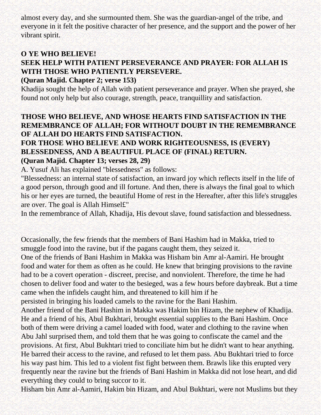almost every day, and she surmounted them. She was the guardian-angel of the tribe, and everyone in it felt the positive character of her presence, and the support and the power of her vibrant spirit.

## **O YE WHO BELIEVE!**

## **SEEK HELP WITH PATIENT PERSEVERANCE AND PRAYER: FOR ALLAH IS WITH THOSE WHO PATIENTLY PERSEVERE.**

## **(Quran Majid. Chapter 2; verse 153)**

Khadija sought the help of Allah with patient perseverance and prayer. When she prayed, she found not only help but also courage, strength, peace, tranquillity and satisfaction.

## **THOSE WHO BELIEVE, AND WHOSE HEARTS FIND SATISFACTION IN THE REMEMBRANCE OF ALLAH; FOR WITHOUT DOUBT IN THE REMEMBRANCE OF ALLAH DO HEARTS FIND SATISFACTION.**

## **FOR THOSE WHO BELIEVE AND WORK RIGHTEOUSNESS, IS (EVERY) BLESSEDNESS, AND A BEAUTIFUL PLACE OF (FINAL) RETURN. (Quran Majid. Chapter 13; verses 28, 29)**

A. Yusuf Ali has explained "blessedness" as follows:

"Blessedness: an internal state of satisfaction, an inward joy which reflects itself in the life of a good person, through good and ill fortune. And then, there is always the final goal to which his or her eyes are turned, the beautiful Home of rest in the Hereafter, after this life's struggles are over. The goal is Allah Himsel£"

In the remembrance of Allah, Khadija, His devout slave, found satisfaction and blessedness.

Occasionally, the few friends that the members of Bani Hashim had in Makka, tried to smuggle food into the ravine, but if the pagans caught them, they seized it.

One of the friends of Bani Hashim in Makka was Hisham bin Amr al-Aamiri. He brought food and water for them as often as he could. He knew that bringing provisions to the ravine had to be a covert operation - discreet, precise, and nonviolent. Therefore, the time he had chosen to deliver food and water to the besieged, was a few hours before daybreak. But a time came when the infidels caught him, and threatened to kill him if he

persisted in bringing his loaded camels to the ravine for the Bani Hashim.

Another friend of the Bani Hashim in Makka was Hakim bin Hizam, the nephew of Khadija. He and a friend of his, Abul Bukhtari, brought essential supplies to the Bani Hashim. Once both of them were driving a camel loaded with food, water and clothing to the ravine when Abu Jahl surprised them, and told them that he was going to confiscate the camel and the provisions. At first, Abul Bukhtari tried to conciliate him but he didn't want to hear anything. He barred their access to the ravine, and refused to let them pass. Abu Bukhtari tried to force his way past him. This led to a violent fist fight between them. Brawls like this erupted very frequently near the ravine but the friends of Bani Hashim in Makka did not lose heart, and did everything they could to bring succor to it.

Hisham bin Amr al-Aamiri, Hakim bin Hizam, and Abul Bukhtari, were not Muslims but they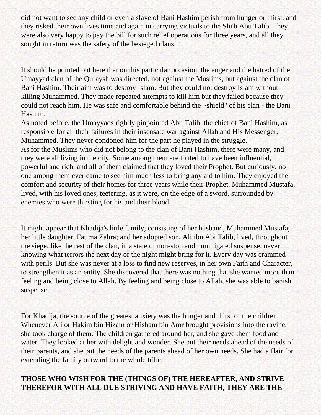did not want to see any child or even a slave of Bani Hashim perish from hunger or thirst, and they risked their own lives time and again in carrying victuals to the Shi'b Abu Talib. They were also very happy to pay the bill for such relief operations for three years, and all they sought in return was the safety of the besieged clans.

It should be pointed out here that on this particular occasion, the anger and the hatred of the Umayyad clan of the Quraysh was directed, not against the Muslims, but against the clan of Bani Hashim. Their aim was to destroy Islam. But they could not destroy Islam without killing Muhammed. They made repeated attempts to kill him but they failed because they could not reach him. He was safe and comfortable behind the ~shield" of his clan - the Bani Hashim.

As noted before, the Umayyads rightly pinpointed Abu Talib, the chief of Bani Hashim, as responsible for all their failures in their insensate war against Allah and His Messenger, Muhammed. They never condoned him for the part he played in the struggle. As for the Muslims who did not belong to the clan of Bani Hashim, there were many, and they were all living in the city. Some among them are touted to have been influential, powerful and rich, and all of them claimed that they loved their Prophet. But curiously, no one among them ever came to see him much less to bring any aid to him. They enjoyed the comfort and security of their homes for three years while their Prophet, Muhammed Mustafa, lived, with his loved ones, teetering, as it were, on the edge of a sword, surrounded by enemies who were thirsting for his and their blood.

It might appear that Khadija's little family, consisting of her husband, Muhammed Mustafa; her little daughter, Fatima Zahra; and her adopted son, Ali ibn Abi Talib, lived, throughout the siege, like the rest of the clan, in a state of non-stop and unmitigated suspense, never knowing what terrors the next day or the night might bring for it. Every day was crammed with perils. But she was never at a loss to find new reserves, in her own Faith and Character, to strengthen it as an entity. She discovered that there was nothing that she wanted more than feeling and being close to Allah. By feeling and being close to Allah, she was able to banish suspense.

For Khadija, the source of the greatest anxiety was the hunger and thirst of the children. Whenever Ali or Hakim bin Hizam or Hisham bin Amr brought provisions into the ravine, she took charge of them. The children gathered around her, and she gave them food and water. They looked at her with delight and wonder. She put their needs ahead of the needs of their parents, and she put the needs of the parents ahead of her own needs. She had a flair for extending the family outward to the whole tribe.

## **THOSE WHO WISH FOR THE (THINGS OF) THE HEREAFTER, AND STRIVE THEREFOR WITH ALL DUE STRIVING AND HAVE FAITH, THEY ARE THE**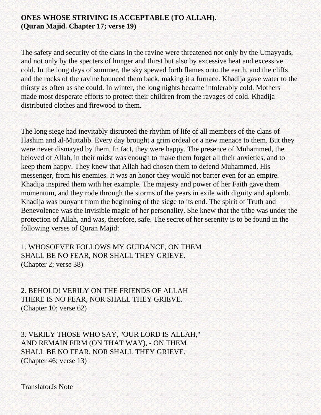### **ONES WHOSE STRIVING IS ACCEPTABLE (TO ALLAH). (Quran Majid. Chapter 17; verse 19)**

The safety and security of the clans in the ravine were threatened not only by the Umayyads, and not only by the specters of hunger and thirst but also by excessive heat and excessive cold. In the long days of summer, the sky spewed forth flames onto the earth, and the cliffs and the rocks of the ravine bounced them back, making it a furnace. Khadija gave water to the thirsty as often as she could. In winter, the long nights became intolerably cold. Mothers made most desperate efforts to protect their children from the ravages of cold. Khadija distributed clothes and firewood to them.

The long siege had inevitably disrupted the rhythm of life of all members of the clans of Hashim and al-Muttalib. Every day brought a grim ordeal or a new menace to them. But they were never dismayed by them. In fact, they were happy. The presence of Muhammed, the beloved of Allah, in their midst was enough to make them forget all their anxieties, and to keep them happy. They knew that Allah had chosen them to defend Muhammed, His messenger, from his enemies. It was an honor they would not barter even for an empire. Khadija inspired them with her example. The majesty and power of her Faith gave them momentum, and they rode through the storms of the years in exile with dignity and aplomb. Khadija was buoyant from the beginning of the siege to its end. The spirit of Truth and Benevolence was the invisible magic of her personality. She knew that the tribe was under the protection of Allah, and was, therefore, safe. The secret of her serenity is to be found in the following verses of Quran Majid:

1. WHOSOEVER FOLLOWS MY GUIDANCE, ON THEM SHALL BE NO FEAR, NOR SHALL THEY GRIEVE. (Chapter 2; verse 38)

2. BEHOLD! VERILY ON THE FRIENDS OF ALLAH THERE IS NO FEAR, NOR SHALL THEY GRIEVE. (Chapter 10; verse 62)

3. VERILY THOSE WHO SAY, "OUR LORD IS ALLAH," AND REMAIN FIRM (ON THAT WAY), - ON THEM SHALL BE NO FEAR, NOR SHALL THEY GRIEVE. (Chapter 46; verse 13)

TranslatorJs Note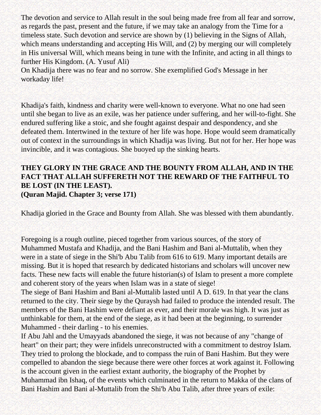The devotion and service to Allah result in the soul being made free from all fear and sorrow, as regards the past, present and the future, if we may take an analogy from the Time for a timeless state. Such devotion and service are shown by (1) believing in the Signs of Allah, which means understanding and accepting His Will, and (2) by merging our will completely in His universal Will, which means being in tune with the Infinite, and acting in all things to further His Kingdom. (A. Yusuf Ali)

On Khadija there was no fear and no sorrow. She exemplified God's Message in her workaday life!

Khadija's faith, kindness and charity were well-known to everyone. What no one had seen until she began to live as an exile, was her patience under suffering, and her will-to-fight. She endured suffering like a stoic, and she fought against despair and despondency, and she defeated them. Intertwined in the texture of her life was hope. Hope would seem dramatically out of context in the surroundings in which Khadija was living. But not for her. Her hope was invincible, and it was contagious. She buoyed up the sinking hearts.

### **THEY GLORY IN THE GRACE AND THE BOUNTY FROM ALLAH, AND IN THE FACT THAT ALLAH SUFFERETH NOT THE REWARD OF THE FAITHFUL TO BE LOST (IN THE LEAST). (Quran Majid. Chapter 3; verse 171)**

Khadija gloried in the Grace and Bounty from Allah. She was blessed with them abundantly.

Foregoing is a rough outline, pieced together from various sources, of the story of Muhammed Mustafa and Khadija, and the Bani Hashim and Bani al-Muttalib, when they were in a state of siege in the Shi'b Abu Talib from 616 to 619. Many important details are missing. But it is hoped that research by dedicated historians and scholars will uncover new facts. These new facts will enable the future historian(s) of Islam to present a more complete and coherent story of the years when Islam was in a state of siege!

The siege of Bani Hashim and Bani al-Muttalib lasted until A D. 619. In that year the clans returned to the city. Their siege by the Quraysh had failed to produce the intended result. The members of the Bani Hashim were defiant as ever, and their morale was high. It was just as unthinkable for them, at the end of the siege, as it had been at the beginning, to surrender Muhammed - their darling - to his enemies.

If Abu Jahl and the Umayyads abandoned the siege, it was not because of any "change of heart" on their part; they were infidels unreconstructed with a commitment to destroy Islam. They tried to prolong the blockade, and to compass the ruin of Bani Hashim. But they were compelled to abandon the siege because there were other forces at work against it. Following is the account given in the earliest extant authority, the biography of the Prophet by Muhammad ibn Ishaq, of the events which culminated in the return to Makka of the clans of Bani Hashim and Bani al-Muttalib from the Shi'b Abu Talib, after three years of exile: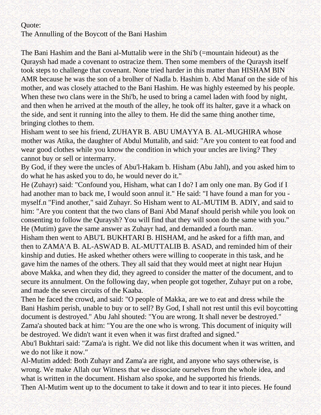#### Quote:

The Annulling of the Boycott of the Bani Hashim

The Bani Hashim and the Bani al-Muttalib were in the Shi'b (=mountain hideout) as the Quraysh had made a covenant to ostracize them. Then some members of the Quraysh itself took steps to challenge that covenant. None tried harder in this matter than HISHAM BIN AMR because he was the son of a brolher of Nadla b. Hashim b. Abd Manaf on the side of his mother, and was closely attached to the Bani Hashim. He was highly esteemed by his people. When these two clans were in the Shi'b, he used to bring a camel laden with food by night, and then when he arrived at the mouth of the alley, he took off its halter, gave it a whack on the side, and sent it running into the alley to them. He did the same thing another time, bringing clothes to them.

Hisham went to see his friend, ZUHAYR B. ABU UMAYYA B. AL-MUGHIRA whose mother was Atika, the daughter of Abdul Muttalib, and said: "Are you content to eat food and wear good clothes while you know the condition in which your uncles are living? They cannot buy or sell or intermarry.

By God, if they were the uncles of Abu'l-Hakam b. Hisham (Abu Jahl), and you asked him to do what he has asked you to do, he would never do it."

He (Zuhayr) said: "Confound you, Hisham, what can I do? I am only one man. By God if I had another man to back me, I would soon annul it." He said: "I have found a man for you myself.n "Find another," said Zuhayr. So Hisham went to AL-MUTIM B. ADIY, and said to him: "Are you content that the two clans of Bani Abd Manaf should perish while you look on consenting to follow the Quraysh? You will find that they will soon do the same with you." He (Mutim) gave the same answer as Zuhayr had, and demanded a fourth man.

Hisham then went to ABU'L BUKHTARI B. HISHAM, and he asked for a fifth man, and then to ZAMA'A B. AL-ASWAD B. AL-MUTTALIB B. ASAD, and reminded him of their kinship and duties. He asked whether others were willing to cooperate in this task, and he gave him the names of the others. They all said that they would meet at night near Hujun above Makka, and when they did, they agreed to consider the matter of the document, and to secure its annulment. On the following day, when people got together, Zuhayr put on a robe, and made the seven circuits of the Kaaba.

Then he faced the crowd, and said: "O people of Makka, are we to eat and dress while the Bani Hashim perish, unable to buy or to sell? By God, I shall not rest until this evil boycotting document is destroyed." Abu Jahl shouted: "You are wrong. It shall never be destroyed." Zama'a shouted back at him: "You are the one who is wrong. This document of iniquity will be destroyed. We didn't want it even when it was first drafted and signed."

Abu'l Bukhtari said: "Zama'a is right. We did not like this document when it was written, and we do not like it now."

Al-Mutim added: Both Zuhayr and Zama'a are right, and anyone who says otherwise, is wrong. We make Allah our Witness that we dissociate ourselves from the whole idea, and what is written in the document. Hisham also spoke, and he supported his friends.

Then Al-Mutim went up to the document to take it down and to tear it into pieces. He found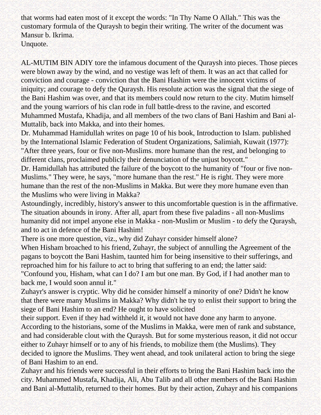that worms had eaten most of it except the words: "In Thy Name O Allah." This was the customary formula of the Quraysh to begin their writing. The writer of the document was Mansur b. Ikrima.

Unquote.

AL-MUTIM BIN ADIY tore the infamous document of the Quraysh into pieces. Those pieces were blown away by the wind, and no vestige was left of them. It was an act that called for conviction and courage - conviction that the Bani Hashim were the innocent victims of iniquity; and courage to defy the Quraysh. His resolute action was the signal that the siege of the Bani Hashim was over, and that its members could now return to the city. Mutim himself and the young warriors of his clan rode in full battle-dress to the ravine, and escorted Muhammed Mustafa, Khadija, and all members of the two clans of Bani Hashim and Bani al-Muttalib, back into Makka, and into their homes.

Dr. Muhammad Hamidullah writes on page 10 of his book, Introduction to Islam. published by the International Islamic Federation of Student Organizations, Salimiah, Kuwait (1977): "After three years, four or five non-Muslims. more humane than the rest, and belonging to different clans, proclaimed publicly their denunciation of the unjust boycott."

Dr. Hamidullah has attributed the failure of the boycott to the humanity of "four or five non-Muslims." They were, he says, "more humane than the rest." He is right. They were more humane than the rest of the non-Muslims in Makka. But were they more humane even than the Muslims who were living in Makka?

Astoundingly, incredibly, history's answer to this uncomfortable question is in the affirmative. The situation abounds in irony. After all, apart from these five paladins - all non-Muslims humanity did not impel anyone else in Makka - non-Muslim or Muslim - to defy the Quraysh, and to act in defence of the Bani Hashim!

There is one more question, viz., why did Zuhayr consider himself alone?

When Hisham broached to his friend, Zuhayr, the subject of annulling the Agreement of the pagans to boycott the Bani Hashim, taunted him for being insensitive to their sufferings, and reproached him for his failure to act to bring that suffering to an end; the latter said: "Confound you, Hisham, what can I do? I am but one man. By God, if I had another man to back me, I would soon annul it."

Zuhayr's answer is cryptic. Why did he consider himself a minority of one? Didn't he know that there were many Muslims in Makka? Why didn't he try to enlist their support to bring the siege of Bani Hashim to an end? He ought to have solicited

their support. Even if they had withheld it, it would not have done any harm to anyone. According to the historians, some of the Muslims in Makka, were men of rank and substance, and had considerable clout with the Quraysh. But for some mysterious reason, it did not occur either to Zuhayr himself or to any of his friends, to mobilize them (the Muslims). They decided to ignore the Muslims. They went ahead, and took unilateral action to bring the siege of Bani Hashim to an end.

Zuhayr and his friends were successful in their efforts to bring the Bani Hashim back into the city. Muhammed Mustafa, Khadija, Ali, Abu Talib and all other members of the Bani Hashim and Bani al-Muttalib, returned to their homes. But by their action, Zuhayr and his companions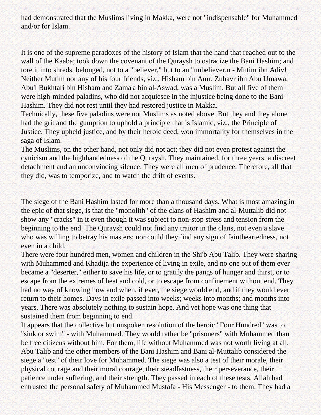had demonstrated that the Muslims living in Makka, were not "indispensable" for Muhammed and/or for Islam.

It is one of the supreme paradoxes of the history of Islam that the hand that reached out to the wall of the Kaaba; took down the covenant of the Quraysh to ostracize the Bani Hashim; and tore it into shreds, belonged, not to a "believer," but to an "unbeliever,n - Mutim ibn Adiv! Neither Mutim nor any of his four friends, viz., Hisham bin Amr. Zuhavr ibn Abu Umawa, Abu'l Bukhtari bin Hisham and Zama'a bin al-Aswad, was a Muslim. But all five of them were high-minded paladins, who did not acquiesce in the injustice being done to the Bani Hashim. They did not rest until they had restored justice in Makka.

Technically, these five paladins were not Muslims as noted above. But they and they alone had the grit and the gumption to uphold a principle that is Islamic, viz., the Principle of Justice. They upheld justice, and by their heroic deed, won immortality for themselves in the saga of Islam.

The Muslims, on the other hand, not only did not act; they did not even protest against the cynicism and the highhandedness of the Quraysh. They maintained, for three years, a discreet detachment and an unconvincing silence. They were all men of prudence. Therefore, all that they did, was to temporize, and to watch the drift of events.

The siege of the Bani Hashim lasted for more than a thousand days. What is most amazing in the epic of that siege, is that the "monolith" of the clans of Hashim and al-Muttalib did not show any "cracks" in it even though it was subject to non-stop stress and tension from the beginning to the end. The Quraysh could not find any traitor in the clans, not even a slave who was willing to betray his masters; nor could they find any sign of faintheartedness, not even in a child.

There were four hundred men, women and children in the Shi'b Abu Talib. They were sharing with Muhammed and Khadija the experience of living in exile, and no one out of them ever became a "deserter," either to save his life, or to gratify the pangs of hunger and thirst, or to escape from the extremes of heat and cold, or to escape from confinement without end. They had no way of knowing how and when, if ever, the siege would end, and if they would ever return to their homes. Days in exile passed into weeks; weeks into months; and months into years. There was absolutely nothing to sustain hope. And yet hope was one thing that sustained them from beginning to end.

It appears that the collective but unspoken resolution of the heroic "Four Hundred" was to "sink or swim" - with Muhammed. They would rather be "prisoners" with Muhammed than be free citizens without him. For them, life without Muhammed was not worth living at all. Abu Talib and the other members of the Bani Hashim and Bani al-Muttalib considered the siege a "test" of their love for Muhammed. The siege was also a test of their morale, their physical courage and their moral courage, their steadfastness, their perseverance, their patience under suffering, and their strength. They passed in each of these tests. Allah had entrusted the personal safety of Muhammed Mustafa - His Messenger - to them. They had a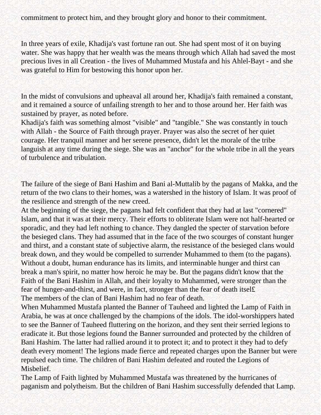commitment to protect him, and they brought glory and honor to their commitment.

In three years of exile, Khadija's vast fortune ran out. She had spent most of it on buying water. She was happy that her wealth was the means through which Allah had saved the most precious lives in all Creation - the lives of Muhammed Mustafa and his Ahlel-Bayt - and she was grateful to Him for bestowing this honor upon her.

In the midst of convulsions and upheaval all around her, Khadija's faith remained a constant, and it remained a source of unfailing strength to her and to those around her. Her faith was sustained by prayer, as noted before.

Khadija's faith was something almost "visible" and "tangible." She was constantly in touch with Allah - the Source of Faith through prayer. Prayer was also the secret of her quiet courage. Her tranquil manner and her serene presence, didn't let the morale of the tribe languish at any time during the siege. She was an "anchor" for the whole tribe in all the years of turbulence and tribulation.

The failure of the siege of Bani Hashim and Bani al-Muttalib by the pagans of Makka, and the return of the two clans to their homes, was a watershed in the history of Islam. It was proof of the resilience and strength of the new creed.

At the beginning of the siege, the pagans had felt confident that they had at last "cornered" Islam, and that it was at their mercy. Their efforts to obliterate Islam were not half-hearted or sporadic, and they had left nothing to chance. They dangled the specter of starvation before the besieged clans. They had assumed that in the face of the two scourges of constant hunger and thirst, and a constant state of subjective alarm, the resistance of the besieged clans would break down, and they would be compelled to surrender Muhammed to them (to the pagans). Without a doubt, human endurance has its limits, and interminable hunger and thirst can break a man's spirit, no matter how heroic he may be. But the pagans didn't know that the Faith of the Bani Hashim in Allah, and their loyalty to Muhammed, were stronger than the fear of hunger-and-thirst, and were, in fact, stronger than the fear of death itsel£ The members of the clan of Bani Hashim had no fear of death.

When Muhammed Mustafa planted the Banner of Tauheed and lighted the Lamp of Faith in Arabia, he was at once challenged by the champions of the idols. The idol-worshippers hated to see the Banner of Tauheed fluttering on the horizon, and they sent their serried legions to eradicate it. But those legions found the Banner surrounded and protected by the children of Bani Hashim. The latter had rallied around it to protect it; and to protect it they had to defy death every moment! The legions made fierce and repeated charges upon the Banner but were repulsed each time. The children of Bani Hashim defeated and routed the Legions of Misbelief.

The Lamp of Faith lighted by Muhammed Mustafa was threatened by the hurricanes of paganism and polytheism. But the children of Bani Hashim successfully defended that Lamp.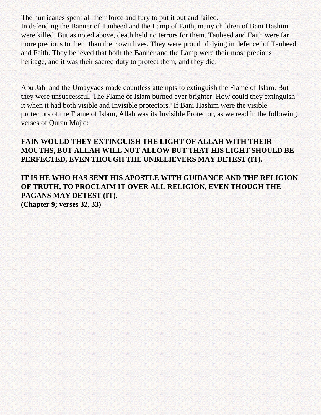The hurricanes spent all their force and fury to put it out and failed.

In defending the Banner of Tauheed and the Lamp of Faith, many children of Bani Hashim were killed. But as noted above, death held no terrors for them. Tauheed and Faith were far more precious to them than their own lives. They were proud of dying in defence lof Tauheed and Faith. They believed that both the Banner and the Lamp were their most precious heritage, and it was their sacred duty to protect them, and they did.

Abu Jahl and the Umayyads made countless attempts to extinguish the Flame of Islam. But they were unsuccessful. The Flame of Islam burned ever brighter. How could they extinguish it when it had both visible and Invisible protectors? If Bani Hashim were the visible protectors of the Flame of Islam, Allah was its Invisible Protector, as we read in the following verses of Quran Majid:

### **FAIN WOULD THEY EXTINGUISH THE LIGHT OF ALLAH WITH THEIR MOUTHS, BUT ALLAH WILL NOT ALLOW BUT THAT HIS LIGHT SHOULD BE PERFECTED, EVEN THOUGH THE UNBELIEVERS MAY DETEST (IT).**

**IT IS HE WHO HAS SENT HIS APOSTLE WITH GUIDANCE AND THE RELIGION OF TRUTH, TO PROCLAIM IT OVER ALL RELIGION, EVEN THOUGH THE PAGANS MAY DETEST (IT). (Chapter 9; verses 32, 33)**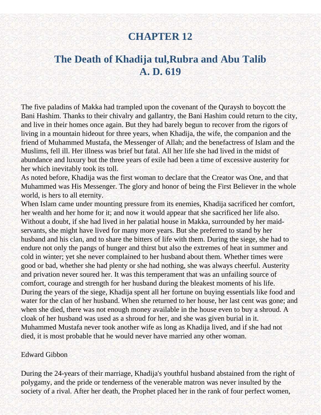## **The Death of Khadija tul,Rubra and Abu Talib A. D. 619**

The five paladins of Makka had trampled upon the covenant of the Quraysh to boycott the Bani Hashim. Thanks to their chivalry and gallantry, the Bani Hashim could return to the city, and live in their homes once again. But they had barely begun to recover from the rigors of living in a mountain hideout for three years, when Khadija, the wife, the companion and the friend of Muhammed Mustafa, the Messenger of Allah; and the benefactress of Islam and the Muslims, fell ill. Her illness was brief but fatal. All her life she had lived in the midst of abundance and luxury but the three years of exile had been a time of excessive austerity for her which inevitably took its toll.

As noted before, Khadija was the first woman to declare that the Creator was One, and that Muhammed was His Messenger. The glory and honor of being the First Believer in the whole world, is hers to all eternity.

When Islam came under mounting pressure from its enemies, Khadija sacrificed her comfort, her wealth and her home for it; and now it would appear that she sacrificed her life also. Without a doubt, if she had lived in her palatial house in Makka, surrounded by her maidservants, she might have lived for many more years. But she preferred to stand by her husband and his clan, and to share the bitters of life with them. During the siege, she had to endure not only the pangs of hunger and thirst but also the extremes of heat in summer and cold in winter; yet she never complained to her husband about them. Whether times were good or bad, whether she had plenty or she had nothing, she was always cheerful. Austerity and privation never soured her. It was this temperament that was an unfailing source of comfort, courage and strength for her husband during the bleakest moments of his life. During the years of the siege, Khadija spent all her fortune on buying essentials like food and water for the clan of her husband. When she returned to her house, her last cent was gone; and when she died, there was not enough money available in the house even to buy a shroud. A cloak of her husband was used as a shroud for her, and she was given burial in it. Muhammed Mustafa never took another wife as long as Khadija lived, and if she had not died, it is most probable that he would never have married any other woman.

#### Edward Gibbon

During the 24-years of their marriage, Khadija's youthful husband abstained from the right of polygamy, and the pride or tenderness of the venerable matron was never insulted by the society of a rival. After her death, the Prophet placed her in the rank of four perfect women,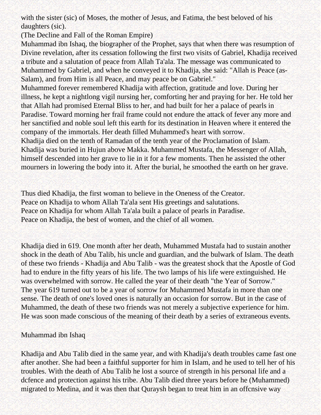with the sister (sic) of Moses, the mother of Jesus, and Fatima, the best beloved of his daughters (sic).

(The Decline and Fall of the Roman Empire)

Muhammad ibn Ishaq, the biographer of the Prophet, says that when there was resumption of Divine revelation, after its cessation following the first two visits of Gabriel, Khadija received a tribute and a salutation of peace from Allah Ta'ala. The message was communicated to Muhammed by Gabriel, and when he conveyed it to Khadija, she said: "Allah is Peace (as-Salam), and from Him is all Peace, and may peace be on Gabriel."

Muhammed forever remembered Khadija with affection, gratitude and love. During her illness, he kept a nightlong vigil nursing her, comforting her and praying for her. He told her that Allah had promised Eternal Bliss to her, and had built for her a palace of pearls in Paradise. Toward morning her frail frame could not endure the attack of fever any more and her sanctified and noble soul left this earth for its destination in Heaven where it entered the company of the immortals. Her death filled Muhammed's heart with sorrow.

Khadija died on the tenth of Ramadan of the tenth year of the Proclamation of Islam. Khadija was buried in Hujun above Makka. Muhammed Mustafa, the Messenger of Allah, himself descended into her grave to lie in it for a few moments. Then he assisted the other mourners in lowering the body into it. After the burial, he smoothed the earth on her grave.

Thus died Khadija, the first woman to believe in the Oneness of the Creator. Peace on Khadija to whom Allah Ta'ala sent His greetings and salutations. Peace on Khadija for whom Allah Ta'ala built a palace of pearls in Paradise. Peace on Khadija, the best of women, and the chief of all women.

Khadija died in 619. One month after her death, Muhammed Mustafa had to sustain another shock in the death of Abu Talib, his uncle and guardian, and the bulwark of Islam. The death of these two friends - Khadija and Abu Talib - was the greatest shock that the Apostle of God had to endure in the fifty years of his life. The two lamps of his life were extinguished. He was overwhelmed with sorrow. He called the year of their death "the Year of Sorrow." The year 619 turned out to be a year of sorrow for Muhammed Mustafa in more than one sense. The death of one's loved ones is naturally an occasion for sorrow. But in the case of Muhammed, the death of these two friends was not merely a subjective experience for him. He was soon made conscious of the meaning of their death by a series of extraneous events.

### Muhammad ibn Ishaq

Khadija and Abu Talib died in the same year, and with Khadija's death troubles came fast one after another. She had been a faithful supporter for him in Islam, and he used to tell her of his troubles. With the death of Abu Talib he lost a source of strength in his personal life and a dcfence and protection against his tribe. Abu Talib died three years before he (Muhammed) migrated to Medina, and it was then that Quraysh began to treat him in an offcnsive way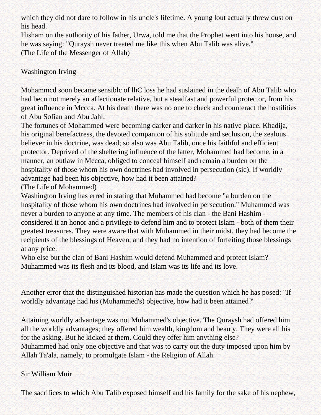which they did not dare to follow in his uncle's lifetime. A young lout actually threw dust on his head.

Hisham on the authority of his father, Urwa, told me that the Prophet went into his house, and he was saying: "Quraysh never treated me like this when Abu Talib was alive." (The Life of the Messenger of Allah)

### Washington Irving

Mohammcd soon became sensiblc of lhC loss he had suslained in the dealh of Abu Talib who had becn not merely an affectionate relative, but a steadfast and powerful protector, from his great influence in Mccca. At his death there was no one to check and counteract the hostilities of Abu Sofian and Abu Jahl.

The fortunes of Mohammed were becoming darker and darker in his native place. Khadija, his original benefactress, the devoted companion of his solitude and seclusion, the zealous believer in his doctrine, was dead; so also was Abu Talib, once his faithful and efficient protector. Deprived of the sheltering influence of the latter, Mohammed had become, in a manner, an outlaw in Mecca, obliged to conceal himself and remain a burden on the hospitality of those whom his own doctrines had involved in persecution (sic). If worldly advantage had been his objective, how had it been attained?

(The Life of Mohammed)

Washington Irving has erred in stating that Muhammed had become "a burden on the hospitality of those whom his own doctrines had involved in persecution." Muhammed was never a burden to anyone at any time. The members of his clan - the Bani Hashim considered it an honor and a privilege to defend him and to protect Islam - both of them their greatest treasures. They were aware that with Muhammed in their midst, they had become the recipients of the blessings of Heaven, and they had no intention of forfeiting those blessings at any price.

Who else but the clan of Bani Hashim would defend Muhammed and protect Islam? Muhammed was its flesh and its blood, and Islam was its life and its love.

Another error that the distinguished historian has made the question which he has posed: "If worldly advantage had his (Muhammed's) objective, how had it been attained?"

Attaining worldly advantage was not Muhammed's objective. The Quraysh had offered him all the worldly advantages; they offered him wealth, kingdom and beauty. They were all his for the asking. But he kicked at them. Could they offer him anything else?

Muhammed had only one objective and that was to carry out the duty imposed upon him by Allah Ta'ala, namely, to promulgate Islam - the Religion of Allah.

### Sir William Muir

The sacrifices to which Abu Talib exposed himself and his family for the sake of his nephew,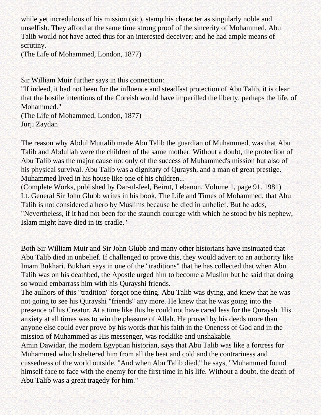while yet incredulous of his mission (sic), stamp his character as singularly noble and unselfish. They afford at the same time strong proof of the sincerity of Mohammed. Abu Talib would not have acted thus for an interested deceiver; and he had ample means of scrutiny.

(The Life of Mohammed, London, 1877)

Sir William Muir further says in this connection:

"If indeed, it had not been for the influence and steadfast protection of Abu Talib, it is clear that the hostile intentions of the Coreish would have imperilled the liberty, perhaps the life, of Mohammed."

(The Life of Mohammed, London, 1877) Jurji Zaydan

The reason why Abdul Muttalib made Abu Talib the guardian of Muhammed, was that Abu Talib and Abdullah were the children of the same mother. Without a doubt, the proteclion of Abu Talib was the major cause not only of the success of Muhammed's mission but also of his physical survival. Abu Talib was a dignitary of Quraysh, and a man of great prestige. Muhammed lived in his house like one of his children...

(Complete Works, published by Dar-ul-Jeel, Beirut, Lebanon, Volume 1, page 91. 1981) Lt. General Sir John Glubb writes in his book, The Life and Times of Mohammed, that Abu Talib is not considered a hero by Muslims because he died in unbelief. But he adds, "Nevertheless, if it had not been for the staunch courage with which he stood by his nephew, Islam might have died in its cradle."

Both Sir William Muir and Sir John Glubb and many other historians have insinuated that Abu Talib died in unbelief. If challenged to prove this, they would advert to an authority like Imam Bukhari. Bukhari says in one of the "traditions" that he has collected that when Abu Talib was on his deathbed, the Apostle urged him to become a Muslim but he said that doing so would embarrass him with his Qurayshi friends.

The aulhors of this "tradition" forgot one thing. Abu Talib was dying, and knew that he was not going to see his Qurayshi "friends" any more. He knew that he was going into the presence of his Creator. At a time like this he could not have cared less for the Quraysh. His anxiety at all times was to win the pleasure of Allah. He proved by his deeds more than anyone else could ever prove by his words that his faith in the Oneness of God and in the mission of Muhammed as His messenger, was rocklike and unshakable.

Amin Dawidar, the modern Egyptian historian, says that Abu Talib was like a fortress for Muhammed which sheltered him from all the heat and cold and the contrariness and cussedness of the world outside. "And when Abu Talib died," he says, "Muhammed found himself face to face with the enemy for the first time in his life. Without a doubt, the death of Abu Talib was a great tragedy for him."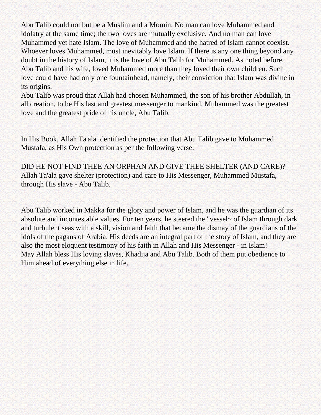Abu Talib could not but be a Muslim and a Momin. No man can love Muhammed and idolatry at the same time; the two loves are mutually exclusive. And no man can love Muhammed yet hate Islam. The love of Muhammed and the hatred of Islam cannot coexist. Whoever loves Muhammed, must inevitably love Islam. If there is any one thing beyond any doubt in the history of Islam, it is the love of Abu Talib for Muhammed. As noted before, Abu Talib and his wife, loved Muhammed more than they loved their own children. Such love could have had only one fountainhead, namely, their conviction that Islam was divine in its origins.

Abu Talib was proud that Allah had chosen Muhammed, the son of his brother Abdullah, in all creation, to be His last and greatest messenger to mankind. Muhammed was the greatest love and the greatest pride of his uncle, Abu Talib.

In His Book, Allah Ta'ala identified the protection that Abu Talib gave to Muhammed Mustafa, as His Own protection as per the following verse:

DID HE NOT FIND THEE AN ORPHAN AND GIVE THEE SHELTER (AND CARE)? Allah Ta'ala gave shelter (protection) and care to His Messenger, Muhammed Mustafa, through His slave - Abu Talib.

Abu Talib worked in Makka for the glory and power of Islam, and he was the guardian of its absolute and incontestable values. For ten years, he steered the "vessel~ of Islam through dark and turbulent seas with a skill, vision and faith that became the dismay of the guardians of the idols of the pagans of Arabia. His deeds are an integral part of the story of Islam, and they are also the most eloquent testimony of his faith in Allah and His Messenger - in Islam! May Allah bless His loving slaves, Khadija and Abu Talib. Both of them put obedience to Him ahead of everything else in life.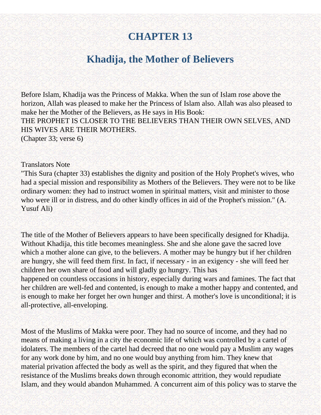## **Khadija, the Mother of Believers**

Before Islam, Khadija was the Princess of Makka. When the sun of Islam rose above the horizon, Allah was pleased to make her the Princess of Islam also. Allah was also pleased to make her the Mother of the Believers, as He says in His Book: THE PROPHET IS CLOSER TO THE BELIEVERS THAN THEIR OWN SELVES, AND HIS WIVES ARE THEIR MOTHERS. (Chapter 33; verse 6)

#### Translators Note

"This Sura (chapter 33) establishes the dignity and position of the Holy Prophet's wives, who had a special mission and responsibility as Mothers of the Believers. They were not to be like ordinary women: they had to instruct women in spiritual matters, visit and minister to those who were ill or in distress, and do other kindly offices in aid of the Prophet's mission." (A. Yusuf Ali)

The title of the Mother of Believers appears to have been specifically designed for Khadija. Without Khadija, this title becomes meaningless. She and she alone gave the sacred love which a mother alone can give, to the believers. A mother may be hungry but if her children are hungry, she will feed them first. In fact, if necessary - in an exigency - she will feed her children her own share of food and will gladly go hungry. This has

happened on countless occasions in history, especially during wars and famines. The fact that her children are well-fed and contented, is enough to make a mother happy and contented, and is enough to make her forget her own hunger and thirst. A mother's love is unconditional; it is all-protective, all-enveloping.

Most of the Muslims of Makka were poor. They had no source of income, and they had no means of making a living in a city the economic life of which was controlled by a cartel of idolaters. The members of the cartel had decreed that no one would pay a Muslim any wages for any work done by him, and no one would buy anything from him. They knew that material privation affected the body as well as the spirit, and they figured that when the resistance of the Muslims breaks down through economic attrition, they would repudiate Islam, and they would abandon Muhammed. A concurrent aim of this policy was to starve the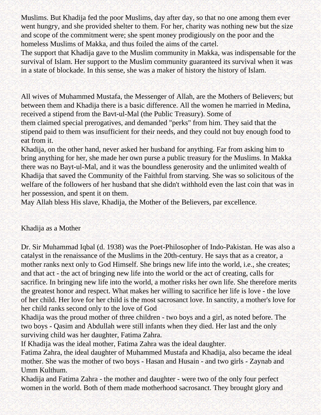Muslims. But Khadija fed the poor Muslims, day after day, so that no one among them ever went hungry, and she provided shelter to them. For her, charity was nothing new but the size and scope of the commitment were; she spent money prodigiously on the poor and the homeless Muslims of Makka, and thus foiled the aims of the cartel.

The support that Khadija gave to the Muslim community in Makka, was indispensable for the survival of Islam. Her support to the Muslim community guaranteed its survival when it was in a state of blockade. In this sense, she was a maker of history the history of Islam.

All wives of Muhammed Mustafa, the Messenger of Allah, are the Mothers of Believers; but between them and Khadija there is a basic difference. All the women he married in Medina, received a stipend from the Bavt-ul-Mal (the Public Treasury). Some of them claimed special prerogatives, and demanded "perks" from him. They said that the stipend paid to them was insufficient for their needs, and they could not buy enough food to eat from it.

Khadija, on the other hand, never asked her husband for anything. Far from asking him to bring anything for her, she made her own purse a public treasury for the Muslims. In Makka there was no Bayt-ul-Mal, and it was the boundless generosity and the unlimited wealth of Khadija that saved the Community of the Faithful from starving. She was so solicitous of the welfare of the followers of her husband that she didn't withhold even the last coin that was in her possession, and spent it on them.

May Allah bless His slave, Khadija, the Mother of the Believers, par excellence.

### Khadija as a Mother

Dr. Sir Muhammad Iqbal (d. 1938) was the Poet-Philosopher of Indo-Pakistan. He was also a catalyst in the renaissance of the Muslims in the 20th-century. He says that as a creator, a mother ranks next only to God Himself. She brings new life into the world, i.e., she creates; and that act - the act of bringing new life into the world or the act of creating, calls for sacrifice. In bringing new life into the world, a mother risks her own life. She therefore merits the greatest honor and respect. What makes her willing to sacrifice her life is love - the love of her child. Her love for her child is the most sacrosanct love. In sanctity, a mother's love for her child ranks second only to the love of God

Khadija was the proud mother of three children - two boys and a girl, as noted before. The two boys - Qasim and Abdullah were still infants when they died. Her last and the only surviving child was her daughter, Fatima Zahra.

If Khadija was the ideal mother, Fatima Zahra was the ideal daughter.

Fatima Zahra, the ideal daughter of Muhammed Mustafa and Khadija, also became the ideal mother. She was the mother of two boys - Hasan and Husain - and two girls - Zaynab and Umm Kulthum.

Khadija and Fatima Zahra - the mother and daughter - were two of the only four perfect women in the world. Both of them made motherhood sacrosanct. They brought glory and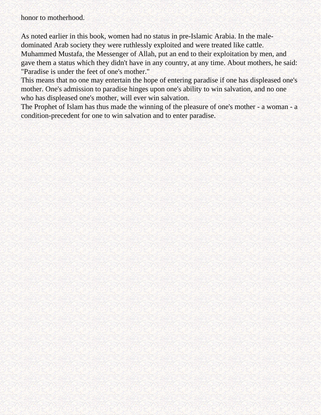honor to motherhood.

As noted earlier in this book, women had no status in pre-Islamic Arabia. In the maledominated Arab society they were ruthlessly exploited and were treated like cattle. Muhammed Mustafa, the Messenger of Allah, put an end to their exploitation by men, and gave them a status which they didn't have in any country, at any time. About mothers, he said: "Paradise is under the feet of one's mother."

This means that no one may entertain the hope of entering paradise if one has displeased one's mother. One's admission to paradise hinges upon one's ability to win salvation, and no one who has displeased one's mother, will ever win salvation.

The Prophet of Islam has thus made the winning of the pleasure of one's mother - a woman - a condition-precedent for one to win salvation and to enter paradise.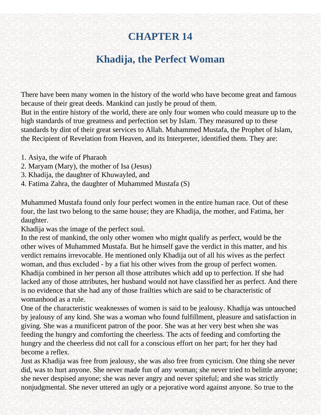# **Khadija, the Perfect Woman**

There have been many women in the history of the world who have become great and famous because of their great deeds. Mankind can justly be proud of them.

But in the entire history of the world, there are only four women who could measure up to the high standards of true greatness and perfection set by Islam. They measured up to these standards by dint of their great services to Allah. Muhammed Mustafa, the Prophet of Islam, the Recipient of Revelation from Heaven, and its Interpreter, identified them. They are:

- 1. Asiya, the wife of Pharaoh
- 2. Maryam (Mary), the mother of Isa (Jesus)
- 3. Khadija, the daughter of Khuwayled, and
- 4. Fatima Zahra, the daughter of Muhammed Mustafa (S)

Muhammed Mustafa found only four perfect women in the entire human race. Out of these four, the last two belong to the same house; they are Khadija, the mother, and Fatima, her daughter.

Khadija was the image of the perfect soul.

In the rest of mankind, the only other women who might qualify as perfect, would be the other wives of Muhammed Mustafa. But he himself gave the verdict in this matter, and his verdict remains irrevocable. He mentioned only Khadija out of all his wives as the perfect woman, and thus excluded - by a fiat his other wives from the group of perfect women. Khadija combined in her person all those attributes which add up to perfection. If she had lacked any of those attributes, her husband would not have classified her as perfect. And there is no evidence that she had any of those frailties which are said to be characteristic of womanhood as a rule.

One of the characteristic weaknesses of women is said to be jealousy. Khadija was untouched by jealousy of any kind. She was a woman who found fulfillment, pleasure and satisfaction in giving. She was a munificent patron of the poor. She was at her very best when she was feeding the hungry and comforting the cheerless. The acts of feeding and comforting the hungry and the cheerless did not call for a conscious effort on her part; for her they had become a reflex.

Just as Khadija was free from jealousy, she was also free from cynicism. One thing she never did, was to hurt anyone. She never made fun of any woman; she never tried to belittle anyone; she never despised anyone; she was never angry and never spiteful; and she was strictly nonjudgmental. She never uttered an ugly or a pejorative word against anyone. So true to the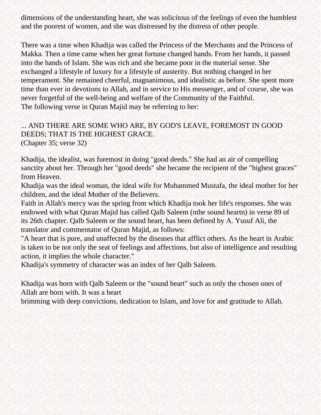dimensions of the understanding heart, she was solicitous of the feelings of even the humblest and the poorest of women, and she was distressed by the distress of other people.

There was a time when Khadija was called the Princess of the Merchants and the Princess of Makka. Then a time came when her great fortune changed hands. From her hands, it passed into the hands of Islam. She was rich and she became poor in the material sense. She exchanged a lifestyle of luxury for a lifestyle of austerity. But nothing changed in her temperament. She remained cheerful, magnanimous, and idealistic as before. She spent more time than ever in devotions to Allah, and in service to His messenger, and of course, she was never forgetful of the well-being and welfare of the Community of the Faithful. The following verse in Quran Majid may be referring to her:

### ... AND THERE ARE SOME WHO ARE, BY GOD'S LEAVE, FOREMOST IN GOOD DEEDS; THAT IS THE HIGHEST GRACE. (Chapter 35; verse 32)

Khadija, the idealist, was foremost in doing "good deeds." She had an air of compelling sanctity about her. Through her "good deeds" she became the recipient of the "highest graces" from Heaven.

Khadija was the ideal woman, the ideal wife for Muhammed Mustafa, the ideal mother for her children, and the ideal Mother of the Believers.

Faith in Allah's mercy was the spring from which Khadija took her life's responses. She was endowed with what Quran Majid has called Qalb Saleem (nthe sound heartn) in verse 89 of its 26th chapter. Qalb Saleem or the sound heart, has been defined by A. Yusuf Ali, the translator and commentator of Quran Majid, as follows:

"A heart that is pure, and unaffected by the diseases that afflict others. As the heart in Arabic is taken to be not only the seat of feelings and affections, but also of intelligence and resulting action, it implies the whole character."

Khadija's symmetry of character was an index of her Qalb Saleem.

Khadija was born with Qalb Saleem or the "sound heart" such as only the chosen ones of Allah are born with. It was a heart

brimming with deep convictions, dedication to Islam, and love for and gratitude to Allah.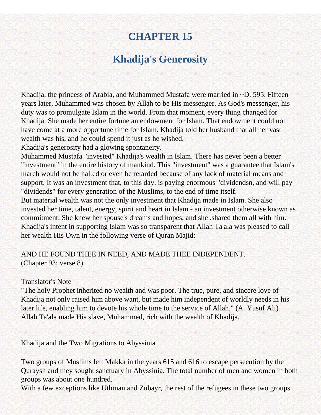# **Khadija's Generosity**

Khadija, the princess of Arabia, and Muhammed Mustafa were married in ~D. 595. Fifteen years later, Muhammed was chosen by Allah to be His messenger. As God's messenger, his duty was to promulgate Islam in the world. From that moment, every thing changed for Khadija. She made her entire fortune an endowment for Islam. That endowment could not have come at a more opportune time for Islam. Khadija told her husband that all her vast wealth was his, and he could spend it just as he wished.

Khadija's generosity had a glowing spontaneity.

Muhammed Mustafa "invested" Khadija's wealth in Islam. There has never been a better "investment" in the entire history of mankind. This "investment" was a guarantee that Islam's march would not be halted or even be retarded because of any lack of material means and support. It was an investment that, to this day, is paying enormous "dividendsn, and will pay "dividends" for every generation of the Muslims, to the end of time itself.

But material wealth was not the only investment that Khadija made in Islam. She also invested her time, talent, energy, spirit and heart in Islam - an investment otherwise known as commitment. She knew her spouse's dreams and hopes, and she .shared them all with him. Khadija's intent in supporting Islam was so transparent that Allah Ta'ala was pleased to call her wealth His Own in the following verse of Quran Majid:

### AND HE FOUND THEE IN NEED, AND MADE THEE INDEPENDENT. (Chapter 93; verse 8)

#### Translator's Note

"The holy Prophet inherited no wealth and was poor. The true, pure, and sincere love of Khadija not only raised him above want, but made him independent of worldly needs in his later life, enabling him to devote his whole time to the service of Allah." (A. Yusuf Ali) Allah Ta'ala made His slave, Muhammed, rich with the wealth of Khadija.

Khadija and the Two Migrations to Abyssinia

Two groups of Muslims left Makka in the years 615 and 616 to escape persecution by the Quraysh and they sought sanctuary in Abyssinia. The total number of men and women in both groups was about one hundred.

With a few exceptions like Uthman and Zubayr, the rest of the refugees in these two groups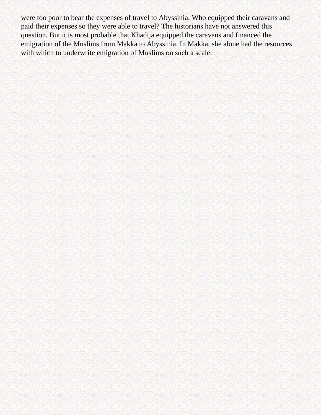were too poor to bear the expenses of travel to Abyssinia. Who equipped their caravans and paid their expenses so they were able to travel? The historians have not answered this question. But it is most probable that Khadija equipped the caravans and financed the emigration of the Muslims from Makka to Abyssinia. In Makka, she alone had the resources with which to underwrite emigration of Muslims on such a scale.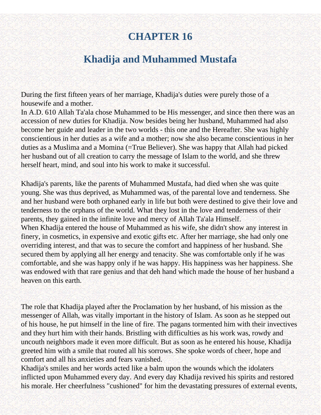# **Khadija and Muhammed Mustafa**

During the first fifteen years of her marriage, Khadija's duties were purely those of a housewife and a mother.

In A.D. 610 Allah Ta'ala chose Muhammed to be His messenger, and since then there was an accession of new duties for Khadija. Now besides being her husband, Muhammed had also become her guide and leader in the two worlds - this one and the Hereafter. She was highly conscientious in her duties as a wife and a mother; now she also became conscientious in her duties as a Muslima and a Momina (=True Believer). She was happy that Allah had picked her husband out of all creation to carry the message of Islam to the world, and she threw herself heart, mind, and soul into his work to make it successful.

Khadija's parents, like the parents of Muhammed Mustafa, had died when she was quite young. She was thus deprived, as Muhammed was, of the parental love and tenderness. She and her husband were both orphaned early in life but both were destined to give their love and tenderness to the orphans of the world. What they lost in the love and tenderness of their parents, they gained in the infinite love and mercy of Allah Ta'ala Himself. When Khadija entered the house of Muhammed as his wife, she didn't show any interest in finery, in cosmetics, in expensive and exotic gifts etc. After her marriage, she had only one overriding interest, and that was to secure the comfort and happiness of her husband. She secured them by applying all her energy and tenacity. She was comfortable only if he was comfortable, and she was happy only if he was happy. His happiness was her happiness. She was endowed with that rare genius and that deh hand which made the house of her husband a heaven on this earth.

The role that Khadija played after the Proclamation by her husband, of his mission as the messenger of Allah, was vitally important in the history of Islam. As soon as he stepped out of his house, he put himself in the line of fire. The pagans tormented him with their invectives and they hurt him with their hands. Bristling with difficulties as his work was, rowdy and uncouth neighbors made it even more difficult. But as soon as he entered his house, Khadija greeted him with a smile that routed all his sorrows. She spoke words of cheer, hope and comfort and all his anxieties and fears vanished.

Khadija's smiles and her words acted like a balm upon the wounds which the idolaters inflicted upon Muhammed every day. And every day Khadija revived his spirits and restored his morale. Her cheerfulness "cushioned" for him the devastating pressures of external events,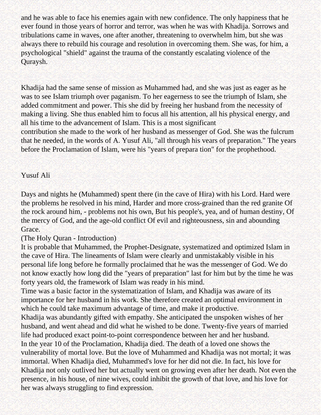and he was able to face his enemies again with new confidence. The only happiness that he ever found in those years of horror and terror, was when he was with Khadija. Sorrows and tribulations came in waves, one after another, threatening to overwhelm him, but she was always there to rebuild his courage and resolution in overcoming them. She was, for him, a psychological "shield" against the trauma of the constantly escalating violence of the Quraysh.

Khadija had the same sense of mission as Muhammed had, and she was just as eager as he was to see Islam triumph over paganism. To her eagerness to see the triumph of Islam, she added commitment and power. This she did by freeing her husband from the necessity of making a living. She thus enabled him to focus all his attention, all his physical energy, and all his time to the advancement of Islam. This is a most significant contribution she made to the work of her husband as messenger of God. She was the fulcrum that he needed, in the words of A. Yusuf Ali, "all through his vears of preparation." The years before the Proclamation of Islam, were his "years of prepara tion" for the prophethood.

#### Yusuf Ali

Days and nights he (Muhammed) spent there (in the cave of Hira) with his Lord. Hard were the problems he resolved in his mind, Harder and more cross-grained than the red granite Of the rock around him, - problems not his own, But his people's, yea, and of human destiny, Of the mercy of God, and the age-old conflict Of evil and righteousness, sin and abounding Grace.

#### (The Holy Quran - Introduction)

It is probable that Muhammed, the Prophet-Designate, systematized and optimized Islam in the cave of Hira. The lineaments of Islam were clearly and unmistakably visible in his personal life long before he formally proclaimed that he was the messenger of God. We do not know exactly how long did the "years of preparation" last for him but by the time he was forty years old, the framework of Islam was ready in his mind.

Time was a basic factor in the systematization of Islam, and Khadija was aware of its importance for her husband in his work. She therefore created an optimal environment in which he could take maximum advantage of time, and make it productive.

Khadija was abundantly gifted with empathy. She anticipated the unspoken wishes of her husband, and went ahead and did what he wished to be done. Twenty-five years of married life had produced exact point-to-point correspondence between her and her husband. In the year 10 of the Proclamation, Khadija died. The death of a loved one shows the vulnerability of mortal love. But the love of Muhammed and Khadija was not mortal; it was immortal. When Khadija died, Muhammed's love for her did not die. In fact, his love for Khadija not only outlived her but actually went on growing even after her death. Not even the presence, in his house, of nine wives, could inhibit the growth of that love, and his love for her was always struggling to find expression.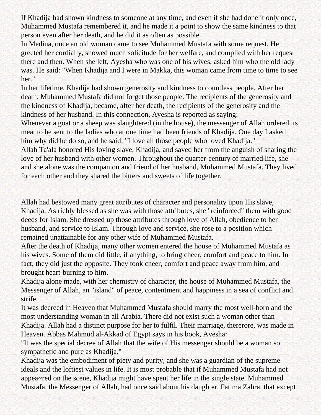If Khadija had shown kindness to someone at any time, and even if she had done it only once, Muhammed Mustafa remembered it, and he made it a point to show the same kindness to that person even after her death, and he did it as often as possible.

In Medina, once an old woman came to see Muhammed Mustafa with some request. He greeted her cordially, showed much solicitude for her welfare, and complied with her request there and then. When she left, Ayesha who was one of his wives, asked him who the old lady was. He said: "When Khadija and I were in Makka, this woman came from time to time to see her."

In her lifetime, Khadija had shown generosity and kindness to countless people. After her death, Muhammed Mustafa did not forget those people. The recipients of the generosity and the kindness of Khadija, became, after her death, the recipients of the generosity and the kindness of her husband. In this connection, Ayesha is reported as saying:

Whenever a goat or a sheep was slaughtered (in the house), the messenger of Allah ordered its meat to be sent to the ladies who at one time had been friends of Khadija. One day I asked him why did he do so, and he said: "I love all those people who loved Khadija."

Allah Ta'ala honored His loving slave, Khadija, and saved her from the anguish of sharing the love of her husband with other women. Throughout the quarter-century of married life, she and she alone was the companion and friend of her husband, Muhammed Mustafa. They lived for each other and they shared the bitters and sweets of life together.

Allah had bestowed many great attributes of character and personality upon His slave, Khadija. As richly blessed as she was with those attributes, she "reinforced" them with good deeds for Islam. She dressed up those attributes through love of Allah, obedience to her husband, and service to Islam. Through love and service, she rose to a position which remained unattainable for any other wife of Muhammed Mustafa.

After the death of Khadija, many other women entered the house of Muhammed Mustafa as his wives. Some of them did little, if anything, to bring cheer, comfort and peace to him. In fact, they did just the opposite. They took cheer, comfort and peace away from him, and brought heart-burning to him.

Khadija alone made, with her chemistry of character, the house of Muhammed Mustafa, the Messenger of Allah, an "island" of peace, contentment and happiness in a sea of conflict and strife.

It was decreed in Heaven that Muhammed Mustafa should marry the most well-born and the most understanding woman in all Arabia. There did not exist such a woman other than Khadija. Allah had a distinct purpose for her to fulfil. Their marriage, thererore, was made in Heaven. Abbas Mahmud al-Akkad of Egypt says in his book, Avesha:

"It was the special decree of Allah that the wife of His messenger should be a woman so sympathetic and pure as Khadija."

Khadija was the embodiment of piety and purity, and she was a guardian of the supreme ideals and the loftiest values in life. It is most probable that if Muhammed Mustafa had not appea~red on the scene, Khadija might have spent her life in the single state. Muhammed Mustafa, the Messenger of Allah, had once said about his daughter, Fatima Zahra, that except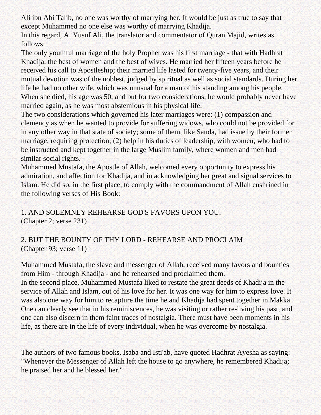Ali ibn Abi Talib, no one was worthy of marrying her. It would be just as true to say that except Muhammed no one else was worthy of marrying Khadija.

In this regard, A. Yusuf Ali, the translator and commentator of Quran Majid, writes as follows:

The only youthful marriage of the holy Prophet was his first marriage - that with Hadhrat Khadija, the best of women and the best of wives. He married her fifteen years before he received his call to Apostleship; their married life lasted for twenty-five years, and their mutual devotion was of the noblest, judged by spiritual as well as social standards. During her life he had no other wife, which was unusual for a man of his standing among his people. When she died, his age was 50, and but for two considerations, he would probably never have married again, as he was most abstemious in his physical life.

The two considerations which governed his later marriages were: (1) compassion and clemency as when he wanted to provide for suffering widows, who could not be provided for in any other way in that state of society; some of them, like Sauda, had issue by their former marriage, requiring protection; (2) help in his duties of leadership, with women, who had to be instructed and kept together in the large Muslim family, where women and men had similar social rights.

Muhammed Mustafa, the Apostle of Allah, welcomed every opportunity to express his admiration, and affection for Khadija, and in acknowledging her great and signal services to Islam. He did so, in the first place, to comply with the commandment of Allah enshrined in the following verses of His Book:

1. AND SOLEMNLY REHEARSE GOD'S FAVORS UPON YOU. (Chapter 2; verse 231)

2. BUT THE BOUNTY OF THY LORD - REHEARSE AND PROCLAIM (Chapter 93; verse 11)

Muhammed Mustafa, the slave and messenger of Allah, received many favors and bounties from Him - through Khadija - and he rehearsed and proclaimed them.

In the second place, Muhammed Mustafa liked to restate the great deeds of Khadija in the service of Allah and Islam, out of his love for her. It was one way for him to express love. It was also one way for him to recapture the time he and Khadija had spent together in Makka. One can clearly see that in his reminiscences, he was visiting or rather re-living his past, and one can also discern in them faint traces of nostalgia. There must have been moments in his life, as there are in the life of every individual, when he was overcome by nostalgia.

The authors of two famous books, Isaba and Isti'ab, have quoted Hadhrat Ayesha as saying: "Whenever the Messenger of Allah left the house to go anywhere, he remembered Khadija; he praised her and he blessed her."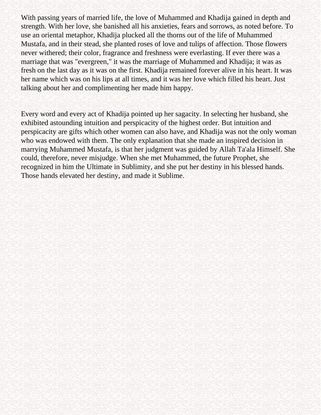With passing years of married life, the love of Muhammed and Khadija gained in depth and strength. With her love, she banished all his anxieties, fears and sorrows, as noted before. To use an oriental metaphor, Khadija plucked all the thorns out of the life of Muhammed Mustafa, and in their stead, she planted roses of love and tulips of affection. Those flowers never withered; their color, fragrance and freshness were everlasting. If ever there was a marriage that was "evergreen," it was the marriage of Muhammed and Khadija; it was as fresh on the last day as it was on the first. Khadija remained forever alive in his heart. It was her name which was on his lips at all times, and it was her love which filled his heart. Just talking about her and complimenting her made him happy.

Every word and every act of Khadija pointed up her sagacity. In selecting her husband, she exhibited astounding intuition and perspicacity of the highest order. But intuition and perspicacity are gifts which other women can also have, and Khadija was not the only woman who was endowed with them. The only explanation that she made an inspired decision in marrying Muhammed Mustafa, is that her judgment was guided by Allah Ta'ala Himself. She could, therefore, never misjudge. When she met Muhammed, the future Prophet, she recognized in him the Ultimate in Sublimity, and she put her destiny in his blessed hands. Those hands elevated her destiny, and made it Sublime.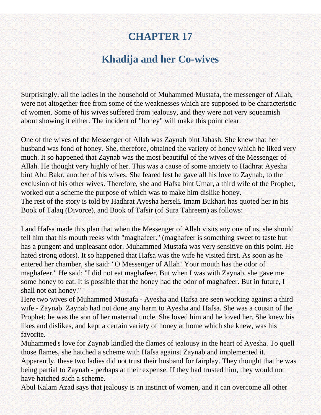### **Khadija and her Co-wives**

Surprisingly, all the ladies in the household of Muhammed Mustafa, the messenger of Allah, were not altogether free from some of the weaknesses which are supposed to be characteristic of women. Some of his wives suffered from jealousy, and they were not very squeamish about showing it either. The incident of "honey" will make this point clear.

One of the wives of the Messenger of Allah was Zaynab bint Jahash. She knew that her husband was fond of honey. She, therefore, obtained the variety of honey which he liked very much. It so happened that Zaynab was the most beautiful of the wives of the Messenger of Allah. He thought very highly of her. This was a cause of some anxiety to Hadhrat Ayesha bint Abu Bakr, another of his wives. She feared lest he gave all his love to Zaynab, to the exclusion of his other wives. Therefore, she and Hafsa bint Umar, a third wife of the Prophet, worked out a scheme the purpose of which was to make him dislike honey. The rest of the story is told by Hadhrat Ayesha hersel£ Imam Bukhari has quoted her in his Book of Talaq (Divorce), and Book of Tafsir (of Sura Tahreem) as follows:

I and Hafsa made this plan that when the Messenger of Allah visits any one of us, she should tell him that his mouth reeks with "maghafeer." (maghafeer is something sweet to taste but has a pungent and unpleasant odor. Muhammed Mustafa was very sensitive on this point. He hated strong odors). It so happened that Hafsa was the wife he visited first. As soon as he entered her chamber, she said: "O Messenger of Allah! Your mouth has the odor of maghafeer." He said: "I did not eat maghafeer. But when I was with Zaynab, she gave me some honey to eat. It is possible that the honey had the odor of maghafeer. But in future, I shall not eat honey."

Here two wives of Muhammed Mustafa - Ayesha and Hafsa are seen working against a third wife - Zaynab. Zaynab had not done any harm to Ayesha and Hafsa. She was a cousin of the Prophet; he was the son of her maternal uncle. She loved him and he loved her. She knew his likes and dislikes, and kept a certain variety of honey at home which she knew, was his favorite.

Muhammed's love for Zaynab kindled the flames of jealousy in the heart of Ayesha. To quell those flames, she hatched a scheme with Hafsa against Zaynab and implemented it. Apparently, these two ladies did not trust their husband for fairplay. They thought that he was being partial to Zaynab - perhaps at their expense. If they had trusted him, they would not have hatched such a scheme.

Abul Kalam Azad says that jealousy is an instinct of women, and it can overcome all other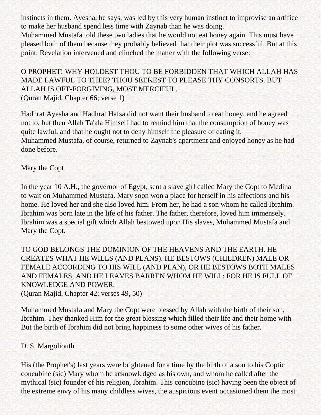instincts in them. Ayesha, he says, was led by this very human instinct to improvise an artifice to make her husband spend less time with Zaynab than he was doing.

Muhammed Mustafa told these two ladies that he would not eat honey again. This must have pleased both of them because they probably believed that their plot was successful. But at this point, Revelation intervened and clinched the matter with the following verse:

O PROPHET! WHY HOLDEST THOU TO BE FORBIDDEN THAT WHICH ALLAH HAS MADE LAWFUL TO THEE? THOU SEEKEST TO PLEASE THY CONSORTS. BUT ALLAH IS OFT-FORGIVING, MOST MERCIFUL. (Quran Majid. Chapter 66; verse 1)

Hadhrat Ayesha and Hadhrat Hafsa did not want their husband to eat honey, and he agreed not to, but then Allah Ta'ala Himself had to remind him that the consumption of honey was quite lawful, and that he ought not to deny himself the pleasure of eating it. Muhammed Mustafa, of course, returned to Zaynab's apartment and enjoyed honey as he had done before.

Mary the Copt

In the year 10 A.H., the governor of Egypt, sent a slave girl called Mary the Copt to Medina to wait on Muhammed Mustafa. Mary soon won a place for herself in his affections and his home. He loved her and she also loved him. From her, he had a son whom he called Ibrahim. Ibrahim was born late in the life of his father. The father, therefore, loved him immensely. Ibrahim was a special gift which Allah bestowed upon His slaves, Muhammed Mustafa and Mary the Copt.

TO GOD BELONGS THE DOMINION OF THE HEAVENS AND THE EARTH. HE CREATES WHAT HE WILLS (AND PLANS). HE BESTOWS (CHILDREN) MALE OR FEMALE ACCORDING TO HIS WILL (AND PLAN), OR HE BESTOWS BOTH MALES AND FEMALES, AND HE LEAVES BARREN WHOM HE WILL: FOR HE IS FULL OF KNOWLEDGE AND POWER. (Quran Majid. Chapter 42; verses 49, 50)

Muhammed Mustafa and Mary the Copt were blessed by Allah with the birth of their son, Ibrahim. They thanked Him for the great blessing which filled their life and their home with But the birth of Ibrahim did not bring happiness to some other wives of his father.

### D. S. Margoliouth

His (the Prophet's) last years were brightened for a time by the birth of a son to his Coptic concubine (sic) Mary whom he acknowledged as his own, and whom he called after the mythical (sic) founder of his religion, Ibrahim. This concubine (sic) having been the object of the extreme envy of his many childless wives, the auspicious event occasioned them the most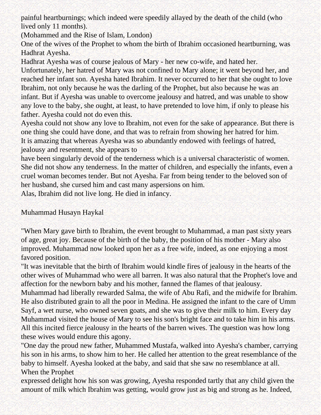painful heartburnings; which indeed were speedily allayed by the death of the child (who lived only 11 months).

(Mohammed and the Rise of Islam, London)

One of the wives of the Prophet to whom the birth of Ibrahim occasioned heartburning, was Hadhrat Ayesha.

Hadhrat Ayesha was of course jealous of Mary - her new co-wife, and hated her.

Unfortunately, her hatred of Mary was not confined to Mary alone; it went beyond her, and reached her infant son. Ayesha hated Ibrahim. It never occurred to her that she ought to love Ibrahim, not only because he was the darling of the Prophet, but also because he was an infant. But if Ayesha was unable to overcome jealousy and hatred, and was unable to show any love to the baby, she ought, at least, to have pretended to love him, if only to please his father. Ayesha could not do even this.

Ayesha could not show any love to Ibrahim, not even for the sake of appearance. But there is one thing she could have done, and that was to refrain from showing her hatred for him. It is amazing that whereas Ayesha was so abundantly endowed with feelings of hatred, jealousy and resentment, she appears to

have been singularly devoid of the tenderness which is a universal characteristic of women. She did not show any tenderness. In the matter of children, and especially the infants, even a cruel woman becomes tender. But not Ayesha. Far from being tender to the beloved son of her husband, she cursed him and cast many aspersions on him.

Alas, Ibrahim did not live long. He died in infancy.

Muhammad Husayn Haykal

"When Mary gave birth to Ibrahim, the event brought to Muhammad, a man past sixty years of age, great joy. Because of the birth of the baby, the position of his mother - Mary also improved. Muhammad now looked upon her as a free wife, indeed, as one enjoying a most favored position.

"It was inevitable that the birth of Ibrahim would kindle fires of jealousy in the hearts of the other wives of Muhammad who were all barren. It was also natural that the Prophet's love and affection for the newborn baby and his mother, fanned the flames of that jealousy.

Muhammad had liberally rewarded Salma, the wife of Abu Rafi, and the midwife for Ibrahim. He also distributed grain to all the poor in Medina. He assigned the infant to the care of Umm Sayf, a wet nurse, who owned seven goats, and she was to give their milk to him. Every day Muhammad visited the house of Mary to see his son's bright face and to take him in his arms. All this incited fierce jealousy in the hearts of the barren wives. The question was how long these wives would endure this agony.

"One day the proud new father, Muhammed Mustafa, walked into Ayesha's chamber, carrying his son in his arms, to show him to her. He called her attention to the great resemblance of the baby to himself. Ayesha looked at the baby, and said that she saw no resemblance at all. When the Prophet

expressed delight how his son was growing, Ayesha responded tartly that any child given the amount of milk which Ibrahim was getting, would grow just as big and strong as he. Indeed,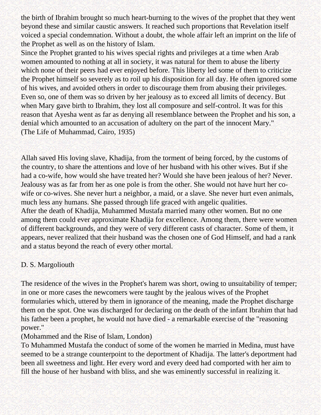the birth of Ibrahim brought so much heart-burning to the wives of the prophet that they went beyond these and similar caustic answers. It reached such proportions that Revelation itself voiced a special condemnation. Without a doubt, the whole affair left an imprint on the life of the Prophet as well as on the history of Islam.

Since the Prophet granted to his wives special rights and privileges at a time when Arab women amounted to nothing at all in society, it was natural for them to abuse the liberty which none of their peers had ever enjoyed before. This liberty led some of them to criticize the Prophet himself so severely as to roil up his disposition for all day. He often ignored some of his wives, and avoided others in order to discourage them from abusing their privileges. Even so, one of them was so driven by her jealousy as to exceed all limits of decency. But when Mary gave birth to Ibrahim, they lost all composure and self-control. It was for this reason that Ayesha went as far as denying all resemblance between the Prophet and his son, a denial which amounted to an accusation of adultery on the part of the innocent Mary." (The Life of Muhammad, Cairo, 1935)

Allah saved His loving slave, Khadija, from the torment of being forced, by the customs of the country, to share the attentions and love of her husband with his other wives. But if she had a co-wife, how would she have treated her? Would she have been jealous of her? Never. Jealousy was as far from her as one pole is from the other. She would not have hurt her cowife or co-wives. She never hurt a neighbor, a maid, or a slave. She never hurt even animals, much less any humans. She passed through life graced with angelic qualities. After the death of Khadija, Muhammed Mustafa married many other women. But no one among them could ever approximate Khadija for excellence. Among them, there were women of different backgrounds, and they were of very different casts of character. Some of them, it appears, never realized that their husband was the chosen one of God Himself, and had a rank and a status beyond the reach of every other mortal.

### D. S. Margoliouth

The residence of the wives in the Prophet's harem was short, owing to unsuitability of temper; in one or more cases the newcomers were taught by the jealous wives of the Prophet formularies which, uttered by them in ignorance of the meaning, made the Prophet discharge them on the spot. One was discharged for declaring on the death of the infant Ibrahim that had his father been a prophet, he would not have died - a remarkable exercise of the "reasoning power."

### (Mohammed and the Rise of Islam, London)

To Muhammed Mustafa the conduct of some of the women he married in Medina, must have seemed to be a strange counterpoint to the deportment of Khadija. The latter's deportment had been all sweetness and light. Her every word and every deed had comported with her aim to fill the house of her husband with bliss, and she was eminently successful in realizing it.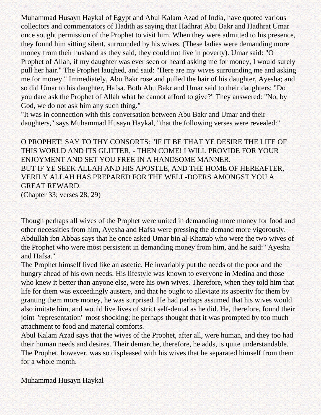Muhammad Husayn Haykal of Egypt and Abul Kalam Azad of India, have quoted various collectors and commentators of Hadith as saying that Hadhrat Abu Bakr and Hadhrat Umar once sought permission of the Prophet to visit him. When they were admitted to his presence, they found him sitting silent, surrounded by his wives. (These ladies were demanding more money from their husband as they said, they could not live in poverty). Umar said: "O Prophet of Allah, if my daughter was ever seen or heard asking me for money, I would surely pull her hair." The Prophet laughed, and said: "Here are my wives surrounding me and asking me for money." Immediately, Abu Bakr rose and pulled the hair of his daughter, Ayesha; and so did Umar to his daughter, Hafsa. Both Abu Bakr and Umar said to their daughters: "Do you dare ask the Prophet of Allah what he cannot afford to give?" They answered: "No, by God, we do not ask him any such thing."

"It was in connection with this conversation between Abu Bakr and Umar and their daughters," says Muhammad Husayn Haykal, "that the following verses were revealed:"

O PROPHET! SAY TO THY CONSORTS: "IF IT BE THAT YE DESIRE THE LIFE OF THIS WORLD AND ITS GLITTER, - THEN COME! I WILL PROVIDE FOR YOUR ENJOYMENT AND SET YOU FREE IN A HANDSOME MANNER. BUT IF YE SEEK ALLAH AND HIS APOSTLE, AND THE HOME OF HEREAFTER, VERILY ALLAH HAS PREPARED FOR THE WELL-DOERS AMONGST YOU A GREAT REWARD. (Chapter 33; verses 28, 29)

Though perhaps all wives of the Prophet were united in demanding more money for food and other necessities from him, Ayesha and Hafsa were pressing the demand more vigorously. Abdullah ibn Abbas says that he once asked Umar bin al-Khattab who were the two wives of the Prophet who were most persistent in demanding money from him, and he said: "Ayesha and Hafsa."

The Prophet himself lived like an ascetic. He invariably put the needs of the poor and the hungry ahead of his own needs. His lifestyle was known to everyone in Medina and those who knew it better than anyone else, were his own wives. Therefore, when they told him that life for them was exceedingly austere, and that he ought to alleviate its asperity for them by granting them more money, he was surprised. He had perhaps assumed that his wives would also imitate him, and would live lives of strict self-denial as he did. He, therefore, found their joint "representation" most shocking; he perhaps thought that it was prompted by too much attachment to food and material comforts.

Abul Kalam Azad says that the wives of the Prophet, after all, were human, and they too had their human needs and desires. Their demarche, therefore, he adds, is quite understandable. The Prophet, however, was so displeased with his wives that he separated himself from them for a whole month.

Muhammad Husayn Haykal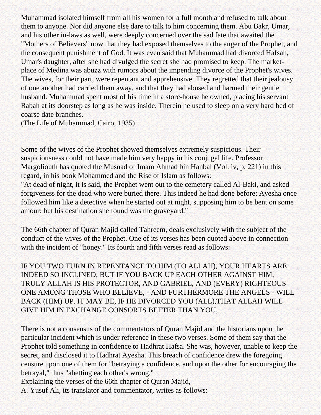Muhammad isolated himself from all his women for a full month and refused to talk about them to anyone. Nor did anyone else dare to talk to him concerning them. Abu Bakr, Umar, and his other in-laws as well, were deeply concerned over the sad fate that awaited the "Mothers of Believers" now that they had exposed themselves to the anger of the Prophet, and the consequent punishment of God. It was even said that Muhammad had divorced Hafsah, Umar's daughter, after she had divulged the secret she had promised to keep. The marketplace of Medina was abuzz with rumors about the impending divorce of the Prophet's wives. The wives, for their part, were repentant and apprehensive. They regretted that their jealousy of one another had carried them away, and that they had abused and harmed their gentle husband. Muhammad spent most of his time in a store-house he owned, placing his servant Rabah at its doorstep as long as he was inside. Therein he used to sleep on a very hard bed of coarse date branches.

(The Life of Muhammad, Cairo, 1935)

Some of the wives of the Prophet showed themselves extremely suspicious. Their suspiciousness could not have made him very happy in his conjugal life. Professor Margoliouth has quoted the Musnad of Imam Ahmad bin Hanbal (Vol. iv, p. 221) in this regard, in his book Mohammed and the Rise of Islam as follows:

"At dead of night, it is said, the Prophet went out to the cemetery called Al-Baki, and asked forgiveness for the dead who were buried there. This indeed he had done before; Ayesha once followed him like a detective when he started out at night, supposing him to be bent on some amour: but his destination she found was the graveyard."

The 66th chapter of Quran Majid called Tahreem, deals exclusively with the subject of the conduct of the wives of the Prophet. One of its verses has been quoted above in connection with the incident of "honey." Its fourth and fifth verses read as follows:

IF YOU TWO TURN IN REPENTANCE TO HIM (TO ALLAH), YOUR HEARTS ARE INDEED SO INCLINED; BUT IF YOU BACK UP EACH OTHER AGAINST HIM, TRULY ALLAH IS HIS PROTECTOR, AND GABRIEL, AND (EVERY) RIGHTEOUS ONE AMONG THOSE WHO BELIEVE, - AND FURTHERMORE THE ANGELS - WILL BACK (HIM) UP. IT MAY BE, IF HE DIVORCED YOU (ALL),THAT ALLAH WILL GIVE HIM IN EXCHANGE CONSORTS BETTER THAN YOU,

There is not a consensus of the commentators of Quran Majid and the historians upon the particular incident which is under reference in these two verses. Some of them say that the Prophet told something in confidence to Hadhrat Hafsa. She was, however, unable to keep the secret, and disclosed it to Hadhrat Ayesha. This breach of confidence drew the foregoing censure upon one of them for "betraying a confidence, and upon the other for encouraging the betrayal," thus "abetting each other's wrong."

Explaining the verses of the 66th chapter of Quran Majid,

A. Yusuf Ali, its translator and commentator, writes as follows: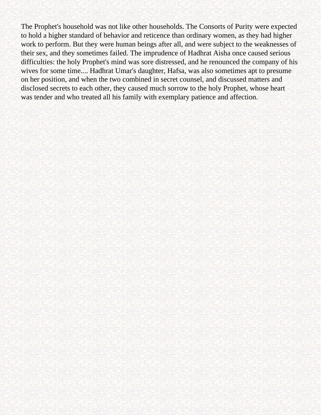The Prophet's household was not like other households. The Consorts of Purity were expected to hold a higher standard of behavior and reticence than ordinary women, as they had higher work to perform. But they were human beings after all, and were subject to the weaknesses of their sex, and they sometimes failed. The imprudence of Hadhrat Aisha once caused serious difficulties: the holy Prophet's mind was sore distressed, and he renounced the company of his wives for some time.... Hadhrat Umar's daughter, Hafsa, was also sometimes apt to presume on her position, and when the two combined in secret counsel, and discussed matters and disclosed secrets to each other, they caused much sorrow to the holy Prophet, whose heart was tender and who treated all his family with exemplary patience and affection.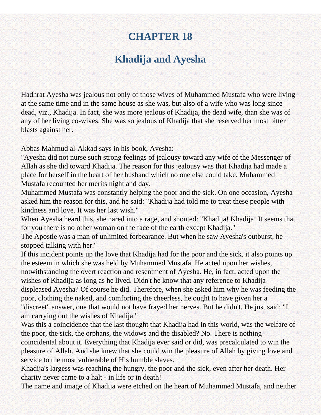## **Khadija and Ayesha**

Hadhrat Ayesha was jealous not only of those wives of Muhammed Mustafa who were living at the same time and in the same house as she was, but also of a wife who was long since dead, viz., Khadija. In fact, she was more jealous of Khadija, the dead wife, than she was of any of her living co-wives. She was so jealous of Khadija that she reserved her most bitter blasts against her.

Abbas Mahmud al-Akkad says in his book, Avesha:

"Ayesha did not nurse such strong feelings of jealousy toward any wife of the Messenger of Allah as she did toward Khadija. The reason for this jealousy was that Khadija had made a place for herself in the heart of her husband which no one else could take. Muhammed Mustafa recounted her merits night and day.

Muhammed Mustafa was constantly helping the poor and the sick. On one occasion, Ayesha asked him the reason for this, and he said: "Khadija had told me to treat these people with kindness and love. It was her last wish."

When Ayesha heard this, she nared into a rage, and shouted: "Khadija! Khadija! It seems that for you there is no other woman on the face of the earth except Khadija."

The Apostle was a man of unlimited forbearance. But when he saw Ayesha's outburst, he stopped talking with her."

If this incident points up the love that Khadija had for the poor and the sick, it also points up the esteem in which she was held by Muhammed Mustafa. He acted upon her wishes, notwithstanding the overt reaction and resentment of Ayesha. He, in fact, acted upon the wishes of Khadija as long as he lived. Didn't he know that any reference to Khadija displeased Ayesha? Of course he did. Therefore, when she asked him why he was feeding the poor, clothing the naked, and comforting the cheerless, he ought to have given her a "discreet" answer, one that would not have frayed her nerves. But he didn't. He just said: "I am carrying out the wishes of Khadija."

Was this a coincidence that the last thought that Khadija had in this world, was the welfare of the poor, the sick, the orphans, the widows and the disabled? No. There is nothing coincidental about it. Everything that Khadija ever said or did, was precalculated to win the pleasure of Allah. And she knew that she could win the pleasure of Allah by giving love and service to the most vulnerable of His humble slaves.

Khadija's largess was reaching the hungry, the poor and the sick, even after her death. Her charity never came to a halt - in life or in death!

The name and image of Khadija were etched on the heart of Muhammed Mustafa, and neither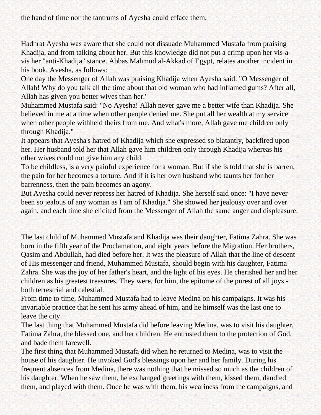the hand of time nor the tantrums of Ayesha could efface them.

Hadhrat Ayesha was aware that she could not dissuade Muhammed Mustafa from praising Khadija, and from talking about her. But this knowledge did not put a crimp upon her vis-avis her "anti-Khadija" stance. Abbas Mahmud al-Akkad of Egypt, relates another incident in his book, Avesha, as follows:

One day the Messenger of Allah was praising Khadija when Ayesha said: "O Messenger of Allah! Why do you talk all the time about that old woman who had inflamed gums? After all, Allah has given you better wives than her."

Muhammed Mustafa said: "No Ayesha! Allah never gave me a better wife than Khadija. She believed in me at a time when other people denied me. She put all her wealth at my service when other people withheld theirs from me. And what's more, Allah gave me children only through Khadija."

It appears that Ayesha's hatred of Khadija which she expressed so blatantly, backfired upon her. Her husband told her that Allah gave him children only through Khadija whereas his other wives could not give him any child.

To be childless, is a very painful experience for a woman. But if she is told that she is barren, the pain for her becomes a torture. And if it is her own husband who taunts her for her barrenness, then the pain becomes an agony.

But Ayesha could never repress her hatred of Khadija. She herself said once: "I have never been so jealous of any woman as I am of Khadija." She showed her jealousy over and over again, and each time she elicited from the Messenger of Allah the same anger and displeasure.

The last child of Muhammed Mustafa and Khadija was their daughter, Fatima Zahra. She was born in the fifth year of the Proclamation, and eight years before the Migration. Her brothers, Qasim and Abdullah, had died before her. It was the pleasure of Allah that the line of descent of His messenger and friend, Muhammed Mustafa, should begin with his daughter, Fatima Zahra. She was the joy of her father's heart, and the light of his eyes. He cherished her and her children as his greatest treasures. They were, for him, the epitome of the purest of all joys both terrestrial and celestial.

From time to time, Muhammed Mustafa had to leave Medina on his campaigns. It was his invariable practice that he sent his army ahead of him, and he himself was the last one to leave the city.

The last thing that Muhammed Mustafa did before leaving Medina, was to visit his daughter, Fatima Zahra, the blessed one, and her children. He entrusted them to the protection of God, and bade them farewell.

The first thing that Muhammed Mustafa did when he returned to Medina, was to visit the house of his daughter. He invoked God's blessings upon her and her family. During his frequent absences from Medina, there was nothing that he missed so much as the children of his daughter. When he saw them, he exchanged greetings with them, kissed them, dandled them, and played with them. Once he was with them, his weariness from the campaigns, and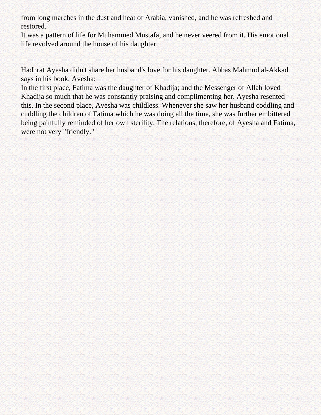from long marches in the dust and heat of Arabia, vanished, and he was refreshed and restored.

It was a pattern of life for Muhammed Mustafa, and he never veered from it. His emotional life revolved around the house of his daughter.

Hadhrat Ayesha didn't share her husband's love for his daughter. Abbas Mahmud al-Akkad says in his book, Avesha:

In the first place, Fatima was the daughter of Khadija; and the Messenger of Allah loved Khadija so much that he was constantly praising and complimenting her. Ayesha resented this. In the second place, Ayesha was childless. Whenever she saw her husband coddling and cuddling the children of Fatima which he was doing all the time, she was further embittered being painfully reminded of her own sterility. The relations, therefore, of Ayesha and Fatima, were not very "friendly."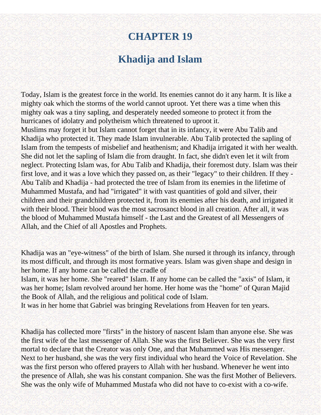## **Khadija and Islam**

Today, Islam is the greatest force in the world. Its enemies cannot do it any harm. It is like a mighty oak which the storms of the world cannot uproot. Yet there was a time when this mighty oak was a tiny sapling, and desperately needed someone to protect it from the hurricanes of idolatry and polytheism which threatened to uproot it. Muslims may forget it but Islam cannot forget that in its infancy, it were Abu Talib and Khadija who protected it. They made Islam invulnerable. Abu Talib protected the sapling of Islam from the tempests of misbelief and heathenism; and Khadija irrigated it with her wealth. She did not let the sapling of Islam die from draught. In fact, she didn't even let it wilt from neglect. Protecting Islam was, for Abu Talib and Khadija, their foremost duty. Islam was their first love, and it was a love which they passed on, as their "legacy" to their children. If they - Abu Talib and Khadija - had protected the tree of Islam from its enemies in the lifetime of Muhammed Mustafa, and had "irrigated" it with vast quantities of gold and silver, their children and their grandchildren protected it, from its enemies after his death, and irrigated it with their blood. Their blood was the most sacrosanct blood in all creation. After all, it was the blood of Muhammed Mustafa himself - the Last and the Greatest of all Messengers of Allah, and the Chief of all Apostles and Prophets.

Khadija was an "eye-witness" of the birth of Islam. She nursed it through its infancy, through its most difficult, and through its most formative years. Islam was given shape and design in her home. If any home can be called the cradle of

Islam, it was her home. She "reared" Islam. If any home can be called the "axis" of Islam, it was her home; Islam revolved around her home. Her home was the "home" of Quran Majid the Book of Allah, and the religious and political code of Islam.

It was in her home that Gabriel was bringing Revelations from Heaven for ten years.

Khadija has collected more "firsts" in the history of nascent Islam than anyone else. She was the first wife of the last messenger of Allah. She was the first Believer. She was the very first mortal to declare that the Creator was only One, and that Muhammed was His messenger. Next to her husband, she was the very first individual who heard the Voice of Revelation. She was the first person who offered prayers to Allah with her husband. Whenever he went into the presence of Allah, she was his constant companion. She was the first Mother of Believers. She was the only wife of Muhammed Mustafa who did not have to co-exist with a co-wife.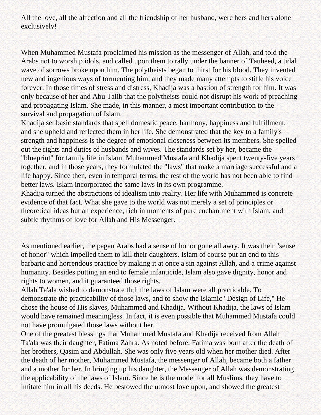All the love, all the affection and all the friendship of her husband, were hers and hers alone exclusively!

When Muhammed Mustafa proclaimed his mission as the messenger of Allah, and told the Arabs not to worship idols, and called upon them to rally under the banner of Tauheed, a tidal wave of sorrows broke upon him. The polytheists began to thirst for his blood. They invented new and ingenious ways of tormenting him, and they made many attempts to stifle his voice forever. In those times of stress and distress, Khadija was a bastion of strength for him. It was only because of her and Abu Talib that the polytheists could not disrupt his work of preaching and propagating Islam. She made, in this manner, a most important contribution to the survival and propagation of Islam.

Khadija set basic standards that spell domestic peace, harmony, happiness and fulfillment, and she upheld and reflected them in her life. She demonstrated that the key to a family's strength and happiness is the degree of emotional closeness between its members. She spelled out the rights and duties of husbands and wives. The standards set by her, became the "blueprint" for family life in Islam. Muhammed Mustafa and Khadija spent twenty-five years together, and in those years, they formulated the "laws" that make a marriage successful and a life happy. Since then, even in temporal terms, the rest of the world has not been able to find better laws. Islam incorporated the same laws in its own programme.

Khadija turned the abstractions of idealism into reality. Her life with Muhammed is concrete evidence of that fact. What she gave to the world was not merely a set of principles or theoretical ideas but an experience, rich in moments of pure enchantment with Islam, and subtle rhythms of love for Allah and His Messenger.

As mentioned earlier, the pagan Arabs had a sense of honor gone all awry. It was their "sense of honor" which impelled them to kill their daughters. Islam of course put an end to this barbaric and horrendous practice by making it at once a sin against Allah, and a crime against humanity. Besides putting an end to female infanticide, Islam also gave dignity, honor and rights to women, and it guaranteed those rights.

Allah Ta'ala wished to demonstrate th;lt the laws of Islam were all practicable. To demonstrate the practicability of those laws, and to show the Islamic "Design of Life," He chose the house of His slaves, Muhammed and Khadija. Without Khadija, the laws of Islam would have remained meaningless. In fact, it is even possible that Muhammed Mustafa could not have promulgated those laws without her.

One of the greatest blessings that Muhammed Mustafa and Khadija received from Allah Ta'ala was their daughter, Fatima Zahra. As noted before, Fatima was born after the death of her brothers, Qasim and Abdullah. She was only five years old when her mother died. After the death of her mother, Muhammed Mustafa, the messenger of Allah, became both a father and a mother for her. In bringing up his daughter, the Messenger of Allah was demonstrating the applicability of the laws of Islam. Since he is the model for all Muslims, they have to imitate him in all his deeds. He bestowed the utmost love upon, and showed the greatest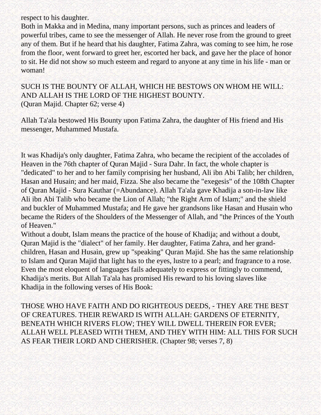respect to his daughter.

Both in Makka and in Medina, many important persons, such as princes and leaders of powerful tribes, came to see the messenger of Allah. He never rose from the ground to greet any of them. But if he heard that his daughter, Fatima Zahra, was coming to see him, he rose from the floor, went forward to greet her, escorted her back, and gave her the place of honor to sit. He did not show so much esteem and regard to anyone at any time in his life - man or woman!

SUCH IS THE BOUNTY OF ALLAH, WHICH HE BESTOWS ON WHOM HE WILL: AND ALLAH IS THE LORD OF THE HIGHEST BOUNTY. (Quran Majid. Chapter 62; verse 4)

Allah Ta'ala bestowed His Bounty upon Fatima Zahra, the daughter of His friend and His messenger, Muhammed Mustafa.

It was Khadija's only daughter, Fatima Zahra, who became the recipient of the accolades of Heaven in the 76th chapter of Quran Majid - Sura Dahr. In fact, the whole chapter is "dedicated" to her and to her family comprising her husband, Ali ibn Abi Talib; her children, Hasan and Husain; and her maid, Fizza. She also became the "exegesis" of the 108th Chapter of Quran Majid - Sura Kauthar (=Abundance). Allah Ta'ala gave Khadija a son-in-law like Ali ibn Abi Talib who became the Lion of Allah; "the Right Arm of Islam;" and the shield and buckler of Muhammed Mustafa; and He gave her grandsons like Hasan and Husain who became the Riders of the Shoulders of the Messenger of Allah, and "the Princes of the Youth of Heaven."

Without a doubt, Islam means the practice of the house of Khadija; and without a doubt, Quran Majid is the "dialect" of her family. Her daughter, Fatima Zahra, and her grandchildren, Hasan and Husain, grew up "speaking" Quran Majid. She has the same relationship to Islam and Quran Majid that light has to the eyes, lustre to a pearl; and fragrance to a rose. Even the most eloquent of languages fails adequately to express or fittingly to commend, Khadija's merits. But Allah Ta'ala has promised His reward to his loving slaves like Khadija in the following verses of His Book:

THOSE WHO HAVE FAITH AND DO RIGHTEOUS DEEDS, - THEY ARE THE BEST OF CREATURES. THEIR REWARD IS WITH ALLAH: GARDENS OF ETERNITY, BENEATH WHICH RIVERS FLOW; THEY WILL DWELL THEREIN FOR EVER; ALLAH WELL PLEASED WITH THEM, AND THEY WITH HIM: ALL THIS FOR SUCH AS FEAR THEIR LORD AND CHERISHER. (Chapter 98; verses 7, 8)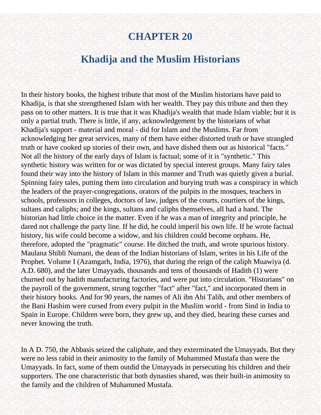# **CHAPTER 20**

# **Khadija and the Muslim Historians**

In their history books, the highest tribute that most of the Muslim historians have paid to Khadija, is that she strengthened Islam with her wealth. They pay this tribute and then they pass on to other matters. It is true that it was Khadija's wealth that made Islam viable; but it is only a partial truth. There is little, if any, acknowledgement by the historians of what Khadija's support - material and moral - did for Islam and the Muslims. Far from acknowledging her great services, many of them have either distorted truth or have strangled truth or have cooked up stories of their own, and have dished them out as historical "facts." Not all the history of the early days of Islam is factual; some of it is "synthetic." This synthetic history was written for or was dictated by special interest groups. Many fairy tales found their way into the history of Islam in this manner and Truth was quietly given a burial. Spinning fairy tales, putting them into circulation and burying truth was a conspiracy in which the leaders of the prayer-congregations, orators of the pulpits in the mosques, teachers in schools, professors in colleges, doctors of law, judges of the courts, courtiers of the kings, sultans and caliphs; and the kings, sultans and caliphs themselves, all had a hand. The historian had little choice in the matter. Even if he was a man of integrity and principle, he dared not challenge the party line. If he did, he could imperil his own life. If he wrote factual history, his wife could become a widow, and his children could become orphans. He, therefore, adopted the "pragmatic" course. He ditched the truth, and wrote spurious history. Maulana Shibli Numani, the dean of the Indian historians of Islam, writes in his Life of the Prophet. Volume I (Azamgarh, India, 1976), that during the reign of the caliph Muawiya (d. A.D. 680), and the later Umayyads, thousands and tens of thousands of Hadith (1) were churned out by hadith manufacturing factories, and were put into circulation. "Historians" on the payroll of the government, strung togcther "fact" after "fact," and incorporated them in their history books. And for 90 years, the names of Ali ibn Abi Talib, and other members of the Bani Hashim were cursed from every pulpit in the Muslim world - from Sind in India to Spain in Europe. Children were born, they grew up, and they died, hearing these curses and never knowing the truth.

In A D. 750, the Abbasis seized the caliphate, and they exterminated the Umayyads. But they were no less rabid in their animosity to the family of Muhammed Mustafa than were the Umayyads. In fact, some of them outdid the Umayyads in persecuting his children and their supporters. The one characteristic that both dynasties shared, was their built-in animosity to the family and the children of Muhammed Mustafa.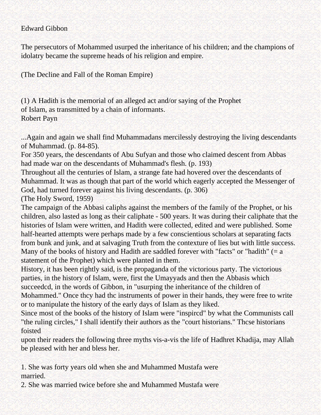#### Edward Gibbon

The persecutors of Mohammed usurped the inheritance of his children; and the champions of idolatry became the supreme heads of his religion and empire.

(The Decline and Fall of the Roman Empire)

(1) A Hadith is the memorial of an alleged act and/or saying of the Prophet of Islam, as transmitted by a chain of informants. Robert Payn

...Again and again we shall find Muhammadans mercilessly destroying the living descendants of Muhammad. (p. 84-85).

For 350 years, the descendants of Abu Sufyan and those who claimed descent from Abbas had made war on the descendants of Muhammad's flesh. (p. 193)

Throughout all the centuries of Islam, a strange fate had hovered over the descendants of Muhammad. It was as though that part of the world which eagerly accepted the Messenger of God, had turned forever against his living descendants. (p. 306)

(The Holy Sword, 1959)

The campaign of the Abbasi caliphs against the members of the family of the Prophet, or his children, also lasted as long as their caliphate - 500 years. It was during their caliphate that the histories of Islam were written, and Hadith were collected, edited and were published. Some half-hearted attempts were perhaps made by a few conscientious scholars at separating facts from bunk and junk, and at salvaging Truth from the contexture of lies but with little success. Many of the books of history and Hadith are saddled forever with "facts" or "hadith"  $(= a$ statement of the Prophet) which were planted in them.

History, it has been rightly said, is the propaganda of the victorious party. The victorious parties, in the history of Islam, were, first the Umayyads and then the Abbasis which succeedcd, in the words of Gibbon, in "usurping the inheritance of the children of Mohammed." Once thcy had thc instruments of power in their hands, they were free to write or to manipulate the history of the early days of Islam as they liked.

Since most of the books of the history of Islam were "inspircd" by what the Communists call "the ruling circles," I shall identify their authors as the "court historians." Thcse historians foisted

upon their readers the following three myths vis-a-vis the life of Hadhret Khadija, may Allah be pleased with her and bless her.

1. She was forty years old when she and Muhammed Mustafa were married.

2. She was married twice before she and Muhammed Mustafa were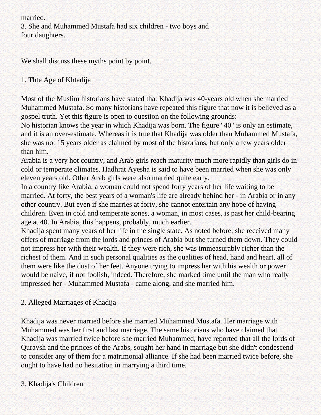married.

3. She and Muhammed Mustafa had six children - two boys and four daughters.

We shall discuss these myths point by point.

# 1. Thte Age of Khtadija

Most of the Muslim historians have stated that Khadija was 40-years old when she married Muhammed Mustafa. So many historians have repeated this figure that now it is believed as a gospel truth. Yet this figure is open to question on the following grounds:

No historian knows the year in which Khadija was born. The figure "40" is only an estimate, and it is an over-estimate. Whereas it is true that Khadija was older than Muhammed Mustafa, she was not 15 years older as claimed by most of the historians, but only a few years older than him.

Arabia is a very hot country, and Arab girls reach maturity much more rapidly than girls do in cold or temperate climates. Hadhrat Ayesha is said to have been married when she was only eleven years old. Other Arab girls were also married quite early.

In a country like Arabia, a woman could not spend forty years of her life waiting to be married. At forty, the best years of a woman's life are already behind her - in Arabia or in any other country. But even if she marries at forty, she cannot entertain any hope of having children. Even in cold and temperate zones, a woman, in most cases, is past her child-bearing age at 40. In Arabia, this happens, probably, much earlier.

Khadija spent many years of her life in the single state. As noted before, she received many offers of marriage from the lords and princes of Arabia but she turned them down. They could not impress her with their wealth. If they were rich, she was immeasurably richer than the richest of them. And in such personal qualities as the qualities of head, hand and heart, all of them were like the dust of her feet. Anyone trying to impress her with his wealth or power would be naive, if not foolish, indeed. Therefore, she marked time until the man who really impressed her - Muhammed Mustafa - came along, and she married him.

# 2. Alleged Marriages of Khadija

Khadija was never married before she married Muhammed Mustafa. Her marriage with Muhammed was her first and last marriage. The same historians who have claimed that Khadija was married twice before she married Muhammed, have reported that all the lords of Quraysh and the princes of the Arabs, sought her hand in marriage but she didn't condescend to consider any of them for a matrimonial alliance. If she had been married twice before, she ought to have had no hesitation in marrying a third time.

# 3. Khadija's Children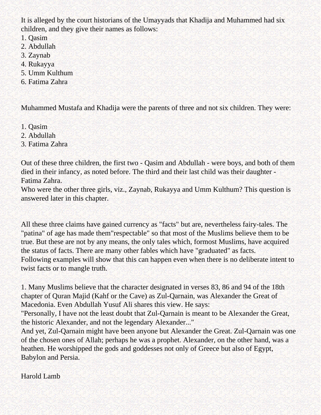It is alleged by the court historians of the Umayyads that Khadija and Muhammed had six children, and they give their names as follows:

- 1. Qasim
- 2. Abdullah
- 3. Zaynab
- 4. Rukayya
- 5. Umm Kulthum
- 6. Fatima Zahra

Muhammed Mustafa and Khadija were the parents of three and not six children. They were:

- 1. Qasim
- 2. Abdullah
- 3. Fatima Zahra

Out of these three children, the first two - Qasim and Abdullah - were boys, and both of them died in their infancy, as noted before. The third and their last child was their daughter - Fatima Zahra.

Who were the other three girls, viz., Zaynab, Rukayya and Umm Kulthum? This question is answered later in this chapter.

All these three claims have gained currency as "facts" but are, nevertheless fairy-tales. The "patina" of age has made them"respectable" so that most of the Muslims believe them to be true. But these are not by any means, the only tales which, formost Muslims, have acquired the status of facts. There are many other fables which have "graduated" as facts. Following examples will show that this can happen even when there is no deliberate intent to twist facts or to mangle truth.

1. Many Muslims believe that the character designated in verses 83, 86 and 94 of the 18th chapter of Quran Majid (Kahf or the Cave) as Zul-Qarnain, was Alexander the Great of Macedonia. Even Abdullah Yusuf Ali shares this view. He says:

"Personally, I have not the least doubt that Zul-Qarnain is meant to be Alexander the Great, the historic Alexander, and not the legendary Alexander..."

And yet, Zul-Qarnain might have been anyone but Alexander the Great. Zul-Qarnain was one of the chosen ones of Allah; perhaps he was a prophet. Alexander, on the other hand, was a heathen. He worshipped the gods and goddesses not only of Greece but also of Egypt, Babylon and Persia.

Harold Lamb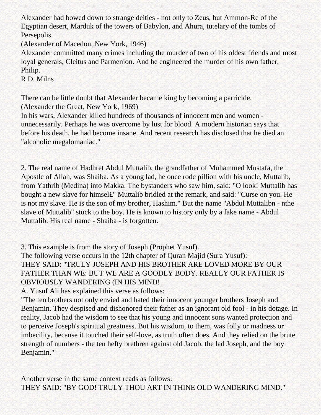Alexander had bowed down to strange deities - not only to Zeus, but Ammon-Re of the Egyptian desert, Marduk of the towers of Babylon, and Ahura, tutelary of the tombs of Persepolis.

(Alexander of Macedon, New York, 1946)

Alexander committed many crimes including the murder of two of his oldest friends and most loyal generals, Cleitus and Parmenion. And he engineered the murder of his own father, Philip.

R D. Milns

There can be little doubt that Alexander became king by becoming a parricide. (Alexander the Great, New York, 1969)

In his wars, Alexander killed hundreds of thousands of innocent men and women unnecessarily. Perhaps he was overcome by lust for blood. A modern historian says that before his death, he had become insane. And recent research has disclosed that he died an "alcoholic megalomaniac."

2. The real name of Hadhret Abdul Muttalib, the grandfather of Muhammed Mustafa, the Apostle of Allah, was Shaiba. As a young lad, he once rode pillion with his uncle, Muttalib, from Yathrib (Medina) into Makka. The bystanders who saw him, said: "O look! Muttalib has bought a new slave for himsel£" Muttalib bridled at the remark, and said: "Curse on you. He is not my slave. He is the son of my brother, Hashim." But the name "Abdul Muttalibn - nthe slave of Muttalib" stuck to the boy. He is known to history only by a fake name - Abdul Muttalib. His real name - Shaiba - is forgotten.

3. This example is from the story of Joseph (Prophet Yusuf).

The following verse occurs in the 12th chapter of Quran Majid (Sura Yusuf): THEY SAID: "TRULY JOSEPH AND HIS BROTHER ARE LOVED MORE BY OUR FATHER THAN WE: BUT WE ARE A GOODLY BODY. REALLY OUR FATHER IS OBVIOUSLY WANDERING (IN HIS MIND!

A. Yusuf Ali has explained this verse as follows:

"The ten brothers not only envied and hated their innocent younger brothers Joseph and Benjamin. They despised and dishonored their father as an ignorant old fool - in his dotage. In reality, Jacob had the wisdom to see that his young and innocent sons wanted protection and to perceive Joseph's spiritual greatness. But his wisdom, to them, was folly or madness or imbecility, because it touched their self-love, as truth often does. And they relied on the brute strength of numbers - the ten hefty brethren against old Jacob, the lad Joseph, and the boy Benjamin."

Another verse in the same context reads as follows: THEY SAID: "BY GOD! TRULY THOU ART IN THINE OLD WANDERING MIND."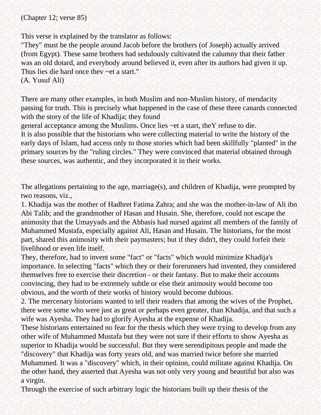(Chapter 12; verse 85)

This verse is explained by the translator as follows:

"They" must be the people around Jacob before the brothers (of Joseph) actually arrived (from Egypt). These same brothers had sedulously cultivated the calumny that their father was an old dotard, and everybody around believed it, even after its authors had given it up. Thus lies die hard once thev ~et a start."

(A. Yusuf Ali)

There are many other examples, in both Muslim and non-Muslim history, of mendacity passing for truth. This is precisely what happened in the case of these three canards connected with the story of the life of Khadija; they found

general acceptance among the Muslims. Once lies ~et a start, theY refuse to die.

It is also possible that the historians who were collecting material to write the history of the early days of Islam, had access only to those stories which had been skillfully "planted" in the primary sources by the "ruling circles." They were convinced that material obtained through these sources, was authentic, and they incorporated it in their works.

The allegations pertaining to the age, marriage(s), and children of Khadija, were prompted by two reasons, viz.,

1. Khadija was the mother of Hadhret Fatima Zahra; and she was the mother-in-law of Ali ibn Abi Talib; and the grandmother of Hasan and Husain. She, therefore, could not escape the animosity that the Umayyads and the Abbasis had nursed against all members of the family of Muhammed Mustafa, especially against Ali, Hasan and Husain. The historians, for the most part, shared this animosity with their paymasters; but if they didn't, they could forfeit their livelihood or even life itself.

They, therefore, had to invent some "fact" or "facts" which would minimize Khadija's importance. In selecting "facts" which they or their forerunners had invented, they considered themselves free to exercise their discretion - or their fantasy. But to make their accounts convincing, they had to be extremely subtle or else their animosity would become too obvious, and the worth of their works of history would become dubious.

2. The mercenary historians wanted to tell their readers that among the wives of the Prophet, there were some who were just as great or perhaps even greater, than Khadija, and that such a wife was Ayesha. They had to glorify Ayesha at the expense of Khadija.

These historians entertained no fear for the thesis which they were trying to develop from any other wife of Muhammed Mustafa but they were not sure if their efforts to show Ayesha as superior to Khadija would be successful. But they were serendipitous people and made the "discovery" that Khadija was forty years old, and was married twice before she married Muhammed. It was a "discovery" which, in their opinion, could militate against Khadija. On the other hand, they asserted that Ayesha was not only very young and beautiful but also was a virgin.

Through the exercise of such arbitrary logic the historians built up their thesis of the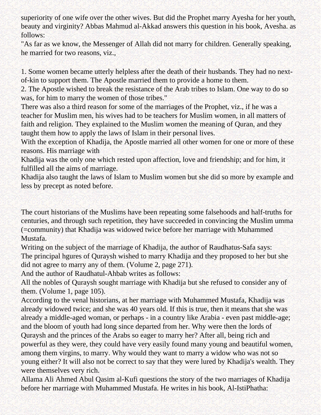superiority of one wife over the other wives. But did the Prophet marry Ayesha for her youth, beauty and virginity? Abbas Mahmud al-Akkad answers this question in his book, Avesha. as follows:

"As far as we know, the Messenger of Allah did not marry for children. Generally speaking, he married for two reasons, viz.,

1. Some women became utterly helpless after the death of their husbands. They had no nextof-kin to support them. The Apostle married them to provide a home to them.

2. The Apostle wished to break the resistance of the Arab tribes to Islam. One way to do so was, for him to marry the women of those tribes."

There was also a third reason for some of the marriages of the Prophet, viz., if he was a teacher for Muslim men, his wives had to be teachers for Muslim women, in all matters of faith and religion. They explained to the Muslim women the meaning of Quran, and they taught them how to apply the laws of Islam in their personal lives.

With the exception of Khadija, the Apostle married all other women for one or more of these reasons. His marriage with

Khadija was the only one which rested upon affection, love and friendship; and for him, it fulfilled all the aims of marriage.

Khadija also taught the laws of Islam to Muslim women but she did so more by example and less by precept as noted before.

The court historians of the Muslims have been repeating some falsehoods and half-truths for centuries, and through such repetition, they have succeeded in convincing the Muslim umma (=community) that Khadija was widowed twice before her marriage with Muhammed Mustafa.

Writing on the subject of the marriage of Khadija, the author of Raudhatus-Safa says: The principal hgures of Quraysh wished to marry Khadija and they proposed to her but she did not agree to marry any of them. (Volume 2, page 271).

And the author of Raudhatul-Ahbab writes as follows:

All the nobles of Quraysh sought marriage with Khadija but she refused to consider any of them. (Volume 1, page 105).

According to the venal historians, at her marriage with Muhammed Mustafa, Khadija was already widowed twice; and she was 40 years old. If this is true, then it means that she was already a middle-aged woman, or perhaps - in a country like Arabia - even past middle-age; and the bloom of youth had long since departed from her. Why were then the lords of Quraysh and the princes of the Arabs so eager to marry her? After all, being rich and powerful as they were, they could have very easily found many young and beautiful women, among them virgins, to marry. Why would they want to marry a widow who was not so

young either? It will also not be correct to say that they were lured by Khadija's wealth. They were themselves very rich.

Allama Ali Ahmed Abul Qasim al-Kufi questions the story of the two marriages of Khadija before her marriage with Muhammed Mustafa. He writes in his book, Al-IstiPhatha: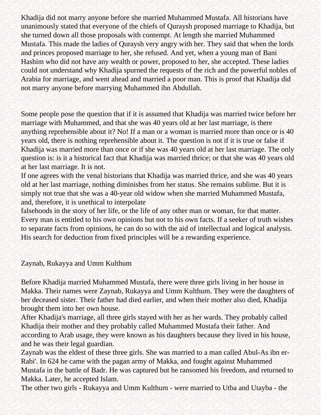Khadija did not marry anyone before she married Muhammed Mustafa. All historians have unanimously stated that everyone of the chiefs of Quraysh proposed marriage to Khadija, but she turned down all those proposals with contempt. At length she married Muhammed Mustafa. This made the ladies of Quraysh very angry with her. They said that when the lords and princes proposed marriage to her, she refused. And yet, when a young man of Bani Hashim who did not have any wealth or power, proposed to her, she accepted. These ladies could not understand why Khadija spurned the requests of the rich and the powerful nobles of Arabia for marriage, and went ahead and married a poor man. This is proof that Khadija did not marry anyone before marrying Muhammed ibn Abdullah.

Some people pose the question that if it is assumed that Khadija was married twice before her marriage with Muhammed, and that she was 40 years old at her last marriage, is there anything reprehensible about it? No! If a man or a woman is married more than once or is 40 years old, there is nothing reprehensible about it. The question is not if it is true or false if Khadija was married more than once or if she was 40 years old at her last marriage. The only question is: is it a historical fact that Khadija was married thrice; or that she was 40 years old at her last marriage. It is not.

If one agrees with the venal historians that Khadija was married thrice, and she was 40 years old at her last marriage, nothing diminishes from her status. She remains sublime. But it is simply not true that she was a 40-year old widow when she married Muhammed Mustafa, and, therefore, it is unethical to interpolate

falsehoods in the story of her life, or the life of any other man or woman, for that matter. Every man is entitled to his own opinions but not to his own facts. If a seeker of truth wishes to separate facts from opinions, he can do so with the aid of intellectual and logical analysis. His search for deduction from fixed principles will be a rewarding experience.

Zaynab, Rukayya and Umm Kulthum

Before Khadija married Muhammed Mustafa, there were three girls living in her house in Makka. Their names were Zaynab, Rukayya and Umm Kulthum. They were the daughters of her deceased sister. Their father had died earlier, and when their mother also died, Khadija brought them into her own house.

After Khadija's marriage, all three girls stayed with her as her wards. They probably called Khadija their mother and they probably called Muhammed Mustafa their father. And according to Arab usage, they were known as his daughters because they lived in his house, and he was their legal guardian.

Zaynab was the eldest of these three girls. She was married to a man called Abul-As ibn er-Rabi'. In 624 he came with the pagan army of Makka, and fought against Muhammed Mustafa in the battle of Badr. He was captured but he ransomed his freedom, and returned to Makka. Later, he accepted Islam.

The other two girls - Rukayya and Umm Kulthum - were married to Utba and Utayba - the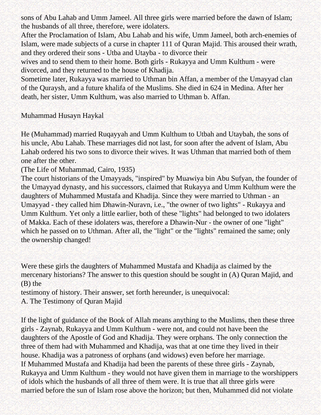sons of Abu Lahab and Umm Jameel. All three girls were married before the dawn of Islam; the husbands of all three, therefore, were idolaters.

After the Proclamation of Islam, Abu Lahab and his wife, Umm Jameel, both arch-enemies of Islam, were made subjects of a curse in chapter 111 of Quran Majid. This aroused their wrath, and they ordered their sons - Utba and Utayba - to divorce their

wives and to send them to their home. Both girls - Rukayya and Umm Kulthum - were divorced, and they returned to the house of Khadija.

Sometime later, Rukayya was married to Uthman bin Affan, a member of the Umayyad clan of the Quraysh, and a future khalifa of the Muslims. She died in 624 in Medina. After her death, her sister, Umm Kulthum, was also married to Uthman b. Affan.

#### Muhammad Husayn Haykal

He (Muhammad) married Ruqayyah and Umm Kulthum to Utbah and Utaybah, the sons of his uncle, Abu Lahab. These marriages did not last, for soon after the advent of Islam, Abu Lahab ordered his two sons to divorce their wives. It was Uthman that married both of them one after the other.

(The Life of Muhammad, Cairo, 1935)

The court historians of the Umayyads, "inspired" by Muawiya bin Abu Sufyan, the founder of the Umayyad dynasty, and his successors, claimed that Rukayya and Umm Kulthum were the daughters of Muhammed Mustafa and Khadija. Since they were married to Uthman - an Umayyad - they called him Dhawin-Nuravn, i.e., "the owner of two lights" - Rukayya and Umm Kulthum. Yet only a little earlier, both of these "lights" had belonged to two idolaters of Makka. Each of these idolaters was, therefore a Dhawin-Nur - the owner of one "light" which he passed on to Uthman. After all, the "light" or the "lights" remained the same; only the ownership changed!

Were these girls the daughters of Muhammed Mustafa and Khadija as claimed by the mercenary historians? The answer to this question should be sought in (A) Quran Majid, and (B) the

testimony of history. Their answer, set forth hereunder, is unequivocal:

A. The Testimony of Quran Majid

If the light of guidance of the Book of Allah means anything to the Muslims, then these three girls - Zaynab, Rukayya and Umm Kulthum - were not, and could not have been the daughters of the Apostle of God and Khadija. They were orphans. The only connection the three of them had with Muhammed and Khadija, was that at one time they lived in their house. Khadija was a patroness of orphans (and widows) even before her marriage. If Muhammed Mustafa and Khadija had been the parents of these three girls - Zaynab, Rukayya and Umm Kulthum - they would not have given them in marriage to the worshippers of idols which the husbands of all three of them were. It is true that all three girls were married before the sun of Islam rose above the horizon; but then, Muhammed did not violate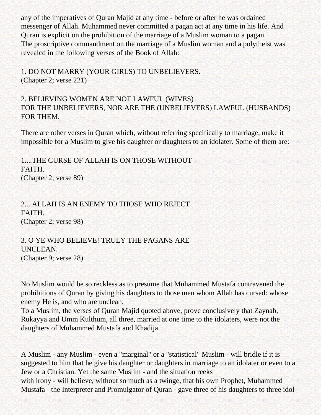any of the imperatives of Quran Majid at any time - before or after he was ordained messenger of Allah. Muhammed never committed a pagan act at any time in his life. And Quran is explicit on the prohibition of the marriage of a Muslim woman to a pagan. The proscriptive commandment on the marriage of a Muslim woman and a polytheist was revealcd in the following verses of the Book of Allah:

1. DO NOT MARRY (YOUR GIRLS) TO UNBELIEVERS. (Chapter 2; verse 221)

## 2. BELIEVING WOMEN ARE NOT LAWFUL (WIVES) FOR THE UNBELIEVERS, NOR ARE THE (UNBELIEVERS) LAWFUL (HUSBANDS) FOR THEM.

There are other verses in Quran which, without referring specifically to marriage, make it impossible for a Muslim to give his daughter or daughters to an idolater. Some of them are:

1....THE CURSE OF ALLAH IS ON THOSE WITHOUT FAITH. (Chapter 2; verse 89)

2....ALLAH IS AN ENEMY TO THOSE WHO REJECT FAITH. (Chapter 2; verse 98)

3. O YE WHO BELIEVE! TRULY THE PAGANS ARE UNCLEAN. (Chapter 9; verse 28)

No Muslim would be so reckless as to presume that Muhammed Mustafa contravened the prohibitions of Quran by giving his daughters to those men whom Allah has cursed: whose enemy He is, and who are unclean.

To a Muslim, the verses of Quran Majid quoted above, prove conclusively that Zaynab, Rukayya and Umm Kulthum, all three, married at one time to the idolaters, were not the daughters of Muhammed Mustafa and Khadija.

A Muslim - any Muslim - even a "marginal" or a "statistical" Muslim - will bridle if it is suggested to him that he give his daughter or daughters in marriage to an idolater or even to a Jew or a Christian. Yet the same Muslim - and the situation reeks

with irony - will believe, without so much as a twinge, that his own Prophet, Muhammed Mustafa - the Interpreter and Promulgator of Quran - gave three of his daughters to three idol-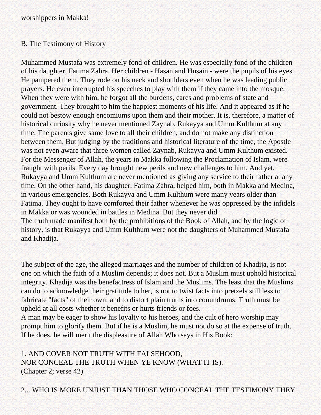#### B. The Testimony of History

Muhammed Mustafa was extremely fond of children. He was especially fond of the children of his daughter, Fatima Zahra. Her children - Hasan and Husain - were the pupils of his eyes. He pampered them. They rode on his neck and shoulders even when he was leading public prayers. He even interrupted his speeches to play with them if they came into the mosque. When they were with him, he forgot all the burdens, cares and problems of state and government. They brought to him the happiest moments of his life. And it appeared as if he could not bestow enough encomiums upon them and their mother. It is, therefore, a matter of historical curiosity why he never mentioned Zaynab, Rukayya and Umm Kulthum at any time. The parents give same love to all their children, and do not make any distinction between them. But judging by the traditions and historical literature of the time, the Apostle was not even aware that three women called Zaynab, Rukayya and Umm Kulthum existed. For the Messenger of Allah, the years in Makka following the Proclamation of Islam, were fraught with perils. Every day brought new perils and new challenges to him. And yet, Rukayya and Umm Kulthum are never mentioned as giving any service to their father at any time. On the other hand, his daughter, Fatima Zahra, helped him, both in Makka and Medina, in various emergencies. Both Rukayya and Umm Kulthum were many years older than Fatima. They ought to have comforted their father whenever he was oppressed by the infidels in Makka or was wounded in battles in Medina. But they never did. The truth made manifest both by the prohibitions of the Book of Allah, and by the logic of history, is that Rukayya and Umm Kulthum were not the daughters of Muhammed Mustafa and Khadija.

The subject of the age, the alleged marriages and the number of children of Khadija, is not one on which the faith of a Muslim depends; it does not. But a Muslim must uphold historical integrity. Khadija was the benefactress of Islam and the Muslims. The least that the Muslims can do to acknowledge their gratitude to her, is not to twist facts into pretzels still less to fabricate "facts" of their own; and to distort plain truths into conundrums. Truth must be upheld at all costs whether it benefits or hurts friends or foes.

A man may be eager to show his loyalty to his heroes, and the cult of hero worship may prompt him to glorify them. But if he is a Muslim, he must not do so at the expense of truth. If he does, he will merit the displeasure of Allah Who says in His Book:

1. AND COVER NOT TRUTH WITH FALSEHOOD, NOR CONCEAL THE TRUTH WHEN YE KNOW (WHAT IT IS). (Chapter 2; verse 42)

2....WHO IS MORE UNJUST THAN THOSE WHO CONCEAL THE TESTIMONY THEY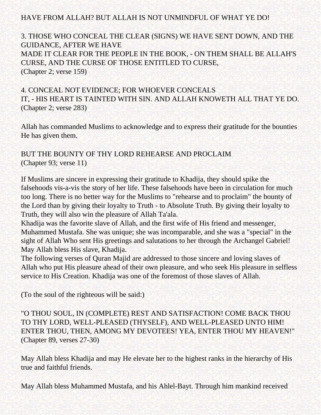## HAVE FROM ALLAH? BUT ALLAH IS NOT UNMINDFUL OF WHAT YE DO!

3. THOSE WHO CONCEAL THE CLEAR (SIGNS) WE HAVE SENT DOWN, AND THE GUIDANCE, AFTER WE HAVE MADE IT CLEAR FOR THE PEOPLE IN THE BOOK, - ON THEM SHALL BE ALLAH'S CURSE, AND THE CURSE OF THOSE ENTITLED TO CURSE, (Chapter 2; verse 159)

## 4. CONCEAL NOT EVIDENCE; FOR WHOEVER CONCEALS IT, - HIS HEART IS TAINTED WITH SIN. AND ALLAH KNOWETH ALL THAT YE DO. (Chapter 2; verse 283)

Allah has commanded Muslims to acknowledge and to express their gratitude for the bounties He has given them.

# BUT THE BOUNTY OF THY LORD REHEARSE AND PROCLAIM (Chapter 93; verse 11)

If Muslims are sincere in expressing their gratitude to Khadija, they should spike the falsehoods vis-a-vis the story of her life. These falsehoods have been in circulation for much too long. There is no better way for the Muslims to "rehearse and to proclaim" the bounty of the Lord than by giving their loyalty to Truth - to Absolute Truth. By giving their loyalty to Truth, they will also win the pleasure of Allah Ta'ala.

Khadija was the favorite slave of Allah, and the first wife of His friend and messenger, Muhammed Mustafa. She was unique; she was incomparable, and she was a "special" in the sight of Allah Who sent His greetings and salutations to her through the Archangel Gabriel! May Allah bless His slave, Khadija.

The following verses of Quran Majid are addressed to those sincere and loving slaves of Allah who put His pleasure ahead of their own pleasure, and who seek His pleasure in selfless service to His Creation. Khadija was one of the foremost of those slaves of Allah.

(To the soul of the righteous will be said:)

"O THOU SOUL, IN (COMPLETE) REST AND SATISFACTION! COME BACK THOU TO THY LORD, WELL-PLEASED (THYSELF), AND WELL-PLEASED UNTO HIM! ENTER THOU, THEN, AMONG MY DEVOTEES! YEA, ENTER THOU MY HEAVEN!" (Chapter 89, verses 27-30)

May Allah bless Khadija and may He elevate her to the highest ranks in the hierarchy of His true and faithful friends.

May Allah bless Muhammed Mustafa, and his Ahlel-Bayt. Through him mankind received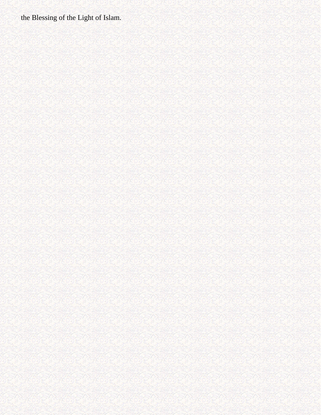the Blessing of the Light of Islam.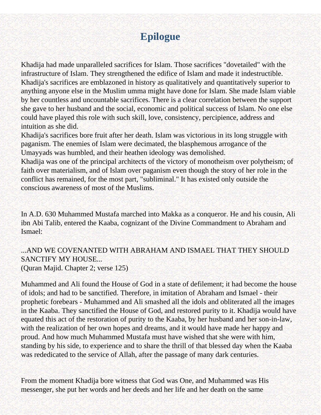# **Epilogue**

Khadija had made unparalleled sacrifices for Islam. Those sacrifices "dovetailed" with the infrastructure of Islam. They strengthened the edifice of Islam and made it indestructible. Khadija's sacrifices are emblazoned in history as qualitatively and quantitatively superior to anything anyone else in the Muslim umma might have done for Islam. She made Islam viable by her countless and uncountable sacrifices. There is a clear correlation between the support she gave to her husband and the social, economic and political success of Islam. No one else could have played this role with such skill, love, consistency, percipience, address and intuition as she did.

Khadija's sacrifices bore fruit after her death. Islam was victorious in its long struggle with paganism. The enemies of Islam were decimated, the blasphemous arrogance of the Umayyads was humbled, and their heathen ideology was demolished.

Khadija was one of the principal architects of the victory of monotheism over polytheism; of faith over materialism, and of Islam over paganism even though the story of her role in the conflict has remained, for the most part, "subliminal." It has existed only outside the conscious awareness of most of the Muslims.

In A.D. 630 Muhammed Mustafa marched into Makka as a conqueror. He and his cousin, Ali ibn Abi Talib, entered the Kaaba, cognizant of the Divine Commandment to Abraham and Ismael:

# ...AND WE COVENANTED WITH ABRAHAM AND ISMAEL THAT THEY SHOULD SANCTIFY MY HOUSE...

(Quran Majid. Chapter 2; verse 125)

Muhammed and Ali found the House of God in a state of defilement; it had become the house of idols; and had to be sanctified. Therefore, in imitation of Abraham and Ismael - their prophetic forebears - Muhammed and Ali smashed all the idols and obliterated all the images in the Kaaba. They sanctified the House of God, and restored purity to it. Khadija would have equated this act of the restoration of purity to the Kaaba, by her husband and her son-in-law, with the realization of her own hopes and dreams, and it would have made her happy and proud. And how much Muhammed Mustafa must have wished that she were with him, standing by his side, to experience and to share the thrill of that blessed day when the Kaaba was rededicated to the service of Allah, after the passage of many dark centuries.

From the moment Khadija bore witness that God was One, and Muhammed was His messenger, she put her words and her deeds and her life and her death on the same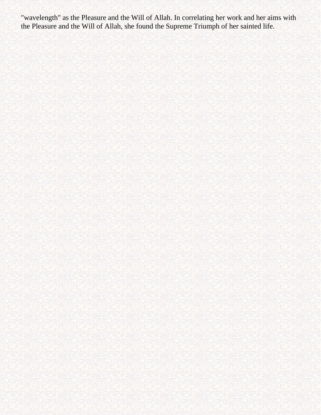"wavelength" as the Pleasure and the Will of Allah. In correlating her work and her aims with the Pleasure and the Will of Allah, she found the Supreme Triumph of her sainted life.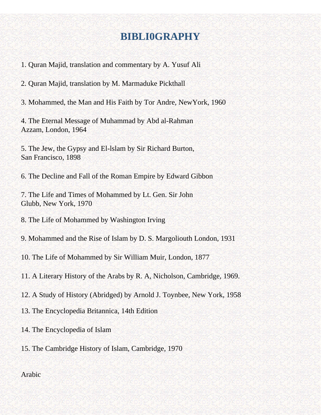# **BIBLI0GRAPHY**

1. Quran Majid, translation and commentary by A. Yusuf Ali

2. Quran Majid, translation by M. Marmaduke Pickthall

3. Mohammed, the Man and His Faith by Tor Andre, NewYork, 1960

4. The Eternal Message of Muhammad by Abd al-Rahman Azzam, London, 1964

5. The Jew, the Gypsy and El-lslam by Sir Richard Burton, San Francisco, 1898

6. The Decline and Fall of the Roman Empire by Edward Gibbon

7. The Life and Times of Mohammed by Lt. Gen. Sir John Glubb, New York, 1970

8. The Life of Mohammed by Washington Irving

9. Mohammed and the Rise of Islam by D. S. Margoliouth London, 1931

10. The Life of Mohammed by Sir William Muir, London, 1877

11. A Literary History of the Arabs by R. A, Nicholson, Cambridge, 1969.

12. A Study of History (Abridged) by Arnold J. Toynbee, New York, 1958

13. The Encyclopedia Britannica, 14th Edition

14. The Encyclopedia of Islam

15. The Cambridge History of Islam, Cambridge, 1970

#### Arabic